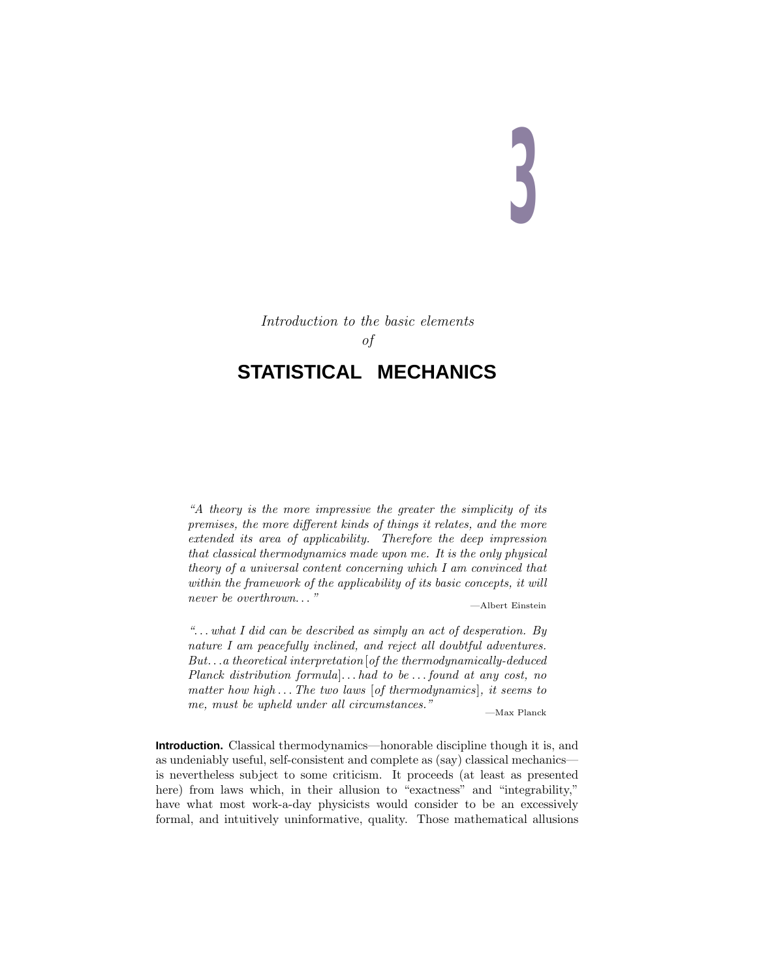# **3**

Introduction to the basic elements

of

# **STATISTICAL MECHANICS**

"A theory is the more impressive the greater the simplicity of its premises, the more different kinds of things it relates, and the more extended its area of applicability. Therefore the deep impression that classical thermodynamics made upon me. It is the only physical theory of a universal content concerning which I am convinced that within the framework of the applicability of its basic concepts, it will never be overthrown*...* " —Albert Einstein

"*...*what I did can be described as simply an act of desperation. By nature I am peacefully inclined, and reject all doubtful adventures. But*...*a theoretical interpretation [of the thermodynamically-deduced Planck distribution formula]*...* had to be *...* found at any cost, no matter how high... The two laws [of thermodynamics], it seems to me, must be upheld under all circumstances."  $\qquad \qquad -\text{Max Planck}$ 

**Introduction.** Classical thermodynamics—honorable discipline though it is, and as undeniably useful, self-consistent and complete as (say) classical mechanics is nevertheless subject to some criticism. It proceeds (at least as presented here) from laws which, in their allusion to "exactness" and "integrability," have what most work-a-day physicists would consider to be an excessively formal, and intuitively uninformative, quality. Those mathematical allusions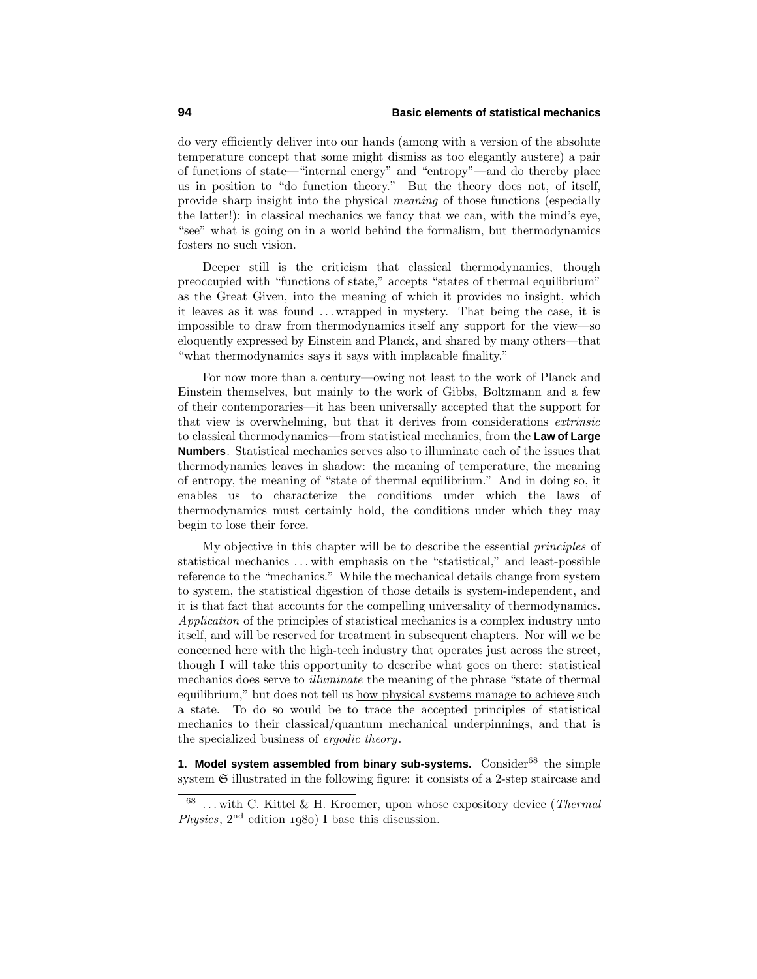do very efficiently deliver into our hands (among with a version of the absolute temperature concept that some might dismiss as too elegantly austere) a pair of functions of state—"internal energy" and "entropy"—and do thereby place us in position to "do function theory." But the theory does not, of itself, provide sharp insight into the physical meaning of those functions (especially the latter!): in classical mechanics we fancy that we can, with the mind's eye, "see" what is going on in a world behind the formalism, but thermodynamics fosters no such vision.

Deeper still is the criticism that classical thermodynamics, though preoccupied with "functions of state," accepts "states of thermal equilibrium" as the Great Given, into the meaning of which it provides no insight, which it leaves as it was found *...* wrapped in mystery. That being the case, it is impossible to draw from thermodynamics itself any support for the view—so eloquently expressed by Einstein and Planck, and shared by many others—that "what thermodynamics says it says with implacable finality."

For now more than a century—owing not least to the work of Planck and Einstein themselves, but mainly to the work of Gibbs, Boltzmann and a few of their contemporaries—it has been universally accepted that the support for that view is overwhelming, but that it derives from considerations extrinsic to classical thermodynamics—from statistical mechanics, from the **Law of Large Numbers**. Statistical mechanics serves also to illuminate each of the issues that thermodynamics leaves in shadow: the meaning of temperature, the meaning of entropy, the meaning of "state of thermal equilibrium." And in doing so, it enables us to characterize the conditions under which the laws of thermodynamics must certainly hold, the conditions under which they may begin to lose their force.

My objective in this chapter will be to describe the essential principles of statistical mechanics *...* with emphasis on the "statistical," and least-possible reference to the "mechanics." While the mechanical details change from system to system, the statistical digestion of those details is system-independent, and it is that fact that accounts for the compelling universality of thermodynamics. Application of the principles of statistical mechanics is a complex industry unto itself, and will be reserved for treatment in subsequent chapters. Nor will we be concerned here with the high-tech industry that operates just across the street, though Iwill take this opportunity to describe what goes on there: statistical mechanics does serve to illuminate the meaning of the phrase "state of thermal equilibrium," but does not tell us how physical systems manage to achieve such a state. To do so would be to trace the accepted principles of statistical mechanics to their classical/quantum mechanical underpinnings, and that is the specialized business of ergodic theory.

**1. Model system assembled from binary sub-systems.** Consider<sup>68</sup> the simple system  $\mathfrak S$  illustrated in the following figure: it consists of a 2-step staircase and

<sup>68</sup> *...* with C. Kittel & H. Kroemer, upon whose expository device (Thermal Physics,  $2<sup>nd</sup>$  edition 1980) I base this discussion.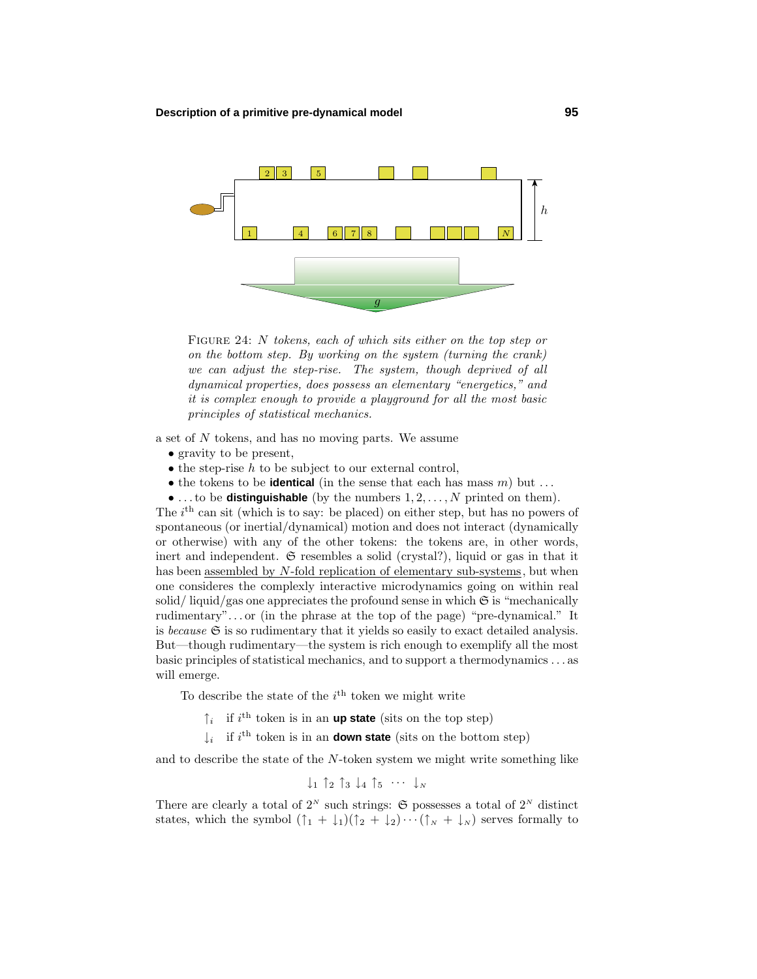

FIGURE 24: *N* tokens, each of which sits either on the top step or on the bottom step. By working on the system (turning the crank) we can adjust the step-rise. The system, though deprived of all dynamical properties, does possess an elementary "energetics,"and it is complex enough to provide a playground for all the most basic principles of statistical mechanics.

a set of *N* tokens, and has no moving parts. We assume

- gravity to be present,
- the step-rise *h* to be subject to our external control,
- the tokens to be **identical** (in the sense that each has mass *m*) but *...*
- *...*to be **distinguishable** (by the numbers 1*,* 2*,...,N* printed on them).

The *i*<sup>th</sup> can sit (which is to say: be placed) on either step, but has no powers of spontaneous (or inertial/dynamical) motion and does not interact (dynamically or otherwise) with any of the other tokens: the tokens are, in other words, inert and independent. S resembles a solid (crystal?), liquid or gas in that it has been assembled by *N*-fold replication of elementary sub-systems, but when one consideres the complexly interactive microdynamics going on within real solid/ $\lim_{\sigma \to 0}$  liquid/gas one appreciates the profound sense in which  $\sigma$  is "mechanically" rudimentary"*...* or (in the phrase at the top of the page) "pre-dynamical." It is because  $\mathfrak S$  is so rudimentary that it yields so easily to exact detailed analysis. But—though rudimentary—the system is rich enough to exemplify all the most basic principles of statistical mechanics, and to support a thermodynamics *...* as will emerge.

To describe the state of the *i*<sup>th</sup> token we might write

- $\uparrow$ *i* if *i*<sup>th</sup> token is in an **up state** (sits on the top step)
- $\downarrow_i$  if  $i^{\text{th}}$  token is in an **down state** (sits on the bottom step)

and to describe the state of the *N*-token system we might write something like

$$
\downarrow_1 \uparrow_2 \uparrow_3 \downarrow_4 \uparrow_5 \cdots \downarrow_N
$$

There are clearly a total of  $2^N$  such strings:  $\mathfrak S$  possesses a total of  $2^N$  distinct states, which the symbol  $(\uparrow_1 + \downarrow_1)(\uparrow_2 + \downarrow_2) \cdots (\uparrow_N + \downarrow_N)$  serves formally to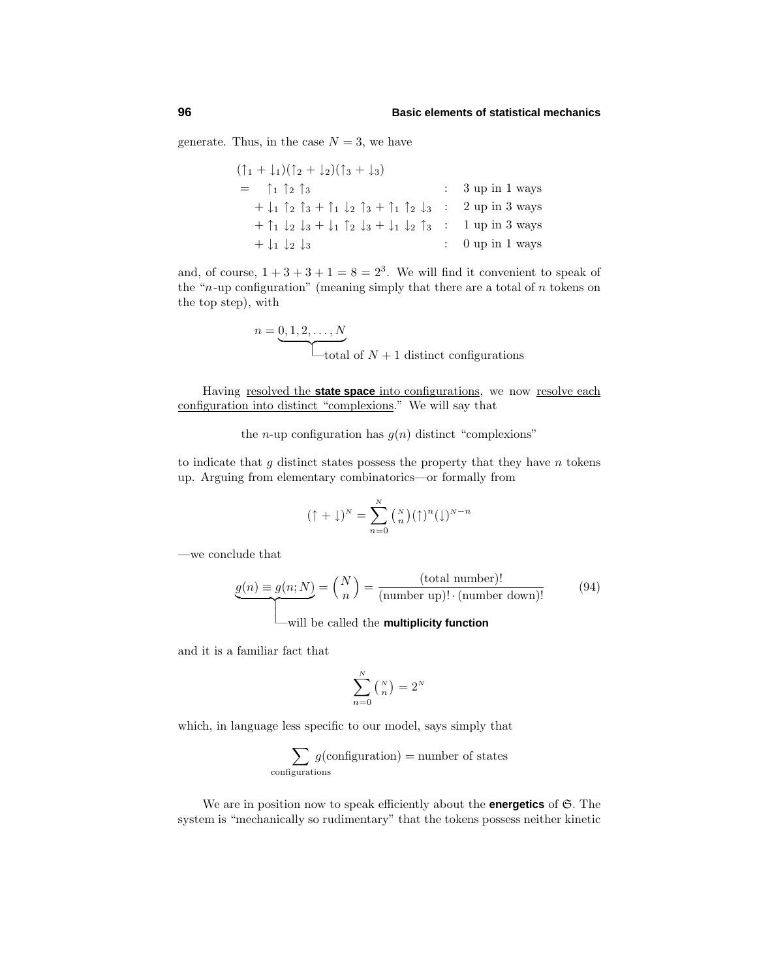generate. Thus, in the case  $N = 3$ , we have

$$
(\uparrow_{1} + \downarrow_{1})(\uparrow_{2} + \downarrow_{2})(\uparrow_{3} + \downarrow_{3})
$$
\n
$$
= \uparrow_{1} \uparrow_{2} \uparrow_{3}
$$
\n
$$
= \uparrow_{1} \uparrow_{2} \uparrow_{3}
$$
\n
$$
= \uparrow_{1} \uparrow_{2} \uparrow_{3} + \uparrow_{1} \downarrow_{2} \uparrow_{3} + \uparrow_{1} \uparrow_{2} \downarrow_{3}
$$
\n
$$
= \uparrow_{1} \downarrow_{2} \uparrow_{3} + \uparrow_{1} \downarrow_{2} \uparrow_{3} + \uparrow_{1} \uparrow_{2} \downarrow_{3} + \downarrow_{1} \uparrow_{2} \uparrow_{3}
$$
\n
$$
= \downarrow_{1} \downarrow_{2} \downarrow_{3}
$$
\n
$$
= 0 \text{ up in 1 ways}
$$

and, of course,  $1+3+3+1=8=2^3$ . We will find it convenient to speak of the " $n$ -up configuration" (meaning simply that there are a total of  $n$  tokens on the top step), with

$$
n = \underbrace{0, 1, 2, \dots, N}_{\text{total of } N+1 \text{ distinct configurations}}
$$

Having resolved the **state space** into configurations, we now resolve each configuration into distinct "complexions." We will say that

the *n*-up configuration has  $g(n)$  distinct "complexions"

to indicate that *g* distinct states possess the property that they have *n* tokens up. Arguing from elementary combinatorics—or formally from

$$
(\uparrow + \downarrow)^N = \sum_{n=0}^N \binom{N}{n} (\uparrow)^n (\downarrow)^{N-n}
$$

—we conclude that

$$
\underbrace{g(n) \equiv g(n;N)}_{\text{(number up)!}} = \binom{N}{n} = \frac{\text{(total number)!}}{\text{(number up)!} \cdot \text{(number down)!}} \tag{94}
$$

# —will be called the **multiplicity function**

and it is a familiar fact that

$$
\sum_{n=0}^{N} \left( \begin{smallmatrix} N \\ n \end{smallmatrix} \right) = 2^{N}
$$

which, in language less specific to our model, says simply that

$$
\sum_{\text{configurations}} g(\text{configuration}) = \text{number of states}
$$

We are in position now to speak efficiently about the **energetics** of S. The system is "mechanically so rudimentary" that the tokens possess neither kinetic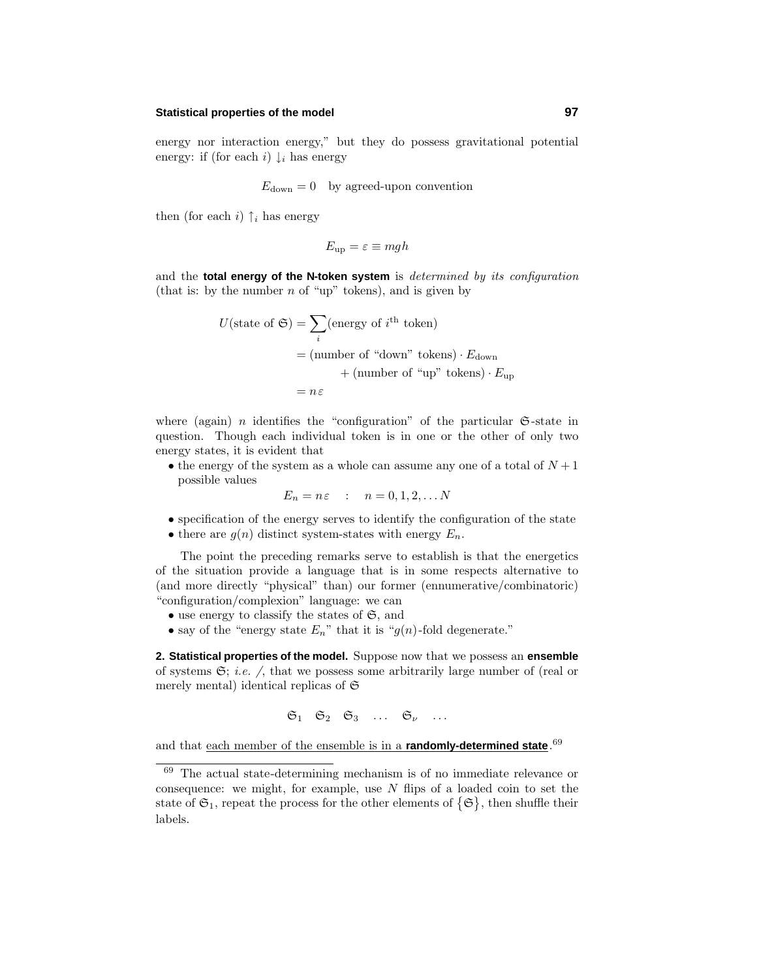# **Statistical properties of the model 97**

energy nor interaction energy," but they do possess gravitational potential energy: if (for each *i*)  $\downarrow$ <sub>*i*</sub> has energy

$$
E_{\text{down}} = 0
$$
 by agreed-upon convention

then (for each *i*)  $\uparrow$ <sub>*i*</sub> has energy

$$
E_{\rm up} = \varepsilon \equiv mgh
$$

and the **total energy of the N-token system** is determined by its configuration (that is: by the number *n* of "up" tokens), and is given by

$$
U(\text{state of } \mathfrak{S}) = \sum_{i} (\text{energy of } i^{\text{th}} \text{ token})
$$
  
= (number of "down" tokens) \cdot E\_{down}  
+ (number of "up" tokens) \cdot E\_{up}  
= n \varepsilon

where (again)  $n$  identifies the "configuration" of the particular  $\mathfrak{S}\text{-state}$  in question. Though each individual token is in one or the other of only two energy states, it is evident that

 $\bullet$  the energy of the system as a whole can assume any one of a total of  $N+1$ possible values

$$
E_n = n\varepsilon \quad : \quad n = 0, 1, 2, \dots N
$$

- specification of the energy serves to identify the configuration of the state
- there are  $g(n)$  distinct system-states with energy  $E_n$ .

The point the preceding remarks serve to establish is that the energetics of the situation provide a language that is in some respects alternative to (and more directly "physical" than) our former (ennumerative/combinatoric) "configuration/complexion" language: we can

- use energy to classify the states of  $\mathfrak{S}$ , and
- say of the "energy state  $E_n$ " that it is " $g(n)$ -fold degenerate."

**2. Statistical properties of the model.** Suppose now that we possess an **ensemble** of systems  $\mathfrak{S}$ ; *i.e.*  $\ell$ , that we possess some arbitrarily large number of (real or merely mental) identical replicas of  $\mathfrak S$ 

$$
\mathfrak{S}_1 \quad \mathfrak{S}_2 \quad \mathfrak{S}_3 \quad \dots \quad \mathfrak{S}_{\nu} \quad \dots
$$

and that each member of the ensemble is in a **randomly-determined state**. 69

<sup>69</sup> The actual state-determining mechanism is of no immediate relevance or consequence: we might, for example, use *N* flips of a loaded coin to set the state of  $\mathfrak{S}_1$ , repeat the process for the other elements of  $\{\mathfrak{S}\}\text{, then shuffle their}$ labels.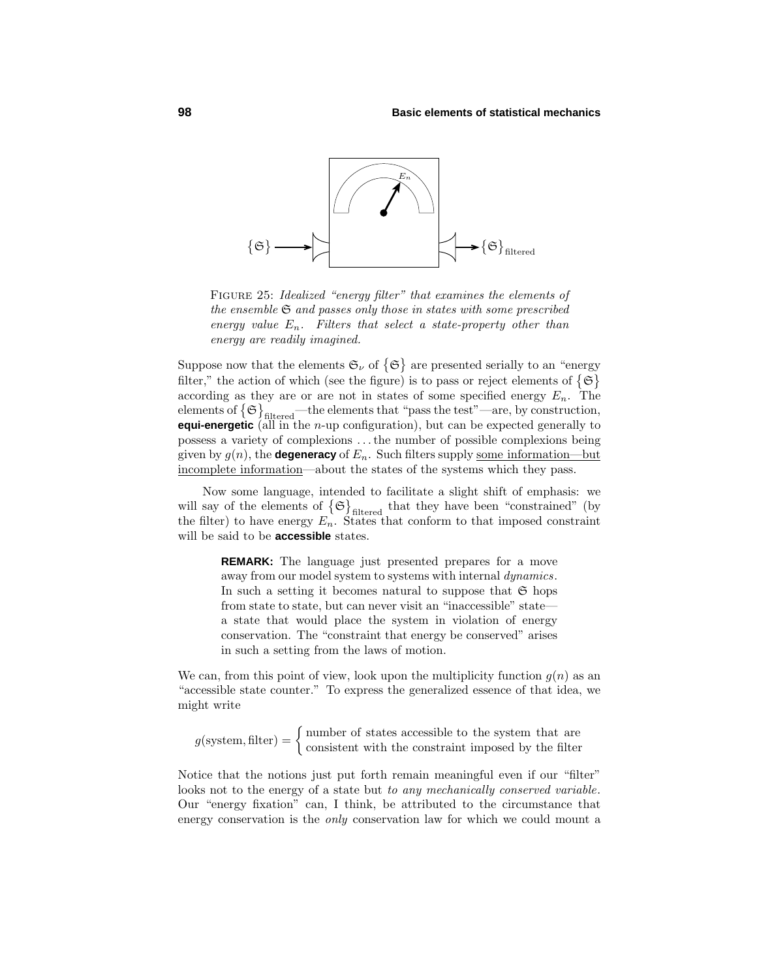

FIGURE 25: Idealized "energy filter" that examines the elements of the ensemble  $\mathfrak S$  and passes only those in states with some prescribed energy value  $E_n$ . Filters that select a state-property other than energy are readily imagined.

Suppose now that the elements  $\mathfrak{S}_{\nu}$  of  $\{\mathfrak{S}\}\)$  are presented serially to an "energy filter," the action of which (see the figure) is to pass or reject elements of  $\{\mathfrak{S}\}\$ according as they are or are not in states of some specified energy *En*. The elements of  $\{\mathfrak{S}\}$ <sub>filtered</sub>—the elements that "pass the test"—are, by construction, **equi-energetic** (all in the *n*-up configuration), but can be expected generally to possess a variety of complexions *...*the number of possible complexions being given by  $g(n)$ , the **degeneracy** of  $E_n$ . Such filters supply some information—but incomplete information—about the states of the systems which they pass.

Now some language, intended to facilitate a slight shift of emphasis: we will say of the elements of  $\{\mathfrak{S}\}$  filtered that they have been "constrained" (by the filter) to have energy  $E_n$ . States that conform to that imposed constraint will be said to be **accessible** states.

**REMARK:** The language just presented prepares for a move away from our model system to systems with internal *dynamics*. In such a setting it becomes natural to suppose that  $\mathfrak S$  hops from state to state, but can never visit an "inaccessible" state a state that would place the system in violation of energy conservation. The "constraint that energy be conserved" arises in such a setting from the laws of motion.

We can, from this point of view, look upon the multiplicity function  $q(n)$  as an "accessible state counter." To express the generalized essence of that idea, we might write

 $g$ (system, filter) =  $\begin{cases} \text{number of states accessible to the system that are} \\ \text{consistent with the constraint imposed by the filter} \end{cases}$ 

Notice that the notions just put forth remain meaningful even if our "filter" looks not to the energy of a state but to any mechanically conserved variable. Our "energy fixation" can, Ithink, be attributed to the circumstance that energy conservation is the *only* conservation law for which we could mount a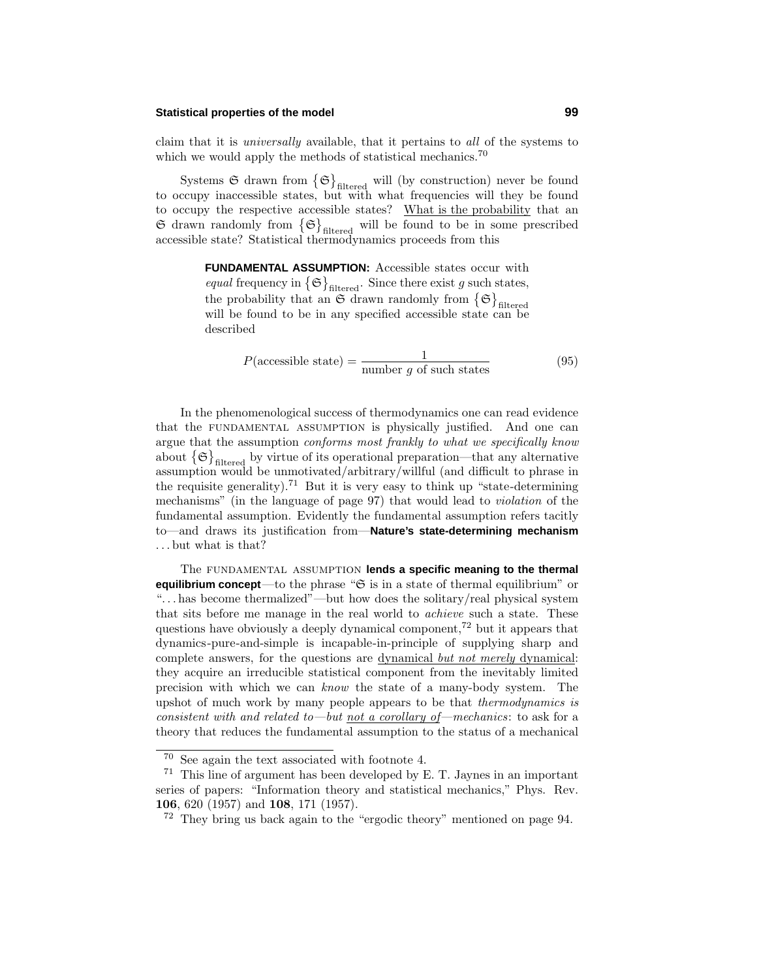# **Statistical properties of the model 99**

claim that it is universally available, that it pertains to all of the systems to which we would apply the methods of statistical mechanics.<sup>70</sup>

Systems  $\mathfrak S$  drawn from  $\{\mathfrak S\}$ <sub>filtered</sub> will (by construction) never be found to occupy inaccessible states, but with what frequencies will they be found to occupy the respective accessible states? What is the probability that an  $\mathfrak{S}$  drawn randomly from  $\{\mathfrak{S}\}_{\text{filtered}}$  will be found to be in some prescribed accessible state? Statistical thermodynamics proceeds from this

> **FUNDAMENTAL ASSUMPTION:** Accessible states occur with equal frequency in  $\{\mathfrak{S}\}_{\text{filtered}}$ . Since there exist *g* such states, the probability that an  $\mathfrak S$  drawn randomly from  $\{\mathfrak S\}$ <sub>filtered</sub> will be found to be in any specified accessible state can be described

$$
P(\text{accessible state}) = \frac{1}{\text{number } g \text{ of such states}} \tag{95}
$$

In the phenomenological success of thermodynamics one can read evidence that the fundamental assumption is physically justified. And one can argue that the assumption conforms most frankly to what we specifically know about  $\{\mathfrak{S}\}$ <sub>filtered</sub> by virtue of its operational preparation—that any alternative assumption would be unmotivated/arbitrary/willful (and difficult to phrase in the requisite generality).<sup>71</sup> But it is very easy to think up "state-determining" mechanisms" (in the language of page 97) that would lead to violation of the fundamental assumption. Evidently the fundamental assumption refers tacitly to—and draws its justification from—**Nature's state-determining mechanism** *...* but what is that?

The FUNDAMENTAL ASSUMPTION **lends a specific meaning to the thermal equilibrium concept**—to the phrase " $\mathfrak{S}$  is in a state of thermal equilibrium" or "*...* has become thermalized"—but how does the solitary/real physical system that sits before me manage in the real world to achieve such a state. These questions have obviously a deeply dynamical component,<sup>72</sup> but it appears that dynamics-pure-and-simple is incapable-in-principle of supplying sharp and complete answers, for the questions are <u>dynamical but not merely dynamical</u>: they acquire an irreducible statistical component from the inevitably limited precision with which we can know the state of a many-body system. The upshot of much work by many people appears to be that thermodynamics is consistent with and related to—but not a corollary of—mechanics: to ask for a theory that reduces the fundamental assumption to the status of a mechanical

<sup>70</sup> See again the text associated with footnote 4.

 $71$  This line of argument has been developed by E. T. Jaynes in an important series of papers: "Information theory and statistical mechanics," Phys. Rev. **106**, 620 (1957) and **108**, 171 (1957).

<sup>72</sup> They bring us back again to the "ergodic theory" mentioned on page 94.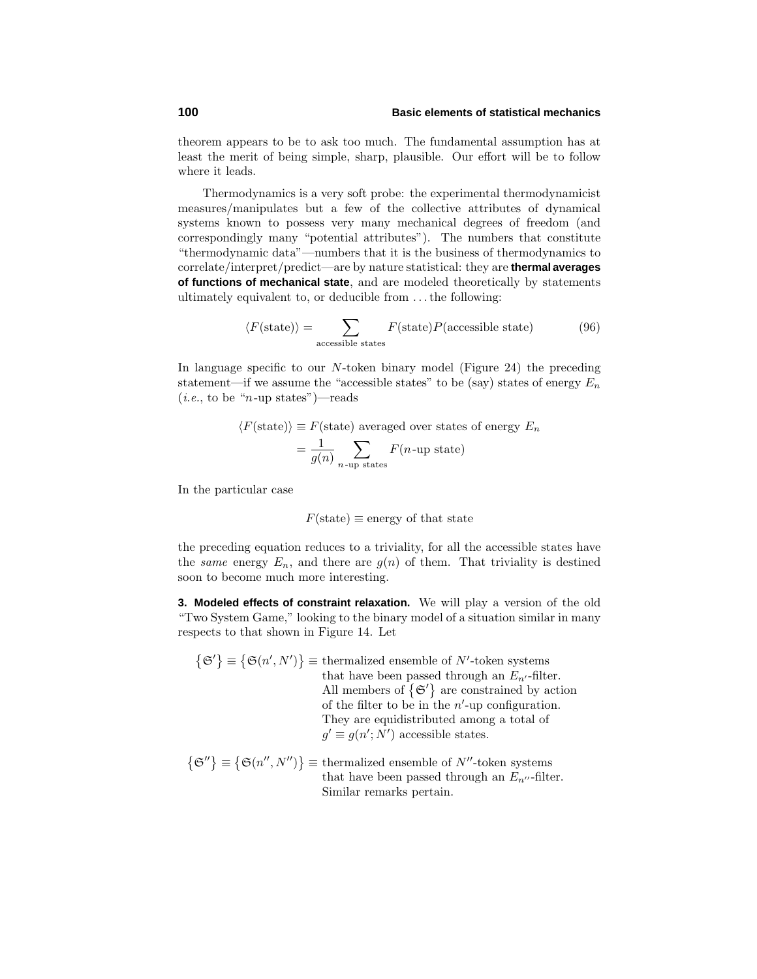theorem appears to be to ask too much. The fundamental assumption has at least the merit of being simple, sharp, plausible. Our effort will be to follow where it leads.

Thermodynamics is a very soft probe: the experimental thermodynamicist measures/manipulates but a few of the collective attributes of dynamical systems known to possess very many mechanical degrees of freedom (and correspondingly many "potential attributes"). The numbers that constitute "thermodynamic data"—numbers that it is the business of thermodynamics to correlate/interpret/predict—are by nature statistical: they are **thermal averages of functions of mechanical state**, and are modeled theoretically by statements ultimately equivalent to, or deducible from *...*the following:

$$
\langle F(\text{state}) \rangle = \sum_{\text{accessible states}} F(\text{state}) P(\text{accessible state}) \tag{96}
$$

In language specific to our *N*-token binary model (Figure 24) the preceding statement—if we assume the "accessible states" to be (say) states of energy  $E_n$  $(i.e., to be "n-up states")$ —reads

$$
\langle F(\text{state}) \rangle \equiv F(\text{state}) \text{ averaged over states of energy } E_n
$$

$$
= \frac{1}{g(n)} \sum_{n \text{-up states}} F(n \text{-up state})
$$

In the particular case

$$
F(\text{state}) \equiv \text{energy of that state}
$$

the preceding equation reduces to a triviality, for all the accessible states have the *same* energy  $E_n$ , and there are  $g(n)$  of them. That triviality is destined soon to become much more interesting.

**3. Modeled effects of constraint relaxation.** We will play a version of the old "Two System Game," looking to the binary model of a situation similar in many respects to that shown in Figure 14. Let

- $\{\mathfrak{S}'\}\equiv\{\mathfrak{S}(n',N')\}$   $\equiv$  thermalized ensemble of *N'*-token systems that have been passed through an  $E_{n'}$ -filter. All members of  $\{\mathfrak{S}'\}$  are constrained by action of the filter to be in the  $n'$ -up configuration. They are equidistributed among a total of  $g' \equiv g(n'; N')$  accessible states.
- $\{\mathfrak{S}''\}\equiv\{\mathfrak{S}(n'',N'')\}$  = thermalized ensemble of *N*''-token systems that have been passed through an  $E_{n}$ -filter. Similar remarks pertain.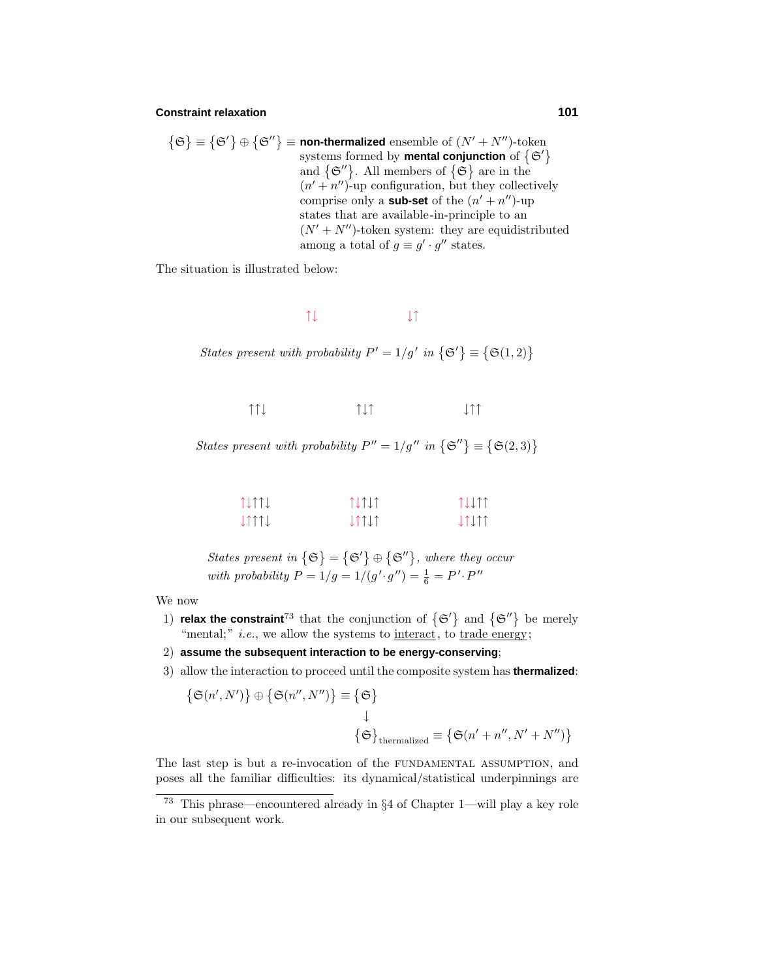# **Constraint relaxation 101**

$$
\{\mathfrak{S}\} \equiv \{\mathfrak{S}'\} \oplus \{\mathfrak{S}''\} \equiv
$$
 **non-thermalized** ensemble of  $(N' + N'')$ -token systems formed by **mental conjunction** of  $\{\mathfrak{S}'\}$  and  $\{\mathfrak{S}''\}$ . All members of  $\{\mathfrak{S}\}$  are in the  $(n' + n'')$ -up configuration, but they collectively comprise only a **sub-set** of the  $(n' + n'')$ -up states that are available-in-principle to an  $(N' + N'')$ -token system: they are equidistributed among a total of  $g \equiv g' \cdot g''$  states.

The situation is illustrated below:

↑↓ ↓↑

States present with probability  $P' = 1/g'$  in  $\{\mathfrak{S}'\}\equiv \{\mathfrak{S}(1,2)\}\$ 

↑↑↓ ↑↓↑ ↓↑↑

States present with probability  $P'' = 1/g''$  in  $\{\mathfrak{S}''\}\equiv \{\mathfrak{S}(2,3)\}\$ 

| 11111                         | TLT                                      | TLLT                        |
|-------------------------------|------------------------------------------|-----------------------------|
| $\downarrow$ TTT $\downarrow$ | $l$ $\uparrow$ $\uparrow$ $l$ $\uparrow$ | $l$ $l$ $l$ $l$ $l$ $l$ $l$ |

States present in  $\{\mathfrak{S}\} = \{\mathfrak{S}'\} \oplus \{\mathfrak{S}''\}$ , where they occur with probability  $P = 1/g = 1/(g' \cdot g'') = \frac{1}{6} = P' \cdot P''$ 

We now

- 1) **relax the constraint**<sup>73</sup> that the conjunction of  $\{\mathfrak{S}'\}$  and  $\{\mathfrak{S}''\}$  be merely "mental;" *i.e.*, we allow the systems to interact, to trade energy;
- 2) **assume the subsequent interaction to be energy-conserving**;
- 3) allow the interaction to proceed until the composite system has **thermalized**:

$$
\{\mathfrak{S}(n',N')\} \oplus \{\mathfrak{S}(n'',N'')\} \equiv \{\mathfrak{S}\}\
$$

$$
\downarrow
$$

$$
\{\mathfrak{S}\}_{\text{thermalized}} \equiv \{\mathfrak{S}(n'+n'',N'+N'')\}
$$

The last step is but a re-invocation of the FUNDAMENTAL ASSUMPTION, and poses all the familiar difficulties: its dynamical/statistical underpinnings are

 $^{73}\,$  This phrase—encountered already in  $\S 4$  of Chapter 1—will play a key role in our subsequent work.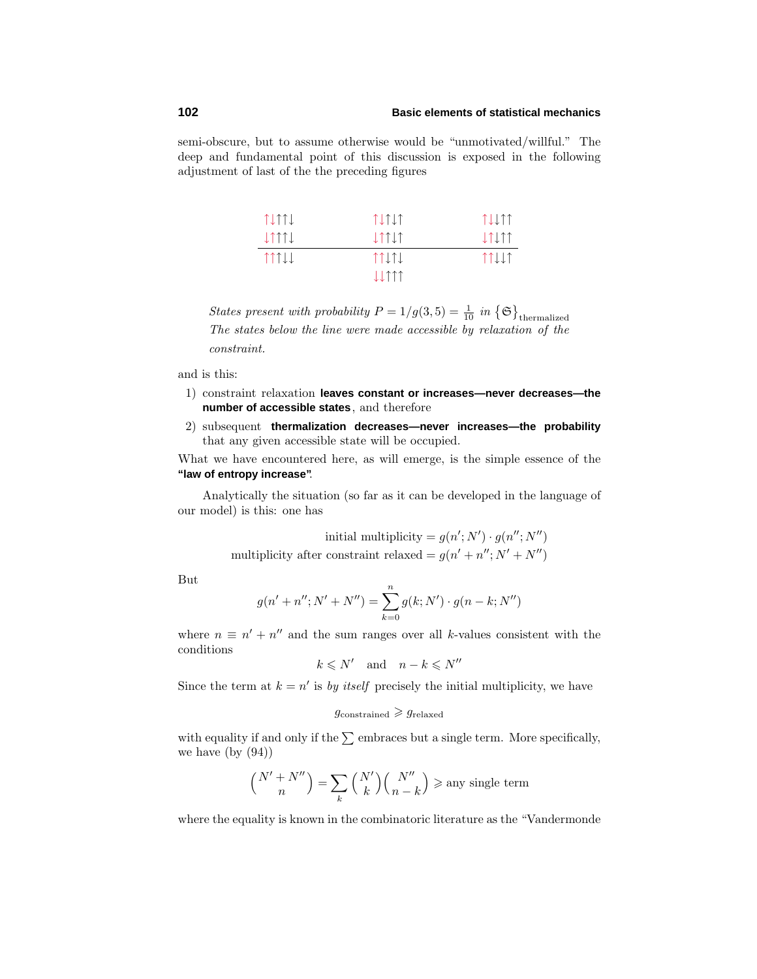semi-obscure, but to assume otherwise would be "unmotivated/willful." The deep and fundamental point of this discussion is exposed in the following adjustment of last of the the preceding figures

| TLTI                              | 1111                              | TLLT         |
|-----------------------------------|-----------------------------------|--------------|
| $l$ $\uparrow$ $\uparrow$ $l$ $l$ | <b>LITLT</b>                      | <b>LILIT</b> |
| 1111                              | 11111                             | 11111        |
|                                   | $LL$ $\uparrow \uparrow \uparrow$ |              |

States present with probability  $P = 1/g(3, 5) = \frac{1}{10}$  in  $\{\mathfrak{S}\}_{\text{thermalized}}$ The states below the line were made accessible by relaxation of the constraint.

and is this:

- 1) constraint relaxation **leaves constant or increases—never decreases—the number of accessible states**, and therefore
- 2) subsequent **thermalization decreases—never increases—the probability** that any given accessible state will be occupied.

What we have encountered here, as will emerge, is the simple essence of the **"law of entropy increase"**.

Analytically the situation (so far as it can be developed in the language of our model) is this: one has

> initial multiplicity =  $g(n'; N') \cdot g(n''; N'')$ multiplicity after constraint relaxed  $= g(n' + n''; N' + N'')$

But

$$
g(n' + n''; N' + N'') = \sum_{k=0}^{n} g(k; N') \cdot g(n - k; N'')
$$

where  $n \equiv n' + n''$  and the sum ranges over all *k*-values consistent with the conditions

 $k \leq N'$  and  $n - k \leq N''$ 

Since the term at  $k = n'$  is by itself precisely the initial multiplicity, we have

$$
g_{\rm constrained}\geqslant g_{\rm relaxed}
$$

with equality if and only if the  $\sum$  embraces but a single term. More specifically, we have  $(by (94))$ 

$$
\binom{N'+N''}{n} = \sum_{k} \binom{N'}{k} \binom{N''}{n-k} \geqslant \text{any single term}
$$

where the equality is known in the combinatoric literature as the "Vandermonde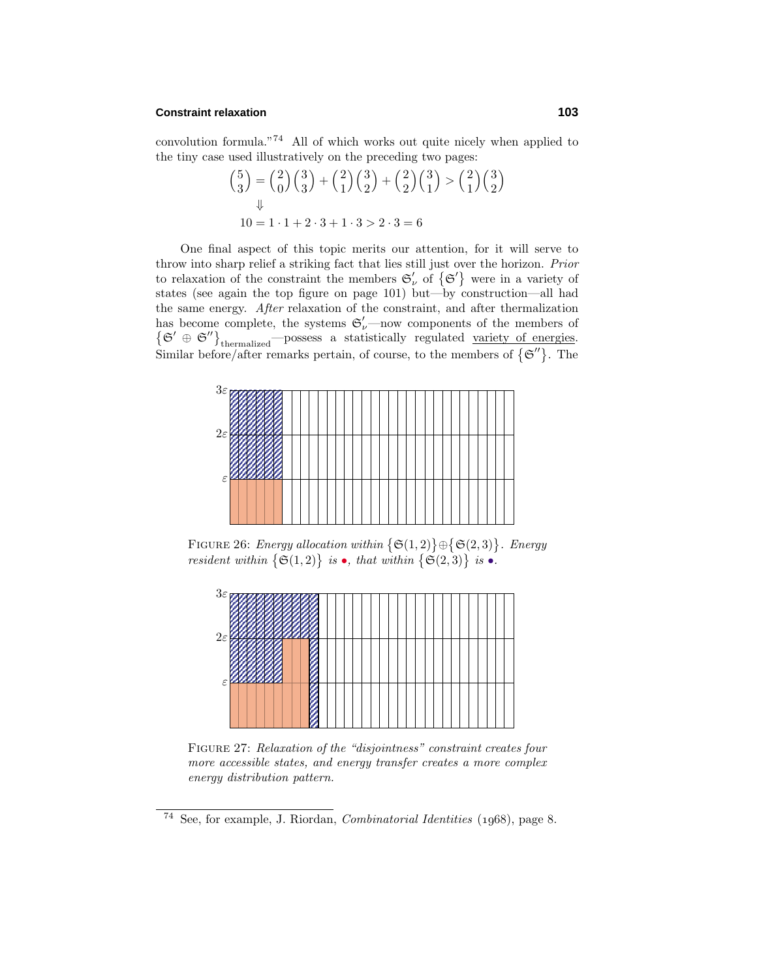# **Constraint relaxation 103**

convolution formula."<sup>74</sup> All of which works out quite nicely when applied to the tiny case used illustratively on the preceding two pages:

$$
\binom{5}{3} = \binom{2}{0}\binom{3}{3} + \binom{2}{1}\binom{3}{2} + \binom{2}{2}\binom{3}{1} > \binom{2}{1}\binom{3}{2}
$$
\n
$$
\Downarrow
$$
\n
$$
10 = 1 \cdot 1 + 2 \cdot 3 + 1 \cdot 3 > 2 \cdot 3 = 6
$$

One final aspect of this topic merits our attention, for it will serve to throw into sharp relief a striking fact that lies still just over the horizon. Prior to relaxation of the constraint the members  $\mathfrak{S}'_{\nu}$  of  $\{\mathfrak{S}'\}$  were in a variety of states (see again the top figure on page 101) but—by construction—all had the same energy. After relaxation of the constraint, and after thermalization has become complete, the systems  $\mathfrak{S}'_{\nu}$ —now components of the members of  $\{\mathfrak{S}' \oplus \mathfrak{S}''\}$ <sub>thermalized</sub>—possess a statistically regulated <u>variety of energies</u>. Similar before/after remarks pertain, of course, to the members of  $\{\mathfrak{S}''\}$ . The



FIGURE 26: *Energy allocation within*  $\{\mathfrak{S}(1,2)\} \oplus \{\mathfrak{S}(2,3)\}$ *. Energy* resident within  $\{ \mathfrak{S}(1,2) \}$  is  $\bullet$ , that within  $\{ \mathfrak{S}(2,3) \}$  is  $\bullet$ .



FIGURE 27: Relaxation of the "disjointness" constraint creates four more accessible states, and energy transfer creates a more complex energy distribution pattern.

<sup>&</sup>lt;sup>74</sup> See, for example, J. Riordan, *Combinatorial Identities* ( $1968$ ), page 8.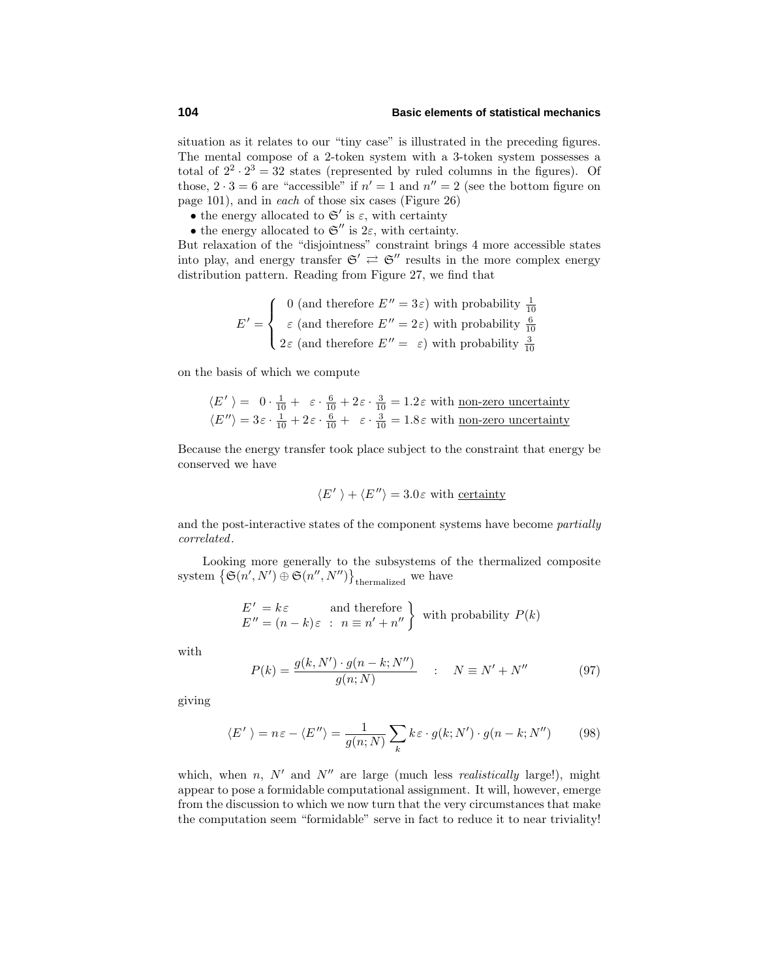situation as it relates to our "tiny case" is illustrated in the preceding figures. The mental compose of a 2-token system with a 3-token system possesses a total of  $2^2 \cdot 2^3 = 32$  states (represented by ruled columns in the figures). Of those,  $2 \cdot 3 = 6$  are "accessible" if  $n' = 1$  and  $n'' = 2$  (see the bottom figure on page 101), and in each of those six cases (Figure 26)

• the energy allocated to  $\mathfrak{S}'$  is  $\varepsilon$ , with certainty

• the energy allocated to  $\mathfrak{S}''$  is  $2\varepsilon$ , with certainty.

But relaxation of the "disjointness" constraint brings 4 more accessible states into play, and energy transfer  $\mathfrak{S}' \rightleftarrows \mathfrak{S}''$  results in the more complex energy distribution pattern. Reading from Figure 27, we find that

$$
E' = \begin{cases} 0 \text{ (and therefore } E'' = 3\varepsilon) \text{ with probability } \frac{1}{10} \\ \varepsilon \text{ (and therefore } E'' = 2\varepsilon) \text{ with probability } \frac{6}{10} \\ 2\varepsilon \text{ (and therefore } E'' = \varepsilon) \text{ with probability } \frac{3}{10} \end{cases}
$$

on the basis of which we compute

$$
\langle E' \rangle = 0 \cdot \frac{1}{10} + \varepsilon \cdot \frac{6}{10} + 2\varepsilon \cdot \frac{3}{10} = 1.2\varepsilon
$$
 with non-zero uncertainty  

$$
\langle E'' \rangle = 3\varepsilon \cdot \frac{1}{10} + 2\varepsilon \cdot \frac{6}{10} + \varepsilon \cdot \frac{3}{10} = 1.8\varepsilon
$$
 with non-zero uncertainty

Because the energy transfer took place subject to the constraint that energy be conserved we have

$$
\langle E' \rangle + \langle E'' \rangle = 3.0 \varepsilon \text{ with } \underline{\text{certainty}}
$$

and the post-interactive states of the component systems have become partially correlated.

Looking more generally to the subsystems of the thermalized composite system  $\{ \mathfrak{S}(n', N') \oplus \mathfrak{S}(n'', N'') \}_{\text{thermalized}}$  we have

$$
E' = k\varepsilon
$$
 and therefore  

$$
E'' = (n - k)\varepsilon : n \equiv n' + n''
$$
 with probability  $P(k)$ 

with

$$
P(k) = \frac{g(k, N') \cdot g(n - k; N'')}{g(n; N)} \quad : \quad N \equiv N' + N'' \tag{97}
$$

giving

$$
\langle E' \rangle = n\varepsilon - \langle E'' \rangle = \frac{1}{g(n;N)} \sum_{k} k\varepsilon \cdot g(k;N') \cdot g(n-k;N'')
$$
 (98)

which, when  $n$ ,  $N'$  and  $N''$  are large (much less *realistically* large!), might appear to pose a formidable computational assignment. It will, however, emerge from the discussion to which we now turn that the very circumstances that make the computation seem "formidable" serve in fact to reduce it to near triviality!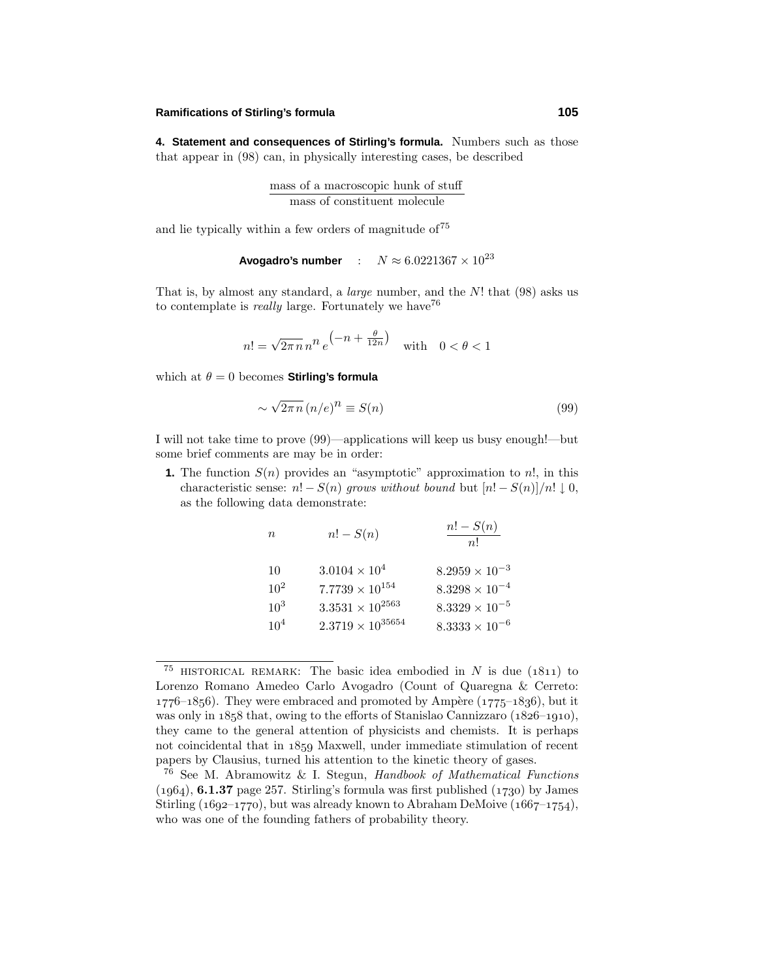# **Ramifications of Stirling's formula 105**

**4. Statement and consequences of Stirling's formula.** Numbers such as those that appear in (98) can, in physically interesting cases, be described

> mass of a macroscopic hunk of stuff mass of constituent molecule

and lie typically within a few orders of magnitude of<sup>75</sup>

**Avogadro's number** :  $N \approx 6.0221367 \times 10^{23}$ 

That is, by almost any standard, a large number, and the *N*! that (98) asks us to contemplate is *really* large. Fortunately we have  $76$ 

$$
n! = \sqrt{2\pi n} n^n e^{\left(-n + \frac{\theta}{12n}\right)} \quad \text{with} \quad 0 < \theta < 1
$$

which at  $\theta = 0$  becomes **Stirling's formula** 

$$
\sim \sqrt{2\pi n} \left( n/e \right)^n \equiv S(n) \tag{99}
$$

Iwill not take time to prove (99)—applications will keep us busy enough!—but some brief comments are may be in order:

**1.** The function  $S(n)$  provides an "asymptotic" approximation to n!, in this characteristic sense:  $n! - S(n)$  grows without bound but  $[n! - S(n)]/n! \downarrow 0$ , as the following data demonstrate:

| $\boldsymbol{n}$ | $n! - S(n)$                | $n! - S(n)$<br>n!       |
|------------------|----------------------------|-------------------------|
| 10               | $3.0104 \times 10^{4}$     | $8.2959 \times 10^{-3}$ |
| $10^2$           | $7.7739 \times 10^{154}$   | $8.3298 \times 10^{-4}$ |
| $10^3$           | $3.3531 \times 10^{2563}$  | $8.3329 \times 10^{-5}$ |
| $10^{4}$         | $2.3719 \times 10^{35654}$ | $8.3333 \times 10^{-6}$ |

<sup>&</sup>lt;sup>75</sup> HISTORICAL REMARK: The basic idea embodied in  $N$  is due (1811) to Lorenzo Romano Amedeo Carlo Avogadro (Count of Quaregna & Cerreto:  $1776-1856$ ). They were embraced and promoted by Ampère ( $1775-1836$ ), but it was only in  $1858$  that, owing to the efforts of Stanislao Cannizzaro ( $1826-1910$ ), they came to the general attention of physicists and chemists. It is perhaps not coincidental that in 1859 Maxwell, under immediate stimulation of recent papers by Clausius, turned his attention to the kinetic theory of gases.

<sup>76</sup> See M. Abramowitz & I. Stegun, Handbook of Mathematical Functions  $(1964)$ , **6.1.37** page 257. Stirling's formula was first published  $(1730)$  by James Stirling ( $1692-1770$ ), but was already known to Abraham DeMoive ( $1667-1754$ ), who was one of the founding fathers of probability theory.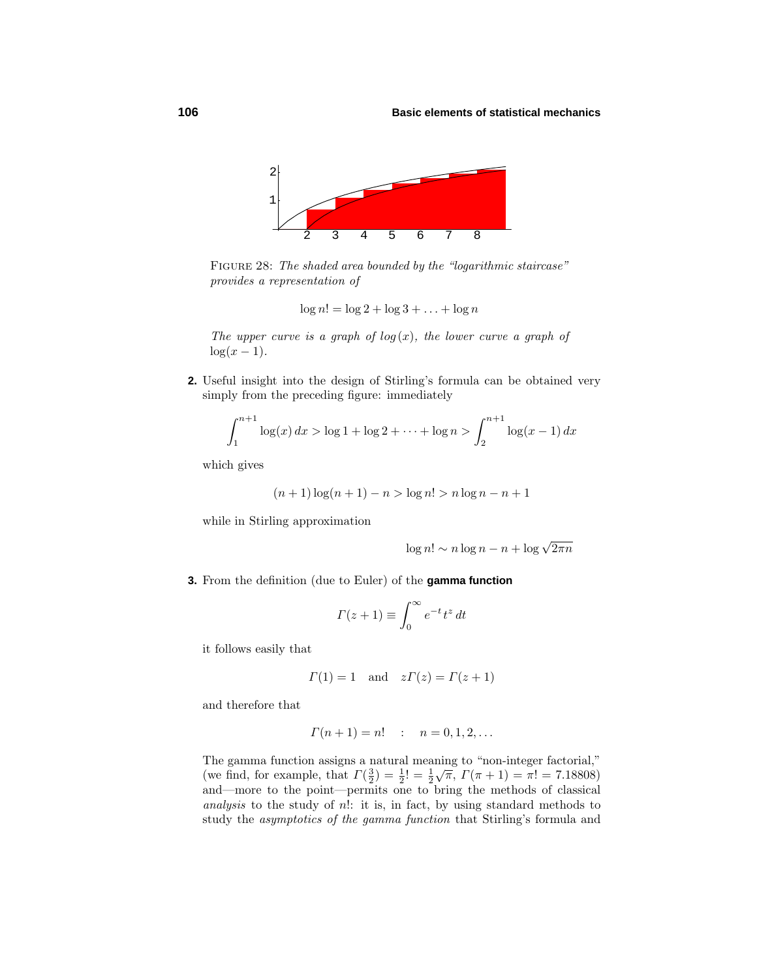

FIGURE 28: The shaded area bounded by the "logarithmic staircase" provides a representation of

$$
\log n! = \log 2 + \log 3 + \ldots + \log n
$$

The upper curve is a graph of  $log(x)$ , the lower curve a graph of  $log(x-1)$ .

**2.** Useful insight into the design of Stirling's formula can be obtained very simply from the preceding figure: immediately

$$
\int_{1}^{n+1} \log(x) dx > \log 1 + \log 2 + \dots + \log n > \int_{2}^{n+1} \log(x-1) dx
$$

which gives

$$
(n+1)\log(n+1) - n > \log n! > n\log n - n + 1
$$

while in Stirling approximation

log *<sup>n</sup>*! <sup>∼</sup> *<sup>n</sup>* log *<sup>n</sup>* <sup>−</sup> *<sup>n</sup>* + log <sup>√</sup> 2*πn*

**3.** From the definition (due to Euler) of the **gamma function**

$$
\Gamma(z+1) \equiv \int_0^\infty e^{-t} t^z dt
$$

it follows easily that

$$
\Gamma(1) = 1 \quad \text{and} \quad z\Gamma(z) = \Gamma(z+1)
$$

and therefore that

$$
\Gamma(n+1) = n!
$$
 :  $n = 0, 1, 2, ...$ 

The gamma function assigns a natural meaning to "non-integer factorial," (we find, for example, that  $\Gamma(\frac{3}{2}) = \frac{1}{2}! = \frac{1}{2}\sqrt{\pi}$ ,  $\Gamma(\pi + 1) = \pi! = 7.18808$ ) and—more to the point—permits one to bring the methods of classical analysis to the study of *n*!: it is, in fact, by using standard methods to study the asymptotics of the gamma function that Stirling's formula and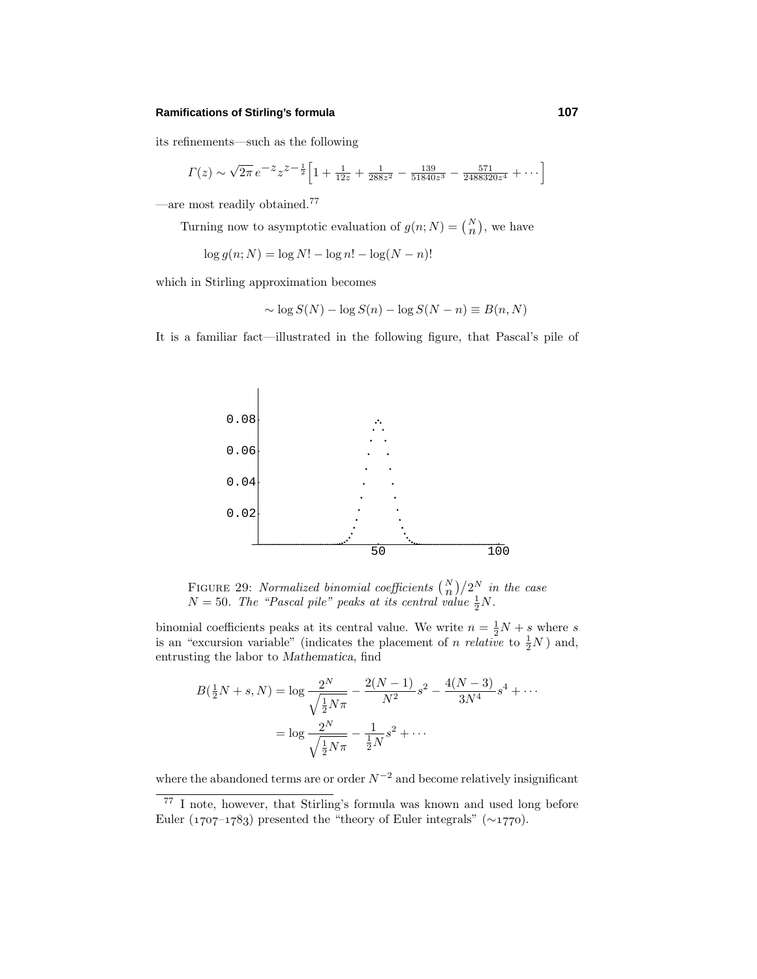#### **Ramifications of Stirling's formula 107**

its refinements—such as the following

$$
\Gamma(z) \sim \sqrt{2\pi} \, e^{-z} z^{z - \frac{1}{2}} \Big[ 1 + \frac{1}{12z} + \frac{1}{288z^2} - \frac{139}{51840z^3} - \frac{571}{2488320z^4} + \cdots \Big]
$$

—are most readily obtained.<sup>77</sup>

Turning now to asymptotic evaluation of  $g(n; N) = {N \choose n}$ , we have

log *g*(*n*; *N*) = log *N*! − log *n*! − log(*N* − *n*)!

which in Stirling approximation becomes

$$
\sim \log S(N) - \log S(n) - \log S(N - n) \equiv B(n, N)
$$

It is a familiar fact—illustrated in the following figure, that Pascal's pile of



FIGURE 29: Normalized binomial coefficients  $\binom{N}{n}/2^N$  in the case  $N = 50$ . The "Pascal pile" peaks at its central value  $\frac{1}{2}N$ .

binomial coefficients peaks at its central value. We write  $n = \frac{1}{2}N + s$  where *s* is an "excursion variable" (indicates the placement of *n* relative to  $\frac{1}{2}N$ ) and, entrusting the labor to *Mathematica*, find

$$
B(\frac{1}{2}N + s, N) = \log \frac{2^N}{\sqrt{\frac{1}{2}N\pi}} - \frac{2(N-1)}{N^2} s^2 - \frac{4(N-3)}{3N^4} s^4 + \cdots
$$

$$
= \log \frac{2^N}{\sqrt{\frac{1}{2}N\pi}} - \frac{1}{\frac{1}{2}N} s^2 + \cdots
$$

where the abandoned terms are or order  $N^{-2}$  and become relatively insignificant

<sup>77</sup> Inote, however, that Stirling's formula was known and used long before Euler ( $1707-1783$ ) presented the "theory of Euler integrals" (∼1770).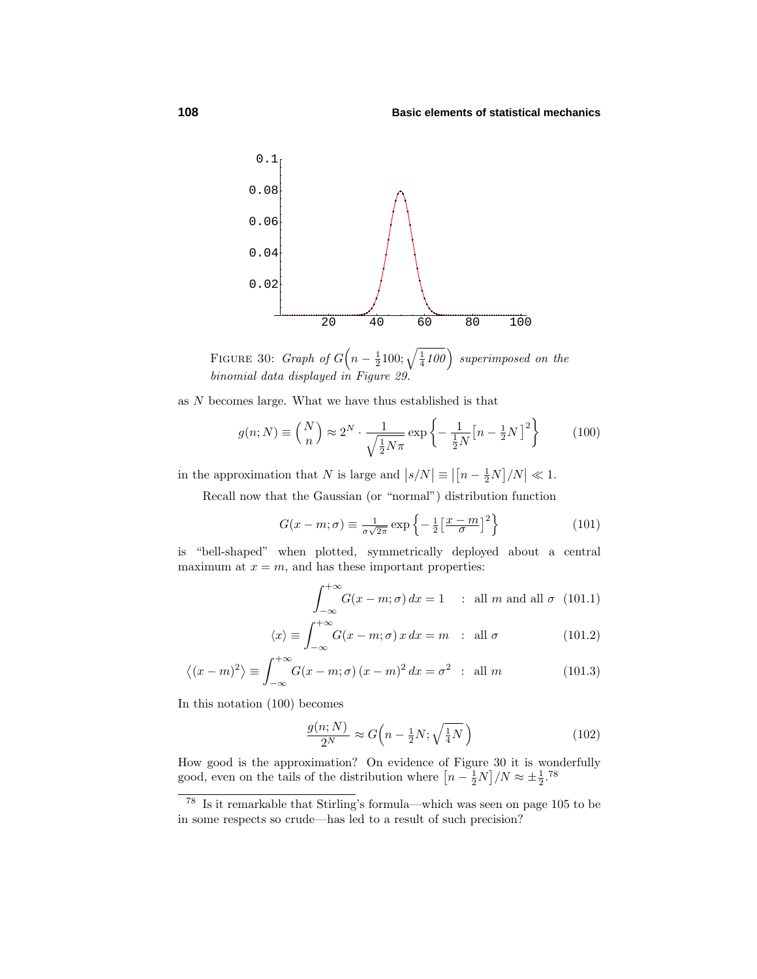

FIGURE 30: *Graph of G* $\left(n - \frac{1}{2}100; \sqrt{\frac{1}{4}100}\right)$  superimposed on the binomial data displayed in Figure 29.

as *N* becomes large. What we have thus established is that

$$
g(n;N) \equiv {N \choose n} \approx 2^N \cdot \frac{1}{\sqrt{\frac{1}{2}N\pi}} \exp\left\{-\frac{1}{\frac{1}{2}N} \left[n - \frac{1}{2}N\right]^2\right\} \tag{100}
$$

in the approximation that *N* is large and  $|s/N| \equiv |[n - \frac{1}{2}N]/N| \ll 1$ .

Recall now that the Gaussian (or "normal") distribution function

$$
G(x - m; \sigma) \equiv \frac{1}{\sigma \sqrt{2\pi}} \exp\left\{-\frac{1}{2} \left[\frac{x - m}{\sigma}\right]^2\right\} \tag{101}
$$

is "bell-shaped" when plotted, symmetrically deployed about a central maximum at  $x = m$ , and has these important properties:

$$
\int_{-\infty}^{+\infty} G(x - m; \sigma) dx = 1 \quad : \text{ all } m \text{ and all } \sigma \text{ (101.1)}
$$

$$
\langle x \rangle \equiv \int_{-\infty}^{+\infty} G(x - m; \sigma) x \, dx = m \quad : \text{ all } \sigma \tag{101.2}
$$

$$
\langle (x-m)^2 \rangle \equiv \int_{-\infty}^{+\infty} G(x-m;\sigma) (x-m)^2 dx = \sigma^2 \quad \text{all } m \tag{101.3}
$$

In this notation (100) becomes

$$
\frac{g(n;N)}{2^N} \approx G\left(n - \frac{1}{2}N; \sqrt{\frac{1}{4}N}\right)
$$
\n(102)

How good is the approximation? On evidence of Figure 30 it is wonderfully good, even on the tails of the distribution where  $\left[ n - \frac{1}{2}N \right] / N \approx \pm \frac{1}{2}$ .<sup>78</sup>

<sup>78</sup> Is it remarkable that Stirling's formula—which was seen on page 105 to be in some respects so crude—has led to a result of such precision?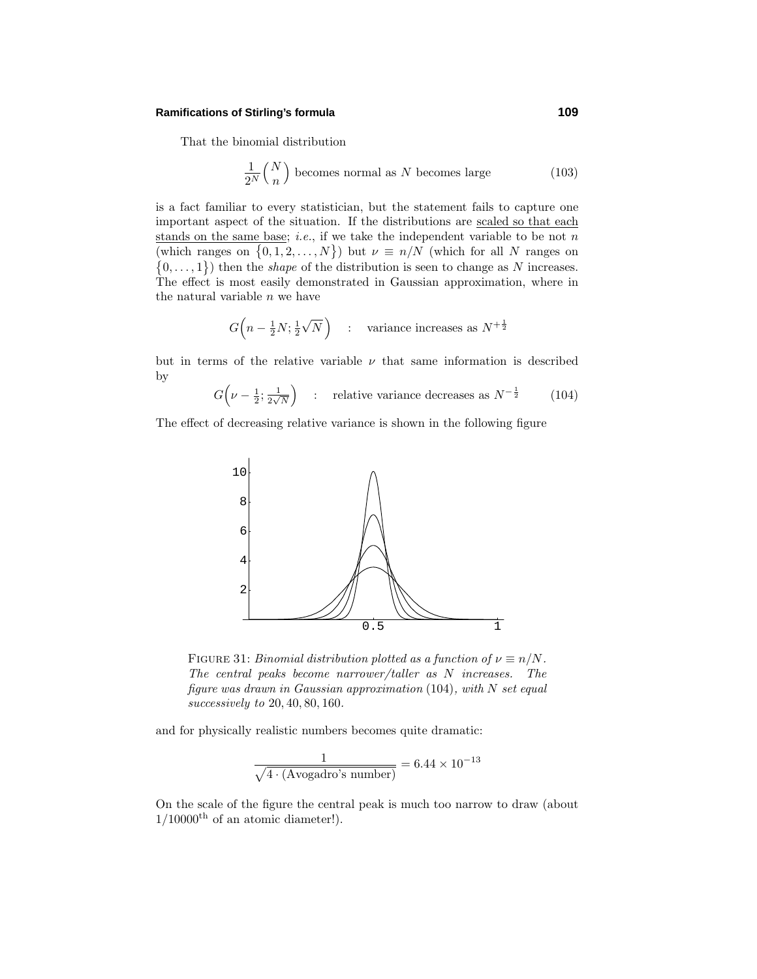#### **Ramifications of Stirling's formula 109**

That the binomial distribution

$$
\frac{1}{2^N} {N \choose n}
$$
 becomes normal as N becomes large (103)

is a fact familiar to every statistician, but the statement fails to capture one important aspect of the situation. If the distributions are scaled so that each stands on the same base; i.e., if we take the independent variable to be not *n* (which ranges on  $\{0, 1, 2, ..., N\}$ ) but  $\nu \equiv n/N$  (which for all *N* ranges on  $\{0,\ldots,1\}$  then the *shape* of the distribution is seen to change as *N* increases. The effect is most easily demonstrated in Gaussian approximation, where in the natural variable *n* we have

$$
G\Big(n-\tfrac12N;\tfrac12\sqrt{N}\Big)\quad :\quad \text{variance increases as $N^{+\frac12}$}
$$

but in terms of the relative variable  $\nu$  that same information is described by

$$
G\left(\nu - \frac{1}{2}; \frac{1}{2\sqrt{N}}\right)
$$
 : relative variance decreases as  $N^{-\frac{1}{2}}$  (104)

The effect of decreasing relative variance is shown in the following figure



FIGURE 31: *Binomial distribution plotted as a function of*  $\nu \equiv n/N$ . The central peaks become narrower/taller as *N* increases. The figure was drawn in Gaussian approximation (104), with *N* set equal successively to 20, 40, 80, 160.

and for physically realistic numbers becomes quite dramatic:

$$
\frac{1}{\sqrt{4 \cdot (\text{Avogadro's number})}} = 6.44 \times 10^{-13}
$$

On the scale of the figure the central peak is much too narrow to draw (about  $1/10000$ <sup>th</sup> of an atomic diameter!).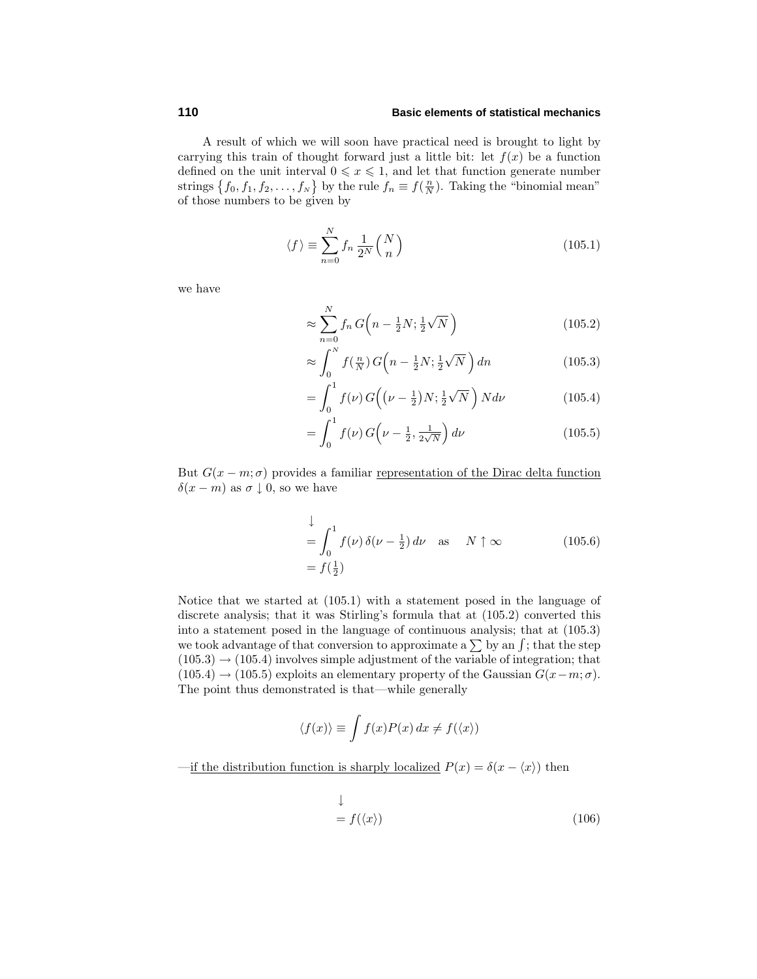A result of which we will soon have practical need is brought to light by carrying this train of thought forward just a little bit: let  $f(x)$  be a function defined on the unit interval  $0 \leqslant x \leqslant 1$ , and let that function generate number strings  $\{f_0, f_1, f_2, \ldots, f_N\}$  by the rule  $f_n \equiv f(\frac{n}{N})$ . Taking the "binomial mean" of those numbers to be given by

$$
\langle f \rangle \equiv \sum_{n=0}^{N} f_n \frac{1}{2^N} {N \choose n}
$$
 (105.1)

we have

$$
\approx \sum_{n=0}^{N} f_n G\left(n - \frac{1}{2}N; \frac{1}{2}\sqrt{N}\right)
$$
\n(105.2)

$$
\approx \int_0^N f\left(\frac{n}{N}\right) G\left(n - \frac{1}{2}N; \frac{1}{2}\sqrt{N}\right) dn \tag{105.3}
$$

$$
= \int_0^1 f(\nu) G((\nu - \frac{1}{2})N; \frac{1}{2}\sqrt{N}) N d\nu \tag{105.4}
$$

$$
= \int_0^1 f(\nu) G\left(\nu - \frac{1}{2}, \frac{1}{2\sqrt{N}}\right) d\nu \tag{105.5}
$$

But  $G(x - m; \sigma)$  provides a familiar <u>representation of the Dirac delta function</u> *δ*(*x* − *m*) as  $\sigma \downarrow 0$ , so we have

$$
\downarrow
$$
\n
$$
= \int_0^1 f(\nu) \, \delta(\nu - \frac{1}{2}) \, d\nu \quad \text{as} \quad N \uparrow \infty
$$
\n
$$
= f(\frac{1}{2}) \tag{105.6}
$$

Notice that we started at (105.1) with a statement posed in the language of discrete analysis; that it was Stirling's formula that at  $(105.2)$  converted this into a statement posed in the language of continuous analysis; that at  $(105.3)$ we took advantage of that conversion to approximate a  $\sum$  by an  $\int$ ; that the step  $(105.3) \rightarrow (105.4)$  involves simple adjustment of the variable of integration; that  $(105.4) \rightarrow (105.5)$  exploits an elementary property of the Gaussian  $G(x-m; \sigma)$ . The point thus demonstrated is that—while generally

$$
\langle f(x) \rangle \equiv \int f(x)P(x) \, dx \neq f(\langle x \rangle)
$$

 $-\underline{\text{if the distribution function is sharply localized}} P(x) = \delta(x - \langle x \rangle)$  then

$$
\downarrow
$$
  
=  $f(\langle x \rangle)$  (106)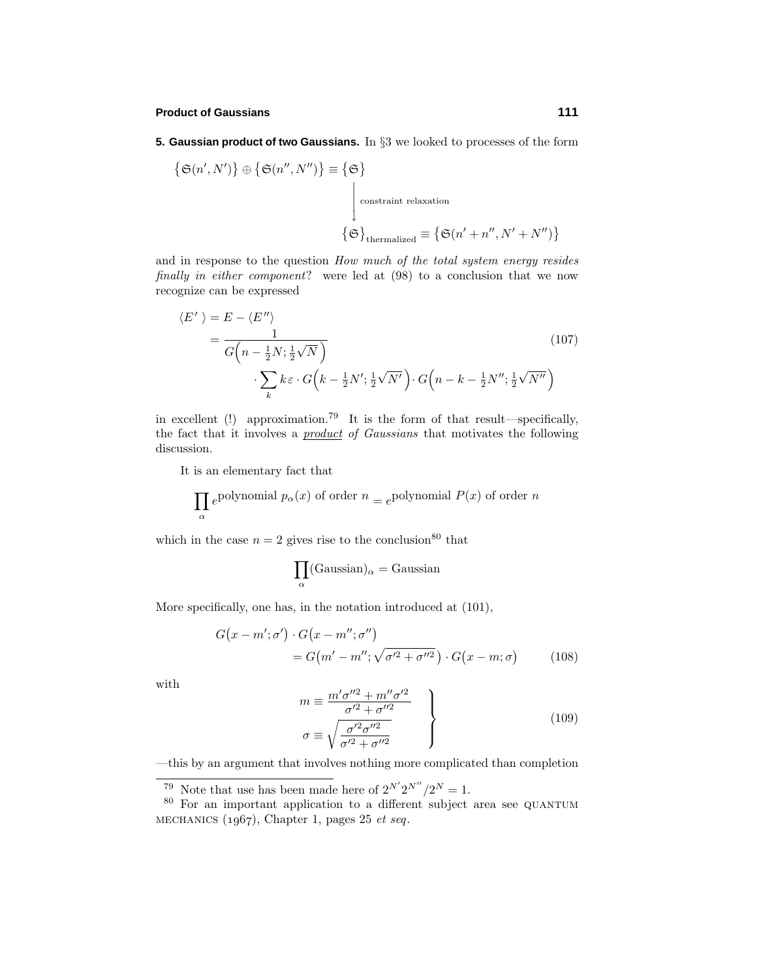#### **Product of Gaussians 111**

**5. Gaussian product of two Gaussians.** In §3 we looked to processes of the form

$$
\{\mathfrak{S}(n',N')\} \oplus \{\mathfrak{S}(n'',N'')\} \equiv \{\mathfrak{S}\}
$$
\n
$$
\downarrow \text{constraint relaxation}
$$
\n
$$
\{\mathfrak{S}\}_{\text{thermalized}} \equiv \{\mathfrak{S}(n'+n'',N'+N'')\}
$$

and in response to the question How much of the total system energy resides finally in either component? were led at  $(98)$  to a conclusion that we now recognize can be expressed

$$
\langle E' \rangle = E - \langle E'' \rangle
$$
  
= 
$$
\frac{1}{G\left(n - \frac{1}{2}N; \frac{1}{2}\sqrt{N}\right)}
$$
  

$$
\sum_{k} k \varepsilon \cdot G\left(k - \frac{1}{2}N'; \frac{1}{2}\sqrt{N'}\right) \cdot G\left(n - k - \frac{1}{2}N''; \frac{1}{2}\sqrt{N''}\right)
$$
 (107)

in excellent (!) approximation.<sup>79</sup> It is the form of that result—specifically, the fact that it involves a product of Gaussians that motivates the following discussion.

It is an elementary fact that

$$
\prod_{\alpha} e^{\text{polynomial } p_{\alpha}(x) \text{ of order } n} = e^{\text{polynomial } P(x) \text{ of order } n}
$$

which in the case  $n = 2$  gives rise to the conclusion<sup>80</sup> that

$$
\prod_{\alpha}(\text{Gaussian})_{\alpha} = \text{Gaussian}
$$

More specifically, one has, in the notation introduced at  $(101)$ ,

$$
G(x - m'; \sigma') \cdot G(x - m''; \sigma'')
$$
  
=  $G(m' - m''; \sqrt{\sigma'^2 + \sigma''^2}) \cdot G(x - m; \sigma)$  (108)

with

$$
m \equiv \frac{m'\sigma''^2 + m''\sigma'^2}{\sigma'^2 + \sigma''^2}
$$
  
\n
$$
\sigma \equiv \sqrt{\frac{\sigma'^2 \sigma''^2}{\sigma'^2 + \sigma''^2}}
$$
\n(109)

—this by an argument that involves nothing more complicated than completion

<sup>&</sup>lt;sup>79</sup> Note that use has been made here of  $2^{N'}2^{N''}/2^N = 1$ .

<sup>80</sup> For an important application to a different subject area see quantum MECHANICS  $(1967)$ , Chapter 1, pages 25 et seq.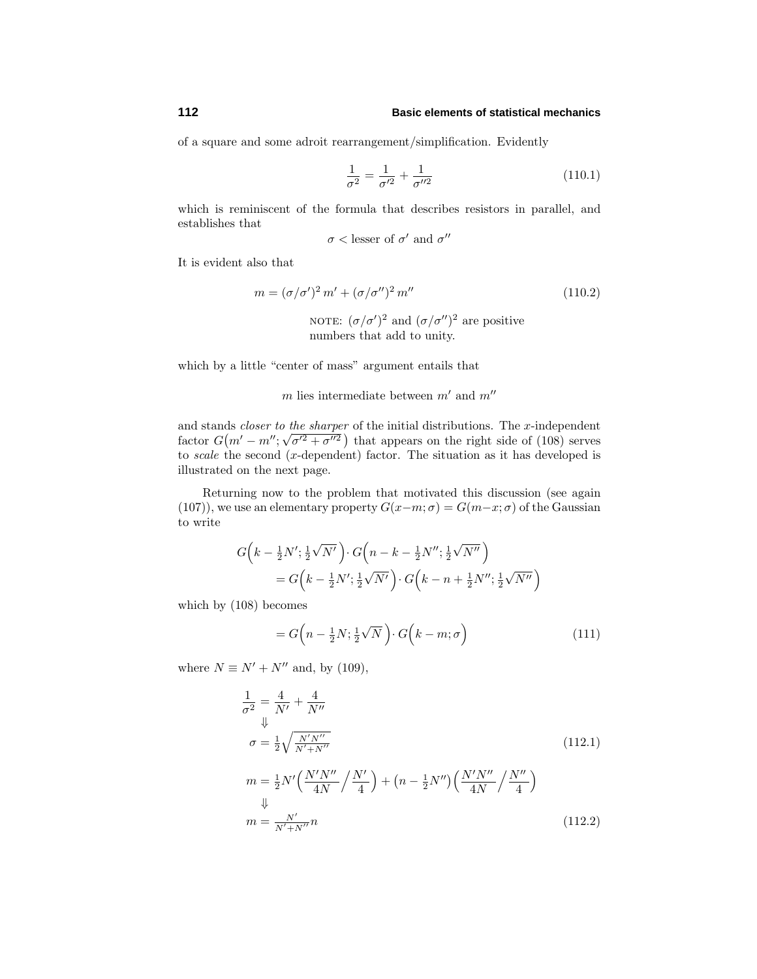of a square and some adroit rearrangement/simplification. Evidently

$$
\frac{1}{\sigma^2} = \frac{1}{\sigma'^2} + \frac{1}{\sigma''^2}
$$
 (110.1)

which is reminiscent of the formula that describes resistors in parallel, and establishes that

$$
\sigma
$$
   
  $\sigma$    
lesser of  $\sigma'$  and  $\sigma''$ 

It is evident also that

$$
m = (\sigma/\sigma')^2 m' + (\sigma/\sigma'')^2 m''
$$
\n
$$
\text{NOTE: } (\sigma/\sigma')^2 \text{ and } (\sigma/\sigma'')^2 \text{ are positive numbers that add to unity.}
$$
\n(110.2)

which by a little "center of mass" argument entails that

*m* lies intermediate between  $m'$  and  $m''$ 

and stands closer to the sharper of the initial distributions. The *x*-independent factor  $G(m'-m''; \sqrt{\sigma'^2 + \sigma'^2})$  that appears on the right side of (108) serves to scale the second (*x*-dependent) factor. The situation as it has developed is illustrated on the next page.

Returning now to the problem that motivated this discussion (see again (107)), we use an elementary property  $G(x-m;\sigma) = G(m-x;\sigma)$  of the Gaussian to write

$$
G\left(k - \frac{1}{2}N'; \frac{1}{2}\sqrt{N'}\right) \cdot G\left(n - k - \frac{1}{2}N''; \frac{1}{2}\sqrt{N''}\right) = G\left(k - \frac{1}{2}N'; \frac{1}{2}\sqrt{N'}\right) \cdot G\left(k - n + \frac{1}{2}N''; \frac{1}{2}\sqrt{N''}\right)
$$

which by (108) becomes

$$
= G\left(n - \frac{1}{2}N; \frac{1}{2}\sqrt{N}\right) \cdot G\left(k - m; \sigma\right)
$$
\n(111)

where  $N \equiv N' + N''$  and, by (109),

$$
\frac{1}{\sigma^2} = \frac{4}{N'} + \frac{4}{N''}
$$
\n
$$
\psi
$$
\n
$$
\sigma = \frac{1}{2} \sqrt{\frac{N'N''}{N' + N''}}
$$
\n
$$
m = \frac{1}{2} N' \left( \frac{N'N''}{4N} / \frac{N'}{4} \right) + (n - \frac{1}{2} N'') \left( \frac{N'N''}{4N} / \frac{N''}{4} \right)
$$
\n
$$
\psi
$$
\n
$$
m = \frac{N'}{N' + N''} n
$$
\n(112.2)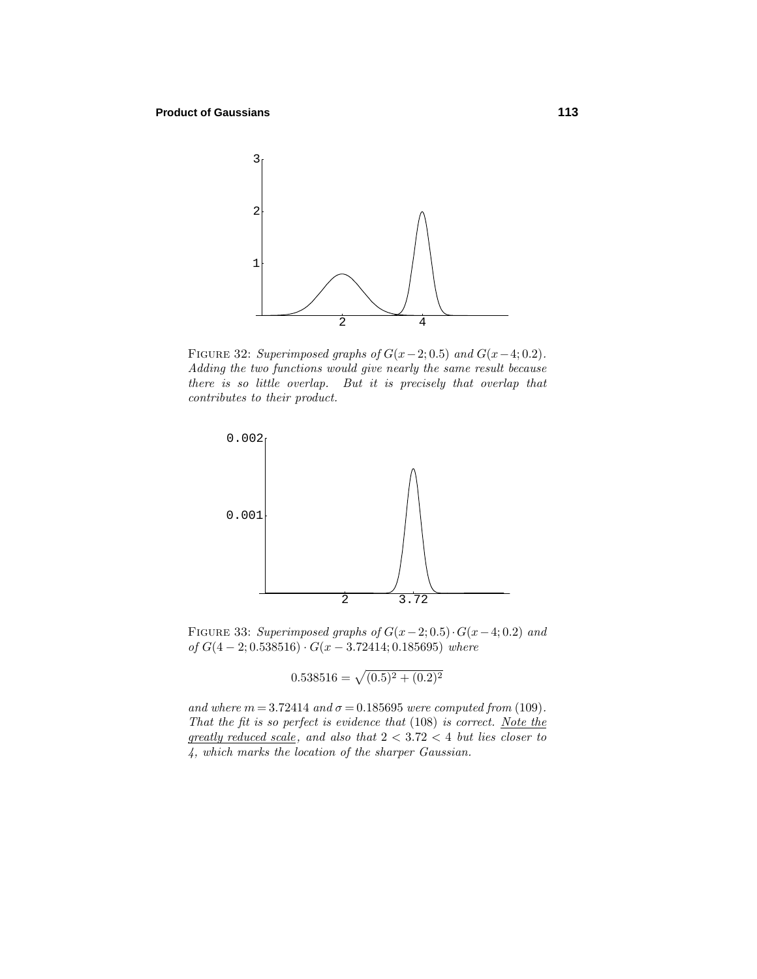

FIGURE 32: Superimposed graphs of  $G(x-2;0.5)$  and  $G(x-4;0.2)$ . Adding the two functions would give nearly the same result because there is so little overlap. But it is precisely that overlap that contributes to their product.



FIGURE 33: Superimposed graphs of  $G(x-2;0.5) \cdot G(x-4;0.2)$  and  $of G(4-2; 0.538516) \cdot G(x-3.72414; 0.185695)$  where

$$
0.538516 = \sqrt{(0.5)^2 + (0.2)^2}
$$

and where  $m = 3.72414$  and  $\sigma = 0.185695$  were computed from (109). That the fit is so perfect is evidence that (108) is correct. Note the  $greatly reduced scale, and also that 2 < 3.72 < 4 but lies closer to$ 4, which marks the location of the sharper Gaussian.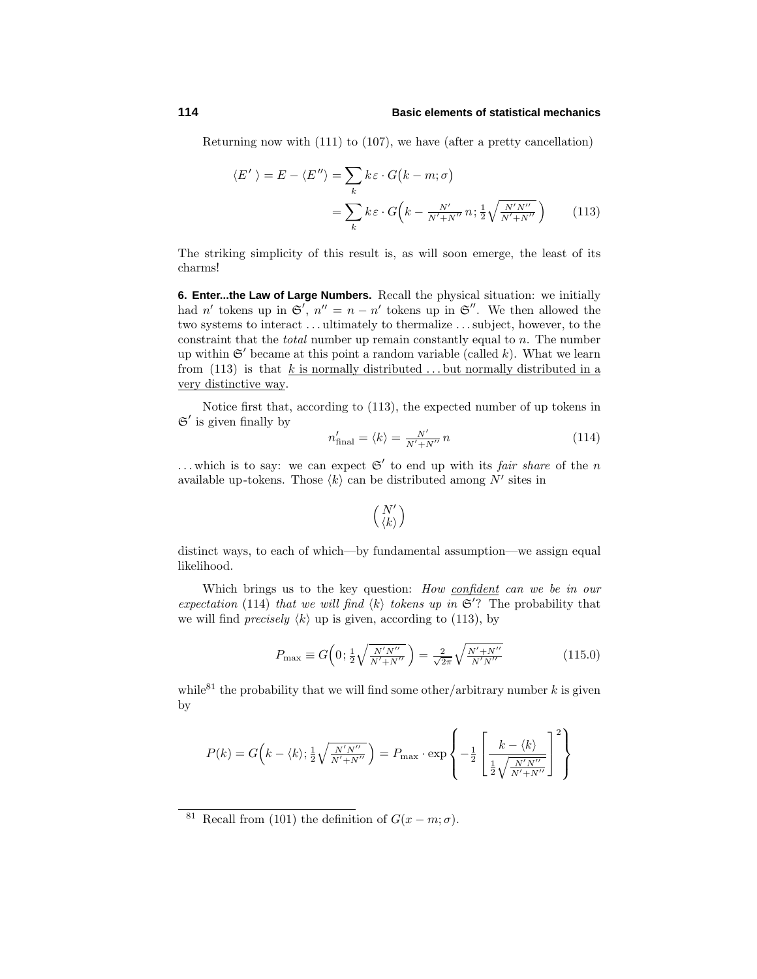Returning now with (111) to (107), we have (after a pretty cancellation)

$$
\langle E' \rangle = E - \langle E'' \rangle = \sum_{k} k \varepsilon \cdot G(k - m; \sigma)
$$

$$
= \sum_{k} k \varepsilon \cdot G\left(k - \frac{N'}{N' + N''} n; \frac{1}{2} \sqrt{\frac{N' N''}{N' + N''}}\right) \tag{113}
$$

The striking simplicity of this result is, as will soon emerge, the least of its charms!

**6. Enter...the Law of Large Numbers.** Recall the physical situation: we initially had *n'* tokens up in  $\mathfrak{S}'$ ,  $n'' = n - n'$  tokens up in  $\mathfrak{S}''$ . We then allowed the two systems to interact *...* ultimately to thermalize *...*subject, however, to the constraint that the total number up remain constantly equal to *n*. The number up within  $\mathfrak{S}'$  became at this point a random variable (called k). What we learn from (113) is that *k* is normally distributed *...* but normally distributed in a very distinctive way.

Notice first that, according to (113), the expected number of up tokens in  $\mathfrak{S}'$  is given finally by

$$
n'_{\text{final}} = \langle k \rangle = \frac{N'}{N' + N''} n \tag{114}
$$

... which is to say: we can expect  $\mathfrak{S}'$  to end up with its *fair share* of the *n* available up-tokens. Those  $\langle k \rangle$  can be distributed among N' sites in

$$
\left({N'\atop \langle k\rangle}\right)
$$

distinct ways, to each of which—by fundamental assumption—we assign equal likelihood.

Which brings us to the key question: How confident can we be in our expectation (114) that we will find  $\langle k \rangle$  tokens up in  $\mathfrak{S}'$ ? The probability that we will find *precisely*  $\langle k \rangle$  up is given, according to (113), by

$$
P_{\text{max}} \equiv G\Big(0; \frac{1}{2}\sqrt{\frac{N'N''}{N'+N''}}\Big) = \frac{2}{\sqrt{2\pi}}\sqrt{\frac{N'+N''}{N'N''}}\tag{115.0}
$$

while<sup>81</sup> the probability that we will find some other/arbitrary number  $k$  is given by

$$
P(k) = G\left(k - \langle k \rangle; \frac{1}{2} \sqrt{\frac{N' N''}{N' + N''}}\right) = P_{\text{max}} \cdot \exp\left\{-\frac{1}{2} \left[\frac{k - \langle k \rangle}{\frac{1}{2} \sqrt{\frac{N' N''}{N' + N''}}}\right]^2\right\}
$$

<sup>81</sup> Recall from (101) the definition of  $G(x - m; \sigma)$ .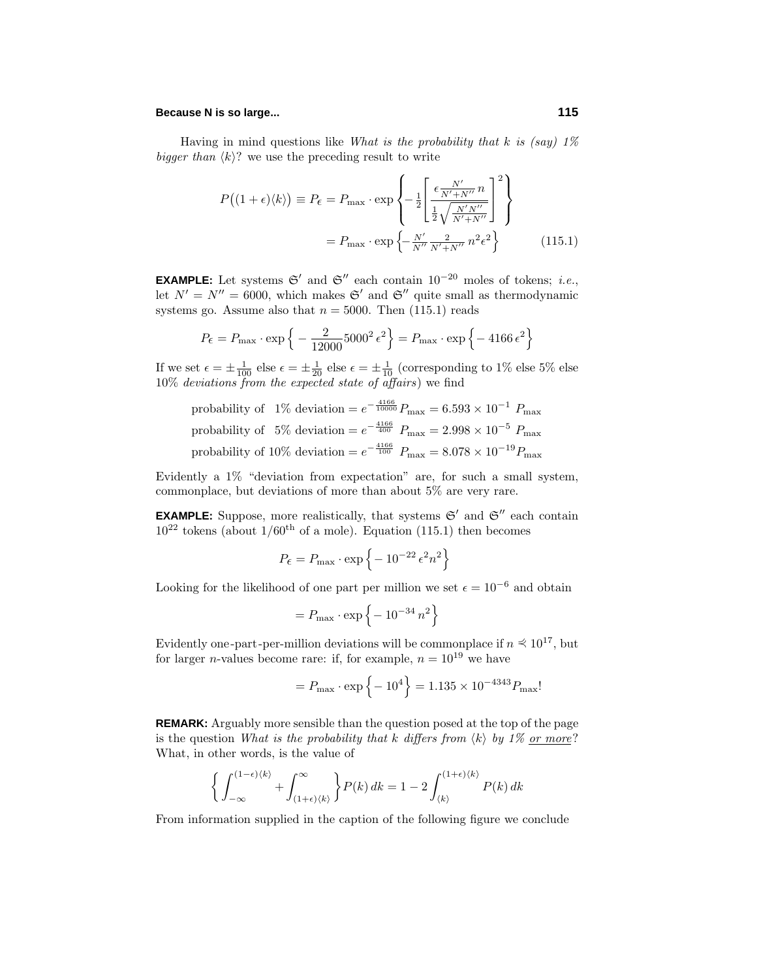# **Because N is so large... 115**

Having in mind questions like What is the probability that *k* is (say)  $1\%$ *bigger than*  $\langle k \rangle$ ? we use the preceding result to write

$$
P((1+\epsilon)\langle k\rangle) \equiv P_{\epsilon} = P_{\text{max}} \cdot \exp\left\{-\frac{1}{2} \left[ \frac{\epsilon \frac{N'}{N' + N''} n}{\frac{1}{2} \sqrt{\frac{N' N''}{N' + N''}}} \right]^2 \right\}
$$

$$
= P_{\text{max}} \cdot \exp\left\{-\frac{N'}{N''} \frac{2}{N' + N''} n^2 \epsilon^2 \right\} \tag{115.1}
$$

**EXAMPLE:** Let systems  $\mathfrak{S}'$  and  $\mathfrak{S}''$  each contain  $10^{-20}$  moles of tokens; *i.e.*, let  $N' = N'' = 6000$ , which makes  $\mathfrak{S}'$  and  $\mathfrak{S}''$  quite small as thermodynamic systems go. Assume also that  $n = 5000$ . Then  $(115.1)$  reads

$$
P_{\epsilon} = P_{\text{max}} \cdot \exp\left\{-\frac{2}{12000}5000^2 \epsilon^2\right\} = P_{\text{max}} \cdot \exp\left\{-4166 \epsilon^2\right\}
$$

If we set  $\epsilon = \pm \frac{1}{100}$  else  $\epsilon = \pm \frac{1}{20}$  else  $\epsilon = \pm \frac{1}{10}$  (corresponding to 1% else 5% else 10% deviations from the expected state of affairs) we find

probability of 1% deviation =  $e^{-\frac{4166}{10000}}P_{\text{max}} = 6.593 \times 10^{-1} P_{\text{max}}$ probability of 5% deviation =  $e^{-\frac{4166}{400}} P_{\text{max}} = 2.998 \times 10^{-5} P_{\text{max}}$ probability of 10% deviation =  $e^{-\frac{4166}{100}} P_{\text{max}} = 8.078 \times 10^{-19} P_{\text{max}}$ 

Evidently a 1% "deviation from expectation" are, for such a small system, commonplace, but deviations of more than about 5% are very rare.

**EXAMPLE:** Suppose, more realistically, that systems  $\mathfrak{S}'$  and  $\mathfrak{S}''$  each contain  $10^{22}$  tokens (about  $1/60^{th}$  of a mole). Equation (115.1) then becomes

$$
P_{\epsilon} = P_{\text{max}} \cdot \exp\left\{-10^{-22} \epsilon^2 n^2\right\}
$$

Looking for the likelihood of one part per million we set  $\epsilon = 10^{-6}$  and obtain

$$
= P_{\text{max}} \cdot \exp\left\{-10^{-34} n^2\right\}
$$

Evidently one-part-per-million deviations will be commonplace if  $n \leq 10^{17}$ , but for larger *n*-values become rare: if, for example,  $n = 10^{19}$  we have

$$
= P_{\text{max}} \cdot \exp\left\{-10^4\right\} = 1.135 \times 10^{-4343} P_{\text{max}}!
$$

**REMARK:** Arguably more sensible than the question posed at the top of the page is the question What is the probability that *k* differs from  $\langle k \rangle$  by 1% or more? What, in other words, is the value of

$$
\bigg\{ \int_{-\infty}^{(1-\epsilon)(k)} + \int_{(1+\epsilon)(k)}^{\infty} \bigg\} P(k) \, dk = 1 - 2 \int_{\langle k \rangle}^{(1+\epsilon)(k)} P(k) \, dk
$$

From information supplied in the caption of the following figure we conclude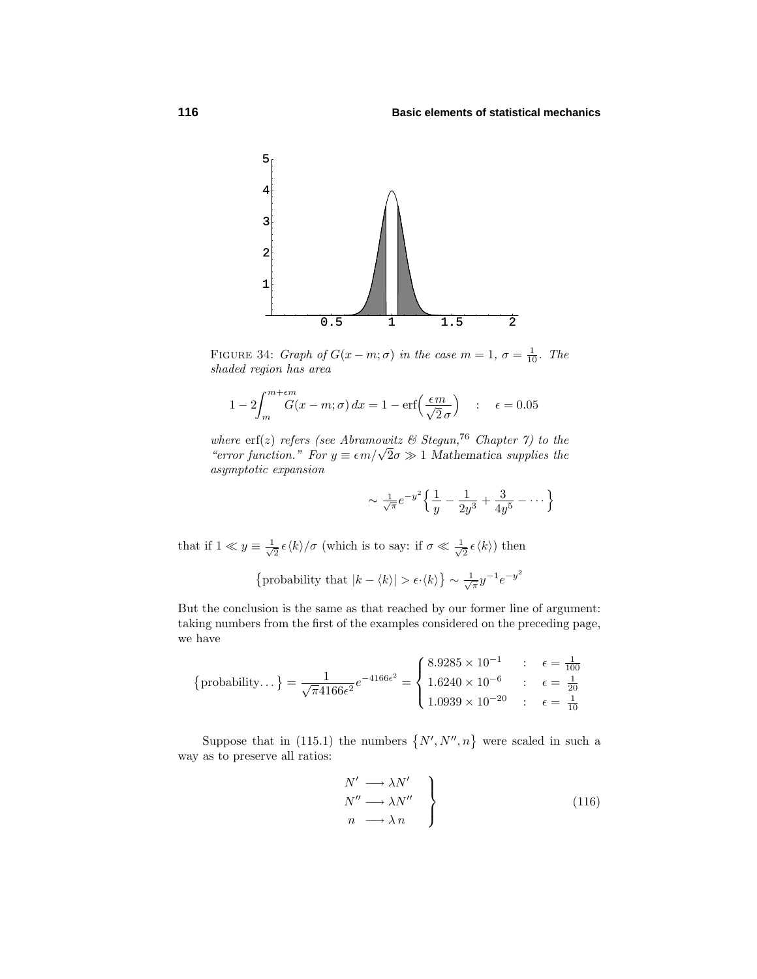

FIGURE 34: *Graph of*  $G(x - m; \sigma)$  in the case  $m = 1, \sigma = \frac{1}{10}$ . The shaded region has area

$$
1 - 2 \int_{m}^{m + \epsilon m} G(x - m; \sigma) dx = 1 - \text{erf}\left(\frac{\epsilon m}{\sqrt{2} \sigma}\right) \quad : \quad \epsilon = 0.05
$$

where  $\text{erf}(z)$  refers (see Abramowitz & Stegun,<sup>76</sup> Chapter 7) to the "error function." For  $y \equiv \epsilon m/\sqrt{2}\sigma \gg 1$  Mathematica supplies the asymptotic expansion

$$
\sim \frac{1}{\sqrt{\pi}} e^{-y^2} \left\{ \frac{1}{y} - \frac{1}{2y^3} + \frac{3}{4y^5} - \dots \right\}
$$

that if  $1 \ll y \equiv \frac{1}{\sqrt{2}} \epsilon \langle k \rangle / \sigma$  (which is to say: if  $\sigma \ll \frac{1}{\sqrt{2}} \epsilon \langle k \rangle$ ) then {probability that  $|k - \langle k \rangle| > \epsilon \cdot \langle k \rangle$ } ~  $\frac{1}{\sqrt{\pi}} y^{-1} e^{-y^2}$ 

But the conclusion is the same as that reached by our former line of argument: taking numbers from the first of the examples considered on the preceding page, we have

{probability...} = 
$$
\frac{1}{\sqrt{\pi}4166\epsilon^2}e^{-4166\epsilon^2}
$$
 =  $\begin{cases} 8.9285 \times 10^{-1} & : \epsilon = \frac{1}{100} \\ 1.6240 \times 10^{-6} & : \epsilon = \frac{1}{20} \\ 1.0939 \times 10^{-20} & : \epsilon = \frac{1}{10} \end{cases}$ 

Suppose that in (115.1) the numbers  $\{N', N'', n\}$  were scaled in such a way as to preserve all ratios:

$$
\begin{aligned}\nN' &\longrightarrow \lambda N' \\
N'' &\longrightarrow \lambda N'' \\
n &\longrightarrow \lambda n\n\end{aligned}\n\bigg\} \tag{116}
$$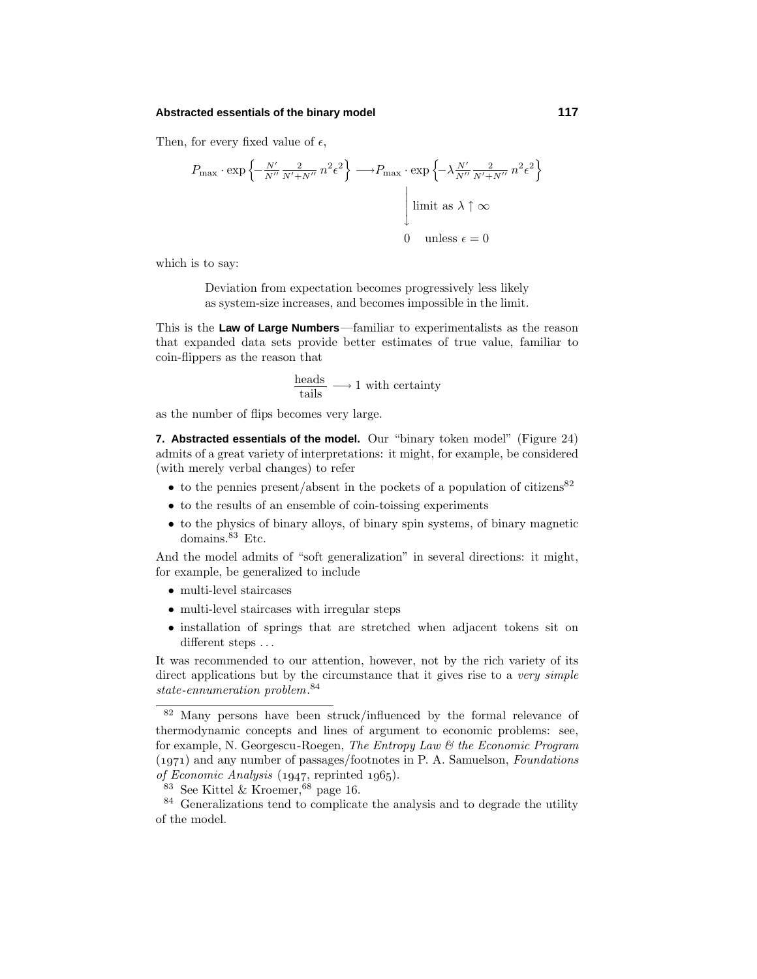# **Abstracted essentials of the binary model 117**

Then, for every fixed value of  $\epsilon$ ,

$$
P_{\max} \cdot \exp\left\{-\frac{N'}{N''} \frac{2}{N'+N''} n^2 \epsilon^2\right\} \longrightarrow P_{\max} \cdot \exp\left\{-\lambda \frac{N'}{N''} \frac{2}{N'+N''} n^2 \epsilon^2\right\}
$$
  
limit as  $\lambda \uparrow \infty$   
0 unless  $\epsilon = 0$ 

which is to say:

Deviation from expectation becomes progressively less likely as system-size increases, and becomes impossible in the limit.

This is the **Law of Large Numbers**—familiar to experimentalists as the reason that expanded data sets provide better estimates of true value, familiar to coin-flippers as the reason that

$$
\frac{\text{heads}}{\text{tails}} \longrightarrow 1 \text{ with certainty}
$$

as the number of flips becomes very large.

**7. Abstracted essentials of the model.** Our "binary token model" (Figure 24) admits of a great variety of interpretations: it might, for example, be considered (with merely verbal changes) to refer

- to the pennies present/absent in the pockets of a population of citizens<sup>82</sup>
- to the results of an ensemble of coin-toissing experiments
- to the physics of binary alloys, of binary spin systems, of binary magnetic domains. $83$  Etc.

And the model admits of "soft generalization" in several directions: it might, for example, be generalized to include

- multi-level staircases
- multi-level staircases with irregular steps
- installation of springs that are stretched when adjacent tokens sit on different steps *...*

It was recommended to our attention, however, not by the rich variety of its direct applications but by the circumstance that it gives rise to a very simple state-ennumeration problem. 84

<sup>82</sup> Many persons have been struck/influenced by the formal relevance of thermodynamic concepts and lines of argument to economic problems: see, for example, N. Georgescu-Roegen, The Entropy Law  $\mathcal B$  the Economic Program  $(1971)$  and any number of passages/footnotes in P. A. Samuelson, *Foundations* of Economic Analysis  $(1947,$  reprinted  $1965)$ .

 $83$  See Kittel & Kroemer,  $68$  page 16.

<sup>84</sup> Generalizations tend to complicate the analysis and to degrade the utility of the model.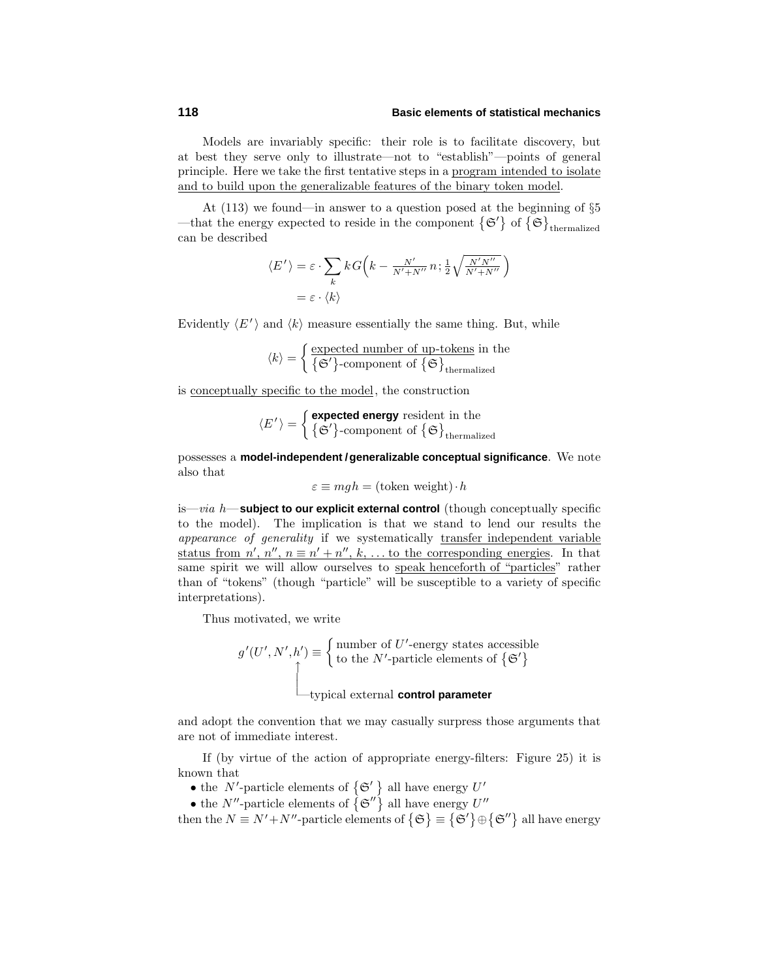Models are invariably specific: their role is to facilitate discovery, but at best they serve only to illustrate—not to "establish"—points of general principle. Here we take the first tentative steps in a program intended to isolate and to build upon the generalizable features of the binary token model.

At (113) we found—in answer to a question posed at the beginning of §5 —that the energy expected to reside in the component  $\{\mathfrak{S}'\}$  of  $\{\mathfrak{S}\}_{\text{thermalized}}$ can be described

$$
\langle E' \rangle = \varepsilon \cdot \sum_{k} k G \Big( k - \frac{N'}{N' + N''} n; \frac{1}{2} \sqrt{\frac{N' N''}{N' + N''}} \Big)
$$

$$
= \varepsilon \cdot \langle k \rangle
$$

Evidently  $\langle E' \rangle$  and  $\langle k \rangle$  measure essentially the same thing. But, while

$$
\langle k \rangle = \begin{cases} \frac{\text{expected number of up-tokens}}{\text{[G']-component of }\{\mathfrak{S}\}_{\text{thermalized}}}\end{cases}
$$

is conceptually specific to the model, the construction

$$
\langle E' \rangle = \begin{cases} \text{expected energy resident in the} \\ \{\mathfrak{S}'\} \text{-component of } \{\mathfrak{S}\}_{\text{thermalized}} \end{cases}
$$

possesses a **model-independent /generalizable conceptual significance**. We note also that

$$
\varepsilon \equiv mgh = (\text{token weight}) \cdot h
$$

is—via *h*—**subject to our explicit external control** (though conceptually specific to the model). The implication is that we stand to lend our results the appearance of generality if we systematically transfer independent variable status from  $n', n'', n \equiv n' + n'', k, \ldots$  to the corresponding energies. In that same spirit we will allow ourselves to speak henceforth of "particles" rather than of "tokens" (though "particle" will be susceptible to a variety of specific interpretations).

Thus motivated, we write

$$
g'(U', N', h') \equiv \begin{cases} \text{number of } U' \text{-energy states accessible} \\ \text{to the } N' \text{-particle elements of } \{ \mathfrak{S}' \} \\ \text{typical external control parameter} \end{cases}
$$

and adopt the convention that we may casually surpress those arguments that are not of immediate interest.

If (by virtue of the action of appropriate energy-filters: Figure 25) it is known that

• the *N'*-particle elements of  $\{\mathfrak{S}'\}$  all have energy  $U'$ 

• the  $N''$ -particle elements of  $\{\mathfrak{S}''\}$  all have energy  $U''$ 

then the  $N \equiv N' + N''$ -particle elements of  $\{\mathfrak{S}\}\equiv \{\mathfrak{S}'\}\oplus \{\mathfrak{S}''\}$  all have energy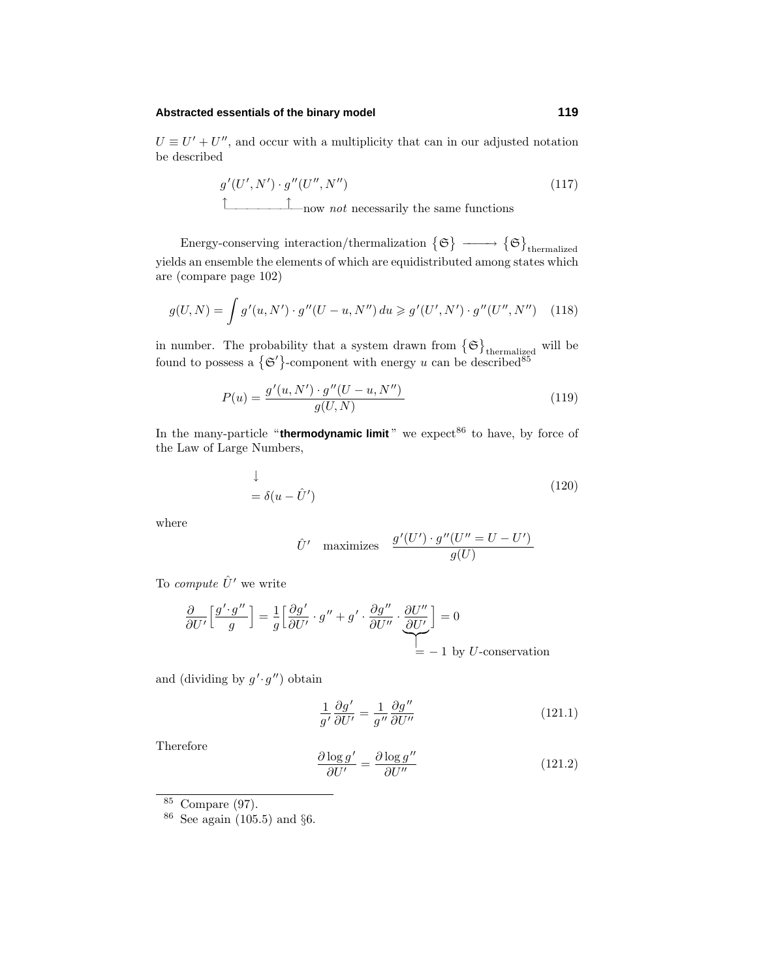# **Abstracted essentials of the binary model 119**

 $U \equiv U' + U''$ , and occur with a multiplicity that can in our adjusted notation be described

$$
g'(U', N') \cdot g''(U'', N'')
$$
\n
$$
\updownarrow
$$
\n
$$
\updownarrow
$$
\n
$$
\updownarrow
$$
\n
$$
\updownarrow
$$
\n(117)

Energy-conserving interaction/thermalization  $\{\mathfrak{S}\} \longrightarrow {\{\mathfrak{S}\}}_{\text{thermalized}}$ yields an ensemble the elements of which are equidistributed among states which are (compare page 102)

$$
g(U, N) = \int g'(u, N') \cdot g''(U - u, N'') du \ge g'(U', N') \cdot g''(U'', N'') \quad (118)
$$

in number. The probability that a system drawn from  $\{\mathfrak{S}\}_{\text{thermalized}}$  will be found to possess a  $\{\mathfrak{S}'\}$ -component with energy *u* can be described<sup>85</sup>

$$
P(u) = \frac{g'(u, N') \cdot g''(U - u, N'')}{g(U, N)}
$$
\n(119)

In the many-particle "**thermodynamic limit**" we expect<sup>86</sup> to have, by force of the Law of Large Numbers,

$$
\downarrow
$$
  
=  $\delta(u - \hat{U}')$  (120)

where

$$
\hat{U}' \quad \text{maximizes} \quad \frac{g'(U') \cdot g''(U'' = U - U')}{g(U)}
$$

To *compute*  $\hat{U}'$  we write

$$
\frac{\partial}{\partial U'} \Big[ \frac{g' \cdot g''}{g} \Big] = \frac{1}{g} \Big[ \frac{\partial g'}{\partial U'} \cdot g'' + g' \cdot \frac{\partial g''}{\partial U''} \cdot \underbrace{\frac{\partial U''}{\partial U'}}_{= -1 \text{ by } U\text{-conservation}} \Big]
$$

and (dividing by  $g' \cdot g''$ ) obtain

$$
\frac{1}{g'}\frac{\partial g'}{\partial U'} = \frac{1}{g''}\frac{\partial g''}{\partial U''}
$$
(121.1)

Therefore

$$
\frac{\partial \log g'}{\partial U'} = \frac{\partial \log g''}{\partial U''}
$$
(121.2)

 $85$  Compare (97).

 $86$  See again (105.5) and §6.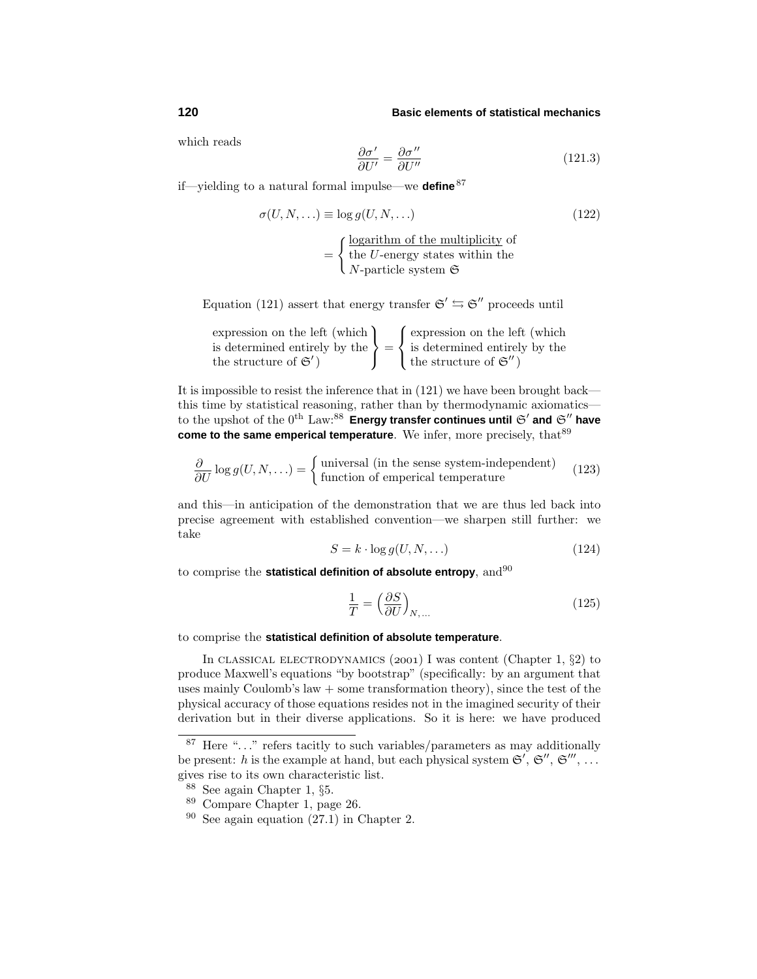which reads

$$
\frac{\partial \sigma'}{\partial U'} = \frac{\partial \sigma''}{\partial U''}
$$
(121.3)

if—yielding to a natural formal impulse—we **define** <sup>87</sup>

$$
\sigma(U, N, \ldots) \equiv \log g(U, N, \ldots) \tag{122}
$$

=  $\begin{cases} \frac{\text{logarithm of the multiplicity of}}{\text{the } U\text{-energy states within the}} \\ N\text{-particle system } \mathfrak{S} \end{cases}$ the *U*-energy states within the *N*-particle system S

Equation (121) assert that energy transfer  $\mathfrak{S}' \leftrightarrows \mathfrak{S}''$  proceeds until

| expression on the left (which)                                        | expression on the left (which                    |
|-----------------------------------------------------------------------|--------------------------------------------------|
| is determined entirely by the $\} = \{$ is determined entirely by the |                                                  |
| the structure of $\mathfrak{S}'$ )                                    | the structure of $\mathfrak{S}^{\prime\prime}$ ) |

It is impossible to resist the inference that in (121) we have been brought back this time by statistical reasoning, rather than by thermodynamic axiomatics to the upshot of the  $0^{th}$  Law:<sup>88</sup> Energy transfer continues until  $\mathfrak{S}'$  and  $\mathfrak{S}''$  have **come to the same emperical temperature**. We infer, more precisely, that<sup>89</sup>

$$
\frac{\partial}{\partial U} \log g(U, N, \ldots) = \begin{cases} \text{universal (in the sense system-independent)}\\ \text{function of empirical temperature} \end{cases} \tag{123}
$$

and this—in anticipation of the demonstration that we are thus led back into precise agreement with established convention—we sharpen still further: we take

$$
S = k \cdot \log g(U, N, \ldots) \tag{124}
$$

to comprise the **statistical definition of absolute entropy**,  $\text{and}^{90}$ 

$$
\frac{1}{T} = \left(\frac{\partial S}{\partial U}\right)_{N,\dots} \tag{125}
$$

to comprise the **statistical definition of absolute temperature**.

In CLASSICAL ELECTRODYNAMICS  $(2001)$  I was content (Chapter 1,  $\S$ 2) to produce Maxwell's equations "by bootstrap" (specifically: by an argument that uses mainly Coulomb's law  $+$  some transformation theory), since the test of the physical accuracy of those equations resides not in the imagined security of their derivation but in their diverse applications. So it is here: we have produced

<sup>&</sup>lt;sup>87</sup> Here "..." refers tacitly to such variables/parameters as may additionally be present: *h* is the example at hand, but each physical system  $\mathfrak{S}', \mathfrak{S}'', \mathfrak{S}'''', \ldots$ gives rise to its own characteristic list.

<sup>88</sup> See again Chapter 1, §5.

<sup>89</sup> Compare Chapter 1, page 26.

 $90$  See again equation (27.1) in Chapter 2.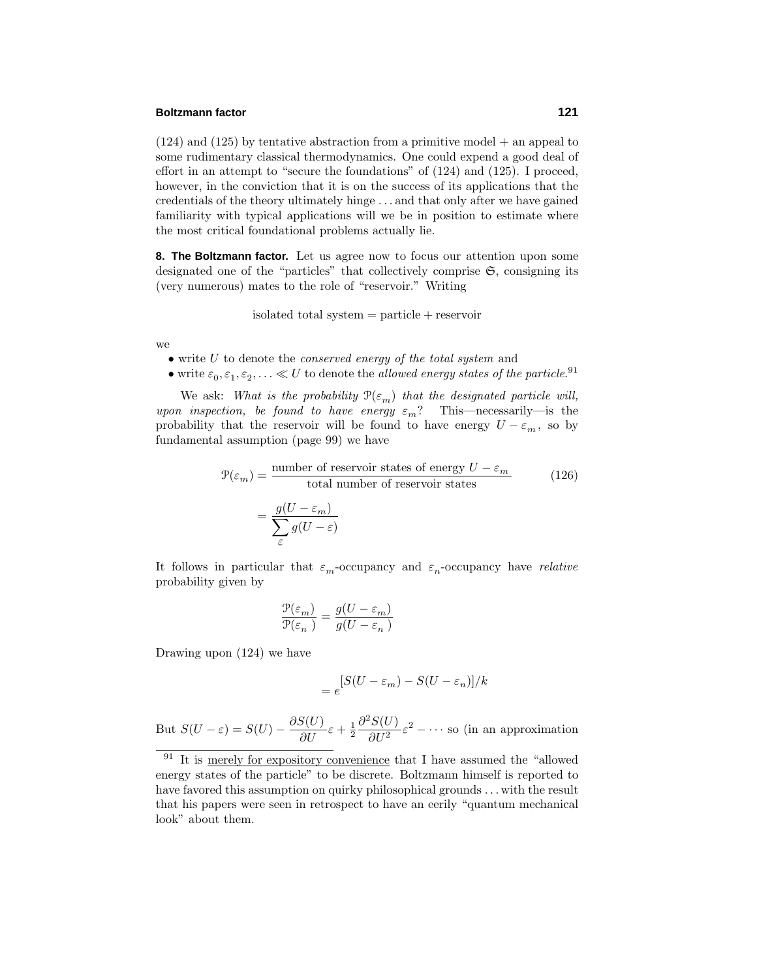#### **Boltzmann factor 121**

 $(124)$  and  $(125)$  by tentative abstraction from a primitive model  $+$  an appeal to some rudimentary classical thermodynamics. One could expend a good deal of effort in an attempt to "secure the foundations" of (124) and (125). I proceed, however, in the conviction that it is on the success of its applications that the credentials of the theory ultimately hinge *...* and that only after we have gained familiarity with typical applications will we be in position to estimate where the most critical foundational problems actually lie.

**8. The Boltzmann factor.** Let us agree now to focus our attention upon some designated one of the "particles" that collectively comprise  $\mathfrak{S}$ , consigning its (very numerous) mates to the role of "reservoir." Writing

isolated total system = particle + reservoir

we

- $\bullet$  write  $U$  to denote the *conserved energy* of the total system and
- write  $\varepsilon_0, \varepsilon_1, \varepsilon_2, \ldots \ll U$  to denote the *allowed energy states of the particle*.<sup>91</sup>

We ask: What is the probability  $\mathcal{P}(\varepsilon_m)$  that the designated particle will, upon inspection, be found to have energy  $\varepsilon_m$ ? This—necessarily—is the probability that the reservoir will be found to have energy  $U - \varepsilon_m$ , so by fundamental assumption (page 99) we have

$$
\mathcal{P}(\varepsilon_m) = \frac{\text{number of reservoir states of energy } U - \varepsilon_m}{\text{total number of reservoir states}} \tag{126}
$$
\n
$$
= \frac{g(U - \varepsilon_m)}{\sum_{\varepsilon} g(U - \varepsilon)}
$$

It follows in particular that  $\varepsilon_m$ -occupancy and  $\varepsilon_n$ -occupancy have *relative* probability given by

$$
\frac{\mathcal{P}(\varepsilon_{m})}{\mathcal{P}(\varepsilon_{n\text{ }})}=\frac{g(U-\varepsilon_{m})}{g(U-\varepsilon_{n\text{ }})}
$$

Drawing upon (124) we have

$$
= e^{\left[S(U - \varepsilon_m) - S(U - \varepsilon_n)\right] / k}
$$

But  $S(U - \varepsilon) = S(U) - \frac{\partial S(U)}{\partial U} \varepsilon + \frac{1}{2}$  $\frac{\partial^2 S(U)}{\partial U^2} \varepsilon^2$  − ··· so (in an approximation

<sup>&</sup>lt;sup>91</sup> It is merely for expository convenience that I have assumed the "allowed" energy states of the particle" to be discrete. Boltzmann himself is reported to have favored this assumption on quirky philosophical grounds *...* with the result that his papers were seen in retrospect to have an eerily "quantum mechanical look" about them.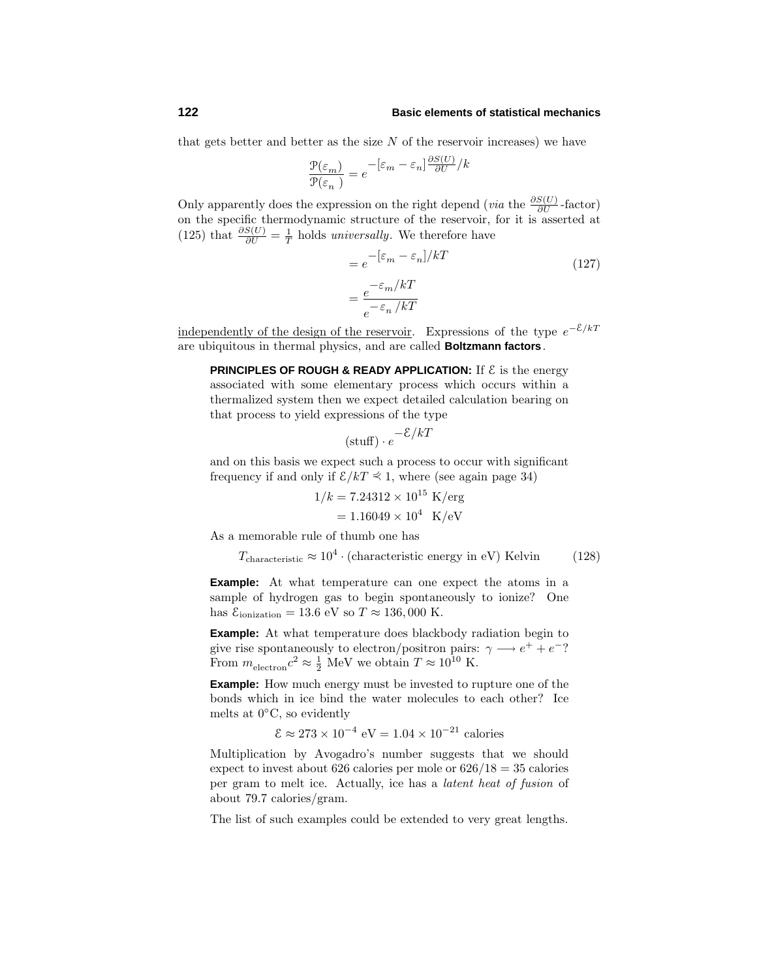that gets better and better as the size  $N$  of the reservoir increases) we have

$$
\frac{\mathcal{P}(\varepsilon_m)}{\mathcal{P}(\varepsilon_n)} = e^{-\left[\varepsilon_m - \varepsilon_n\right] \frac{\partial S(U)}{\partial U}} / k
$$

Only apparently does the expression on the right depend (*via* the  $\frac{\partial S(U)}{\partial U}$ -factor) on the specific thermodynamic structure of the reservoir, for it is asserted at (125) that  $\frac{\partial S(U)}{\partial U} = \frac{1}{T}$  holds *universally*. We therefore have

$$
= e^{-\left[\varepsilon_{m} - \varepsilon_{n}\right] / kT}
$$
\n
$$
= \frac{e^{-\varepsilon_{m} / kT}}{e^{-\varepsilon_{n} / kT}}
$$
\n(127)

independently of the design of the reservoir. Expressions of the type  $e^{-\mathcal{E}/kT}$ are ubiquitous in thermal physics, and are called **Boltzmann factors**.

**PRINCIPLES OF ROUGH & READY APPLICATION:** If  $\mathcal{E}$  is the energy associated with some elementary process which occurs within a thermalized system then we expect detailed calculation bearing on that process to yield expressions of the type

$$
(\text{stuff}) \cdot e^{-\mathcal{E}/kT}
$$

and on this basis we expect such a process to occur with significant frequency if and only if  $\mathcal{E}/kT \leq 1$ , where (see again page 34)

$$
1/k = 7.24312 \times 10^{15} \text{ K/erg}
$$

$$
= 1.16049 \times 10^{4} \text{ K/eV}
$$

As a memorable rule of thumb one has

$$
T_{\text{characteristic}} \approx 10^4 \cdot (\text{characteristic energy in eV}) \text{ Kelvin} \tag{128}
$$

**Example:** At what temperature can one expect the atoms in a sample of hydrogen gas to begin spontaneously to ionize? One has  $\mathcal{E}_{\text{ionization}} = 13.6 \text{ eV}$  so  $T \approx 136,000 \text{ K}.$ 

**Example:** At what temperature does blackbody radiation begin to give rise spontaneously to electron/positron pairs:  $\gamma \longrightarrow e^+ + e^-$ ? From  $m_{\text{electron}}c^2 \approx \frac{1}{2}$  MeV we obtain  $T \approx 10^{10}$  K.

**Example:** How much energy must be invested to rupture one of the bonds which in ice bind the water molecules to each other? Ice melts at  $0^{\circ}$ C, so evidently

$$
\mathcal{E} \approx 273 \times 10^{-4} \text{ eV} = 1.04 \times 10^{-21} \text{ calories}
$$

Multiplication by Avogadro's number suggests that we should expect to invest about 626 calories per mole or 626*/*18 = 35 calories per gram to melt ice. Actually, ice has a latent heat of fusion of about 79.7 calories/gram.

The list of such examples could be extended to very great lengths.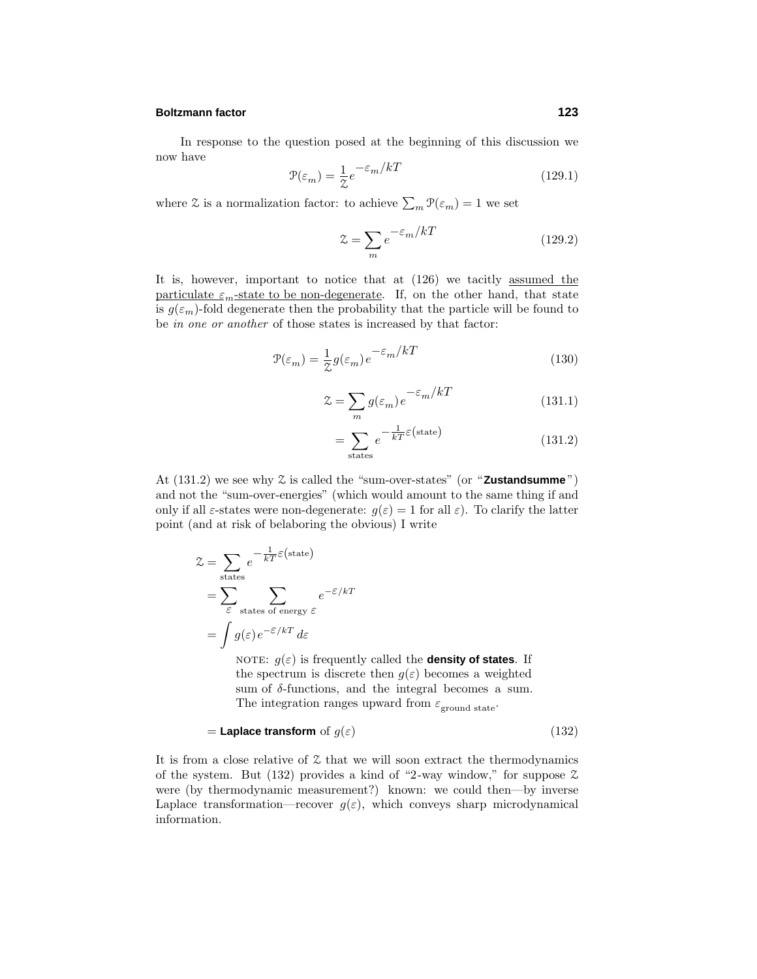# **Boltzmann factor 123**

In response to the question posed at the beginning of this discussion we now have

$$
\mathcal{P}(\varepsilon_m) = \frac{1}{\mathcal{Z}} e^{-\varepsilon_m / kT} \tag{129.1}
$$

where  $\mathcal Z$  is a normalization factor: to achieve  $\sum_m \mathcal P(\varepsilon_m) = 1$  we set

$$
\mathcal{Z} = \sum_{m} e^{-\varepsilon_m / kT} \tag{129.2}
$$

It is, however, important to notice that at (126) we tacitly assumed the particulate  $\varepsilon_m$ -state to be non-degenerate. If, on the other hand, that state is  $g(\varepsilon_m)$ -fold degenerate then the probability that the particle will be found to be in one or another of those states is increased by that factor:

$$
\mathcal{P}(\varepsilon_m) = \frac{1}{\mathcal{Z}} g(\varepsilon_m) e^{-\mathcal{E}_m / kT}
$$
\n(130)

$$
\mathcal{Z} = \sum_{m} g(\varepsilon_{m}) e^{-\varepsilon_{m}/k} \tag{131.1}
$$

$$
=\sum_{\text{states}} e^{-\frac{1}{kT}\varepsilon(\text{state})}
$$
\n(131.2)

At (131.2) we see why Z is called the "sum-over-states" (or "**Zustandsumme** ") and not the "sum-over-energies" (which would amount to the same thing if and only if all  $\varepsilon$ -states were non-degenerate:  $g(\varepsilon) = 1$  for all  $\varepsilon$ ). To clarify the latter point (and at risk of belaboring the obvious) I write

$$
\mathcal{Z} = \sum_{\text{states}} e^{-\frac{1}{kT}\varepsilon(\text{state})}
$$

$$
= \sum_{\varepsilon} \sum_{\text{states of energy }\varepsilon} e^{-\varepsilon/kT}
$$

$$
= \int g(\varepsilon) e^{-\varepsilon/kT} d\varepsilon
$$

NOTE:  $g(\varepsilon)$  is frequently called the **density of states**. If the spectrum is discrete then  $g(\varepsilon)$  becomes a weighted sum of  $\delta$ -functions, and the integral becomes a sum. The integration ranges upward from  $\varepsilon$ <sub>ground state</sub>.

$$
= Laplace transform of g(\varepsilon) \qquad (132)
$$

It is from a close relative of  $\mathfrak X$  that we will soon extract the thermodynamics of the system. But (132) provides a kind of "2-way window," for suppose Z were (by thermodynamic measurement?) known: we could then—by inverse Laplace transformation—recover  $g(\varepsilon)$ , which conveys sharp microdynamical information.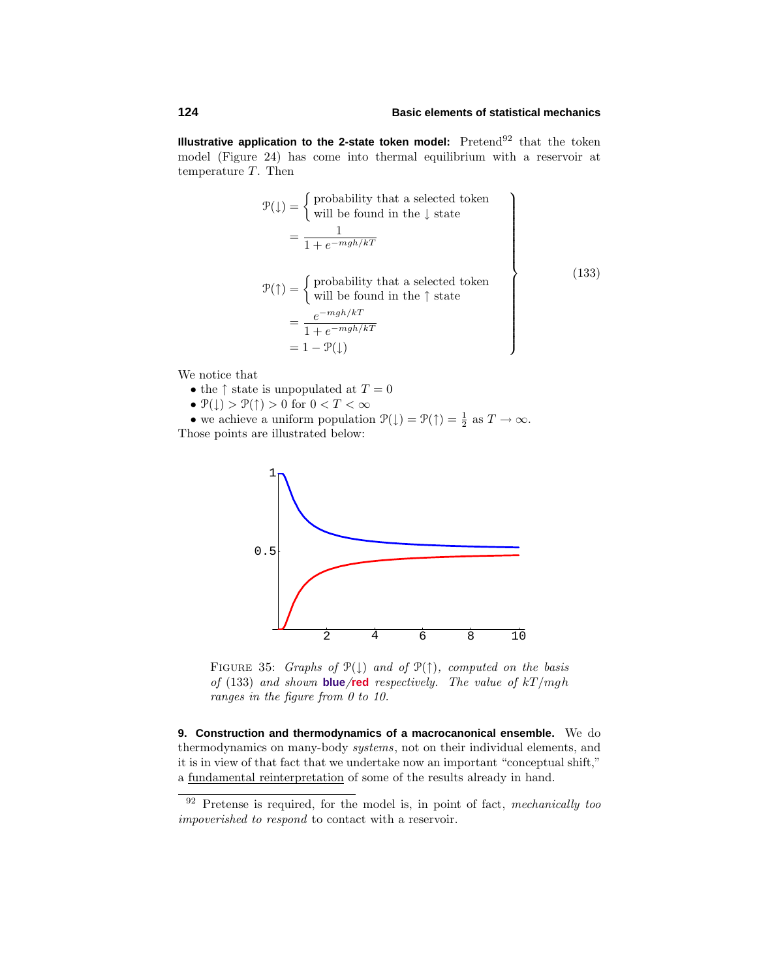**Illustrative application to the 2-state token model:** Pretend<sup>92</sup> that the token model (Figure 24) has come into thermal equilibrium with a reservoir at temperature *T*. Then

$$
\mathcal{P}(\downarrow) = \begin{cases} \text{probability that a selected token} \\ \text{will be found in the } \downarrow \text{ state} \end{cases}
$$
\n
$$
= \frac{1}{1 + e^{-mgh/kT}}
$$
\n
$$
\mathcal{P}(\uparrow) = \begin{cases} \text{probability that a selected token} \\ \text{will be found in the } \uparrow \text{ state} \end{cases}
$$
\n
$$
= \frac{e^{-mgh/kT}}{1 + e^{-mgh/kT}}
$$
\n
$$
= 1 - \mathcal{P}(\downarrow)
$$
\n(133)

We notice that

- the  $\uparrow$  state is unpopulated at  $T=0$
- $\mathcal{P}(\downarrow) > \mathcal{P}(\uparrow) > 0$  for  $0 < T < \infty$
- we achieve a uniform population  $\mathcal{P}(\downarrow) = \mathcal{P}(\uparrow) = \frac{1}{2}$  as  $T \to \infty$ .

Those points are illustrated below:



FIGURE 35: Graphs of  $\mathcal{P}(\downarrow)$  and of  $\mathcal{P}(\uparrow)$ , computed on the basis of (133) and shown **blue**/**red** respectively. The value of *kT /mgh* ranges in the figure from 0 to 10.

**9. Construction and thermodynamics of a macrocanonical ensemble.** We do thermodynamics on many-body systems, not on their individual elements, and it is in view of that fact that we undertake now an important "conceptual shift," a fundamental reinterpretation of some of the results already in hand.

 $92$  Pretense is required, for the model is, in point of fact, mechanically too impoverished to respond to contact with a reservoir.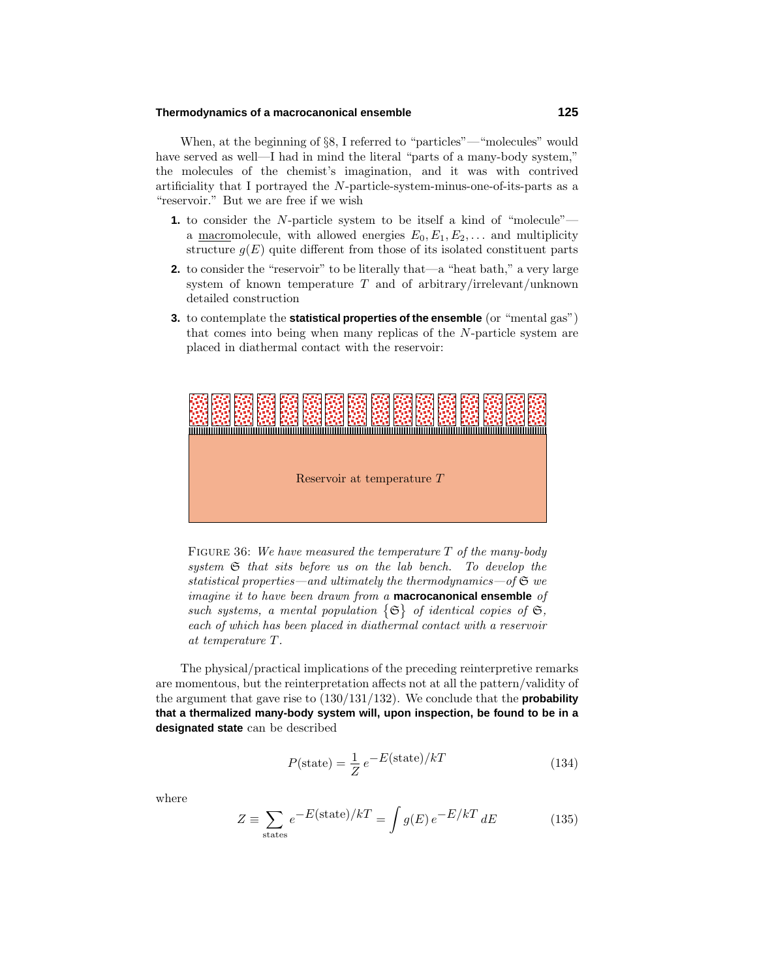# **Thermodynamics of a macrocanonical ensemble 125**

When, at the beginning of §8, I referred to "particles"—"molecules" would have served as well—I had in mind the literal "parts of a many-body system," the molecules of the chemist's imagination, and it was with contrived artificiality that I portrayed the *N*-particle-system-minus-one-of-its-parts as a "reservoir." But we are free if we wish

- **1.** to consider the *N*-particle system to be itself a kind of "molecule" a <u>macromolecule</u>, with allowed energies  $E_0, E_1, E_2, \ldots$  and multiplicity structure  $g(E)$  quite different from those of its isolated constituent parts
- **2.** to consider the "reservoir" to be literally that—a "heat bath," a very large system of known temperature *T* and of arbitrary/irrelevant/unknown detailed construction
- **3.** to contemplate the **statistical properties of the ensemble** (or "mental gas") that comes into being when many replicas of the *N*-particle system are placed in diathermal contact with the reservoir:



FIGURE 36: We have measured the temperature *T* of the many-body system  $\mathfrak S$  that sits before us on the lab bench. To develop the statistical properties—and ultimately the thermodynamics—of  $\mathfrak S$  we imagine it to have been drawn from a **macrocanonical ensemble** of such systems, a mental population  $\{\mathfrak{S}\}\$  of identical copies of  $\mathfrak{S},$ each of which has been placed in diathermal contact with a reservoir at temperature *T*.

The physical/practical implications of the preceding reinterpretive remarks are momentous, but the reinterpretation affects not at all the pattern/validity of the argument that gave rise to (130/131/132). We conclude that the **probability that a thermalized many-body system will, upon inspection, be found to be in a designated state** can be described

$$
P(\text{state}) = \frac{1}{Z} e^{-E(\text{state})/kT} \tag{134}
$$

where

$$
Z \equiv \sum_{\text{states}} e^{-E(\text{state})/k} = \int g(E) e^{-E/k} T dE \tag{135}
$$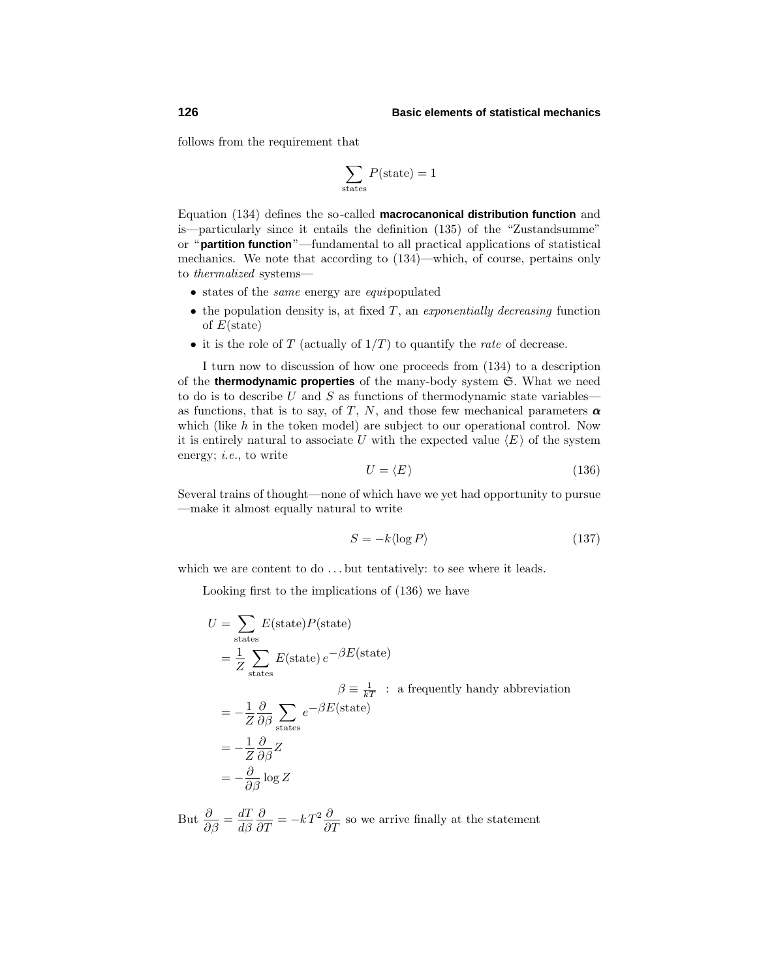follows from the requirement that

$$
\sum_{\text{states}} P(\text{state}) = 1
$$

Equation (134) defines the so-called **macrocanonical distribution function** and is—particularly since it entails the definition (135) of the "Zustandsumme" or "**partition function**"—fundamental to all practical applications of statistical mechanics. We note that according to (134)—which, of course, pertains only to thermalized systems-

- states of the *same* energy are *equipopulated*
- the population density is, at fixed *T*, an exponentially decreasing function of *E*(state)
- it is the role of  $T$  (actually of  $1/T$ ) to quantify the *rate* of decrease.

I turn now to discussion of how one proceeds from (134) to a description of the **thermodynamic properties** of the many-body system S. What we need to do is to describe *U* and *S* as functions of thermodynamic state variables as functions, that is to say, of *T*, *N*, and those few mechanical parameters  $\alpha$ which (like *h* in the token model) are subject to our operational control. Now it is entirely natural to associate U with the expected value  $\langle E \rangle$  of the system energy; i.e., to write

$$
U = \langle E \rangle \tag{136}
$$

Several trains of thought—none of which have we yet had opportunity to pursue —make it almost equally natural to write

$$
S = -k \langle \log P \rangle \tag{137}
$$

which we are content to do ...but tentatively: to see where it leads.

Looking first to the implications of (136) we have

$$
U = \sum_{\text{states}} E(\text{state})P(\text{state})
$$
  
=  $\frac{1}{Z} \sum_{\text{states}} E(\text{state}) e^{-\beta E(\text{state})}$   
 $\beta \equiv \frac{1}{kT}$ : a frequently handy abbreviation  
=  $-\frac{1}{Z} \frac{\partial}{\partial \beta} \sum_{\text{states}} e^{-\beta E(\text{state})}$   
=  $-\frac{1}{Z} \frac{\partial}{\partial \beta} Z$   
=  $-\frac{\partial}{\partial \beta} \log Z$ 

But  $\frac{\partial}{\partial \beta} = \frac{dT}{d\beta}$  $\frac{\partial}{\partial T}$  = −*k* $T^2 \frac{\partial}{\partial T}$  so we arrive finally at the statement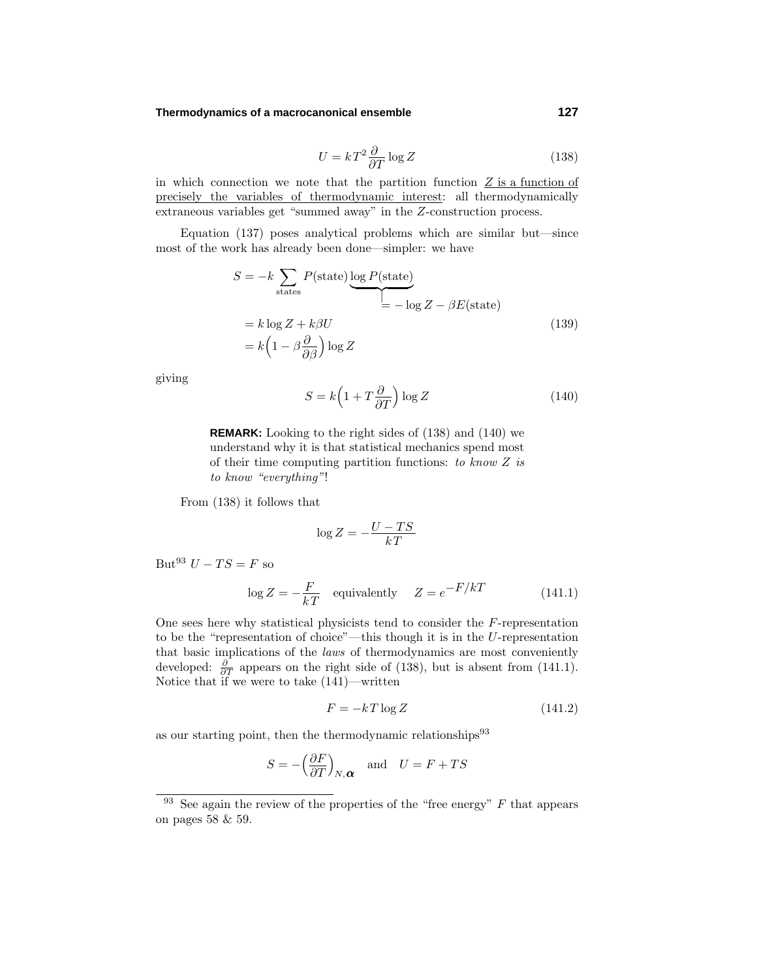#### **Thermodynamics of a macrocanonical ensemble 127**

$$
U = kT^2 \frac{\partial}{\partial T} \log Z \tag{138}
$$

in which connection we note that the partition function  $Z$  is a function of precisely the variables of thermodynamic interest: all thermodynamically extraneous variables get "summed away" in the *Z*-construction process.

Equation (137) poses analytical problems which are similar but—since most of the work has already been done—simpler: we have

$$
S = -k \sum_{\text{states}} P(\text{state}) \underbrace{\log P(\text{state})}_{\text{time}} \\
= -\log Z - \beta E(\text{state}) \\
= k \left(1 - \beta \frac{\partial}{\partial \beta}\right) \log Z
$$
\n(139)

giving

$$
S = k \left( 1 + T \frac{\partial}{\partial T} \right) \log Z \tag{140}
$$

**REMARK:** Looking to the right sides of (138) and (140) we understand why it is that statistical mechanics spend most of their time computing partition functions: to know *Z* is to know "everything"!

From (138) it follows that

$$
\log Z = -\frac{U - TS}{kT}
$$

But<sup>93</sup>  $U - TS = F$  so

$$
\log Z = -\frac{F}{kT} \quad \text{equivalently} \quad Z = e^{-F/kT} \tag{141.1}
$$

One sees here why statistical physicists tend to consider the *F*-representation to be the "representation of choice"—this though it is in the *U*-representation that basic implications of the laws of thermodynamics are most conveniently developed:  $\frac{\partial}{\partial T}$  appears on the right side of (138), but is absent from (141.1). Notice that if we were to take (141)—written

$$
F = -kT \log Z \tag{141.2}
$$

as our starting point, then the thermodynamic relationships $93$ 

$$
S = -\left(\frac{\partial F}{\partial T}\right)_{N,\alpha} \quad \text{and} \quad U = F + TS
$$

<sup>93</sup> See again the review of the properties of the "free energy" *F* that appears on pages 58 & 59.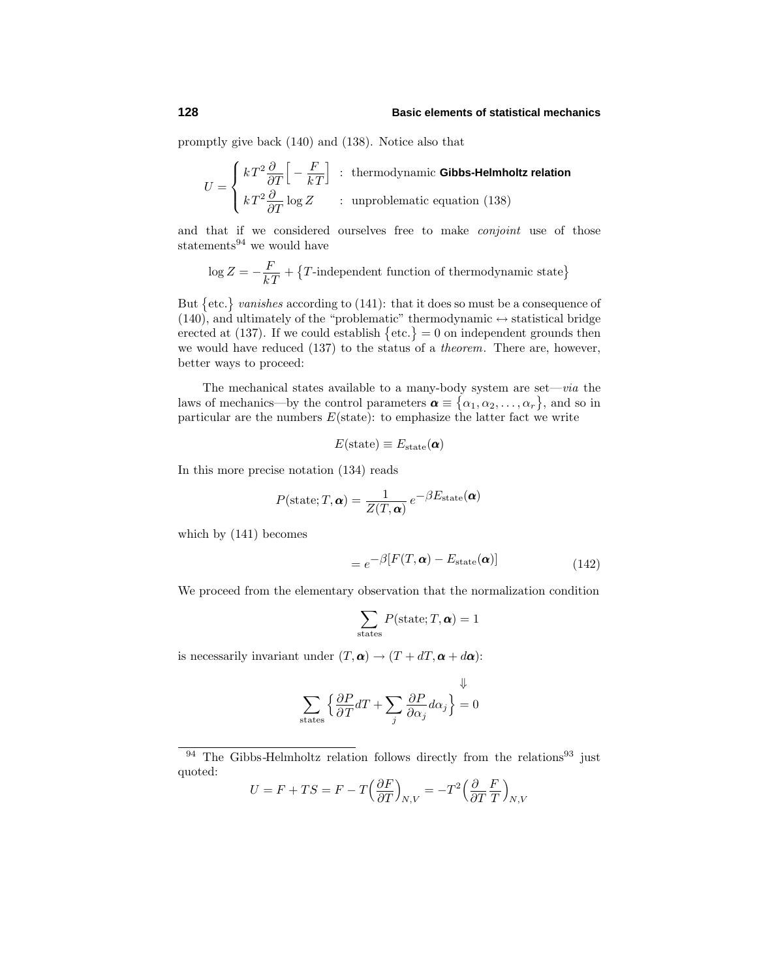promptly give back (140) and (138). Notice also that

$$
U = \begin{cases} kT^2 \frac{\partial}{\partial T} \Big[ -\frac{F}{kT} \Big] & \text{thermodynamic Gibbs-Helmholtz relation} \\ kT^2 \frac{\partial}{\partial T} \log Z & \text{unproblematic equation (138)} \end{cases}
$$

and that if we considered ourselves free to make *conjoint* use of those statements $94$  we would have

$$
\log Z = -\frac{F}{kT} + \{T\text{-independent function of thermodynamic state}\}
$$

But  $\{\text{etc.}\}\$  vanishes according to (141): that it does so must be a consequence of  $(140)$ , and ultimately of the "problematic" thermodynamic  $\leftrightarrow$  statistical bridge erected at (137). If we could establish  $\{\text{etc.}\}=0$  on independent grounds then we would have reduced (137) to the status of a theorem. There are, however, better ways to proceed:

The mechanical states available to a many-body system are set— $via$  the laws of mechanics—by the control parameters  $\boldsymbol{\alpha} \equiv \{\alpha_1, \alpha_2, \dots, \alpha_r\}$ , and so in particular are the numbers  $E$ (state): to emphasize the latter fact we write

$$
E(\text{state}) \equiv E_{\text{state}}(\boldsymbol{\alpha})
$$

In this more precise notation (134) reads

$$
P(\text{state};T,\pmb{\alpha}) = \frac{1}{Z(T,\pmb{\alpha})} e^{-\beta E_{\text{state}}(\pmb{\alpha})}
$$

which by (141) becomes

$$
=e^{-\beta[F(T,\boldsymbol{\alpha})-E_{\text{state}}(\boldsymbol{\alpha})]} \tag{142}
$$

We proceed from the elementary observation that the normalization condition

$$
\sum_{\text{states}} P(\text{state}; T, \pmb{\alpha}) = 1
$$

is necessarily invariant under  $(T, \alpha) \rightarrow (T + dT, \alpha + d\alpha)$ :

$$
\sum_{\text{states}} \left\{ \frac{\partial P}{\partial T} dT + \sum_{j} \frac{\partial P}{\partial \alpha_j} d\alpha_j \right\} = 0
$$

$$
U = F + TS = F - T \left(\frac{\partial F}{\partial T}\right)_{N,V} = -T^2 \left(\frac{\partial F}{\partial T}\right)_{N,V}
$$

 $94$  The Gibbs-Helmholtz relation follows directly from the relations<sup>93</sup> just quoted: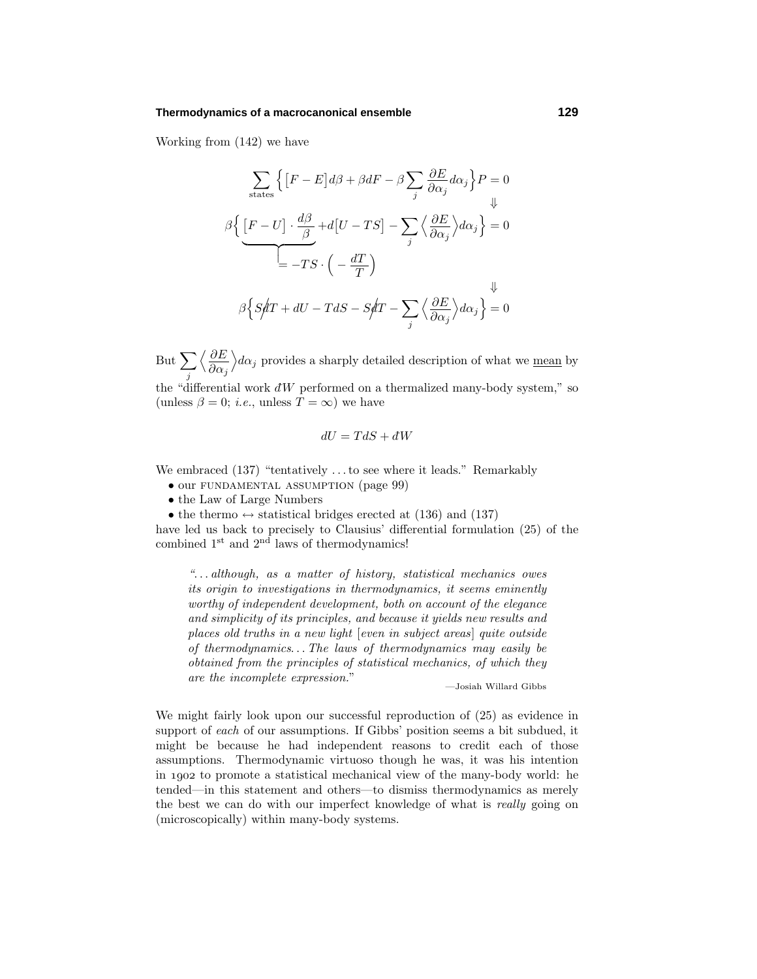#### **Thermodynamics of a macrocanonical ensemble 129**

Working from (142) we have

$$
\sum_{\text{states}} \left\{ \left[ F - E \right] d\beta + \beta dF - \beta \sum_{j} \frac{\partial E}{\partial \alpha_{j}} d\alpha_{j} \right\} P = 0
$$
  

$$
\beta \left\{ \underbrace{\left[ F - U \right] \cdot \frac{d\beta}{\beta} + d\left[ U - TS \right] - \sum_{j} \left\langle \frac{\partial E}{\partial \alpha_{j}} \right\rangle d\alpha_{j} \right\} = 0
$$
  

$$
= -TS \cdot \left( -\frac{dT}{T} \right)
$$
  

$$
\beta \left\{ S \not| T + dU - T dS - S \not| T - \sum_{j} \left\langle \frac{\partial E}{\partial \alpha_{j}} \right\rangle d\alpha_{j} \right\} = 0
$$

But  $\sum$ *j ∂E ∂α<sup>j</sup>*  $d\alpha_j$  provides a sharply detailed description of what we <u>mean</u> by the "differential work  $dW$  performed on a thermalized many-body system," so (unless  $\beta = 0$ ; *i.e.*, unless  $T = \infty$ ) we have

$$
dU = TdS + dW
$$

We embraced (137) "tentatively *...*to see where it leads." Remarkably

- our FUNDAMENTAL ASSUMPTION (page 99)
- the Law of Large Numbers
- $\bullet$  the thermo  $\leftrightarrow$  statistical bridges erected at (136) and (137)

have led us back to precisely to Clausius' differential formulation (25) of the combined 1st and 2nd laws of thermodynamics!

"*...* although, as a matter of history, statistical mechanics owes its origin to investigations in thermodynamics, it seems eminently worthy of independent development, both on account of the elegance and simplicity of its principles, and because it yields new results and places old truths in a new light [even in subject areas] quite outside of thermodynamics*...* The laws of thermodynamics may easily be obtained from the principles of statistical mechanics, of which they are the incomplete expression." ——Josiah Willard Gibbs

We might fairly look upon our successful reproduction of (25) as evidence in support of each of our assumptions. If Gibbs' position seems a bit subdued, it might be because he had independent reasons to credit each of those assumptions. Thermodynamic virtuoso though he was, it was his intention in 1902 to promote a statistical mechanical view of the many-body world: he tended—in this statement and others—to dismiss thermodynamics as merely the best we can do with our imperfect knowledge of what is really going on (microscopically) within many-body systems.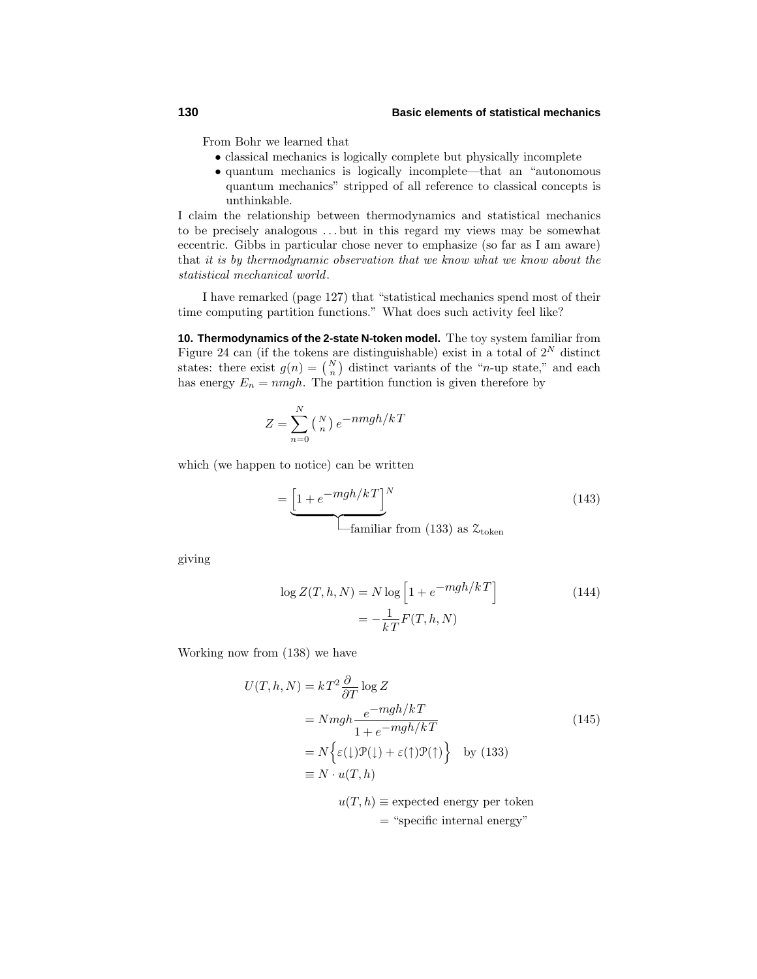From Bohr we learned that

- classical mechanics is logically complete but physically incomplete
- quantum mechanics is logically incomplete—that an "autonomous quantum mechanics" stripped of all reference to classical concepts is unthinkable.

I claim the relationship between thermodynamics and statistical mechanics to be precisely analogous *...* but in this regard my views may be somewhat eccentric. Gibbs in particular chose never to emphasize (so far as I am aware) that it is by thermodynamic observation that we know what we know about the statistical mechanical world.

I have remarked (page 127) that "statistical mechanics spend most of their time computing partition functions." What does such activity feel like?

**10. Thermodynamics of the 2-state N-token model.** The toy system familiar from Figure 24 can (if the tokens are distinguishable) exist in a total of  $2^N$  distinct states: there exist  $g(n) = {N \choose n}$  distinct variants of the "*n*-up state," and each has energy  $E_n = n mgh$ . The partition function is given therefore by

$$
Z = \sum_{n=0}^{N} \binom{N}{n} e^{-n mgh/k}
$$

which (we happen to notice) can be written

$$
= \underbrace{\left[1 + e^{-mgh/k}T\right]^N}_{\text{-familiar from (133) as } \mathcal{Z}_{\text{token}}}
$$
\n(143)

giving

$$
\log Z(T, h, N) = N \log \left[ 1 + e^{-mgh/k} \right]
$$
\n
$$
= -\frac{1}{kT} F(T, h, N)
$$
\n(144)

Working now from (138) we have

$$
U(T, h, N) = kT^2 \frac{\partial}{\partial T} \log Z
$$
  
= Nmgh  $\frac{e^{-mgh/kT}}{1 + e^{-mgh/kT}}$   
=  $N \Big\{ \varepsilon(\downarrow) \mathcal{P}(\downarrow) + \varepsilon(\uparrow) \mathcal{P}(\uparrow) \Big\}$  by (133)  
=  $N \cdot u(T, h)$  (133)

 $u(T, h) \equiv$  expected energy per token  $=$  "specific internal energy"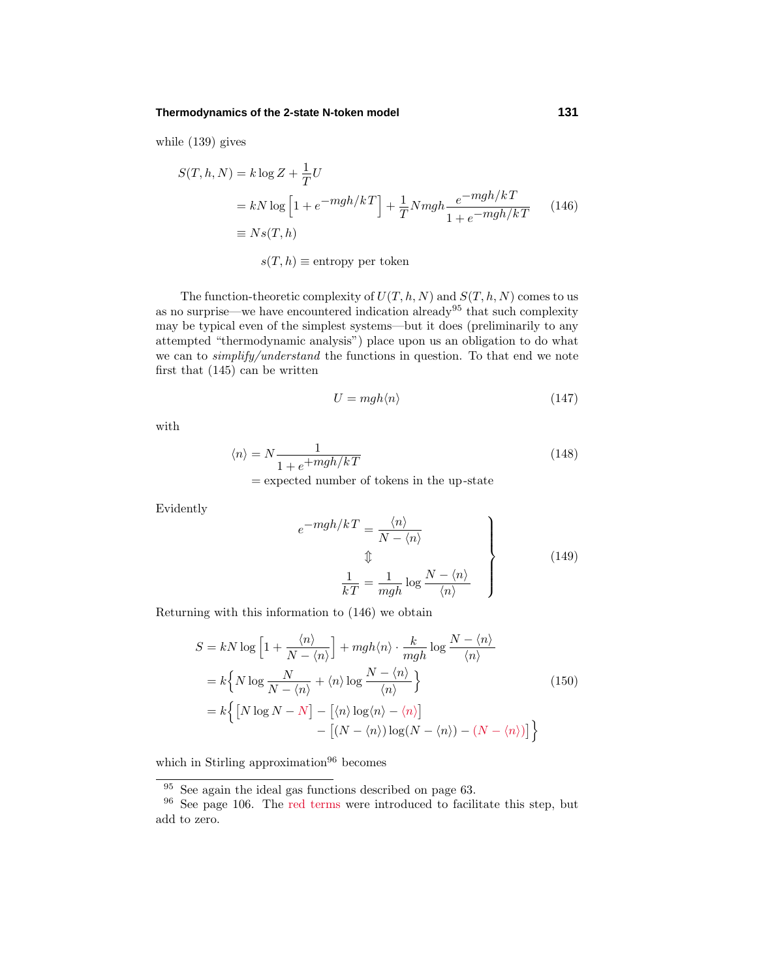## **Thermodynamics of the 2-state N-token model 131**

while (139) gives

$$
S(T, h, N) = k \log Z + \frac{1}{T}U
$$
  
=  $kN \log \left[1 + e^{-mgh/kT}\right] + \frac{1}{T} N mgh \frac{e^{-mgh/kT}}{1 + e^{-mgh/kT}}$  (146)  

$$
\equiv Ns(T, h)
$$
  
 $s(T, h) \equiv$ entropy per token

The function-theoretic complexity of  $U(T, h, N)$  and  $S(T, h, N)$  comes to us as no surprise—we have encountered indication already<sup>95</sup> that such complexity may be typical even of the simplest systems—but it does (preliminarily to any attempted "thermodynamic analysis") place upon us an obligation to do what we can to *simplify/understand* the functions in question. To that end we note first that (145) can be written

$$
U = mgh \langle n \rangle \tag{147}
$$

with

$$
\langle n \rangle = N \frac{1}{1 + e^{\frac{1}{2} mgh / kT}}
$$
\n(148)

= expected number of tokens in the up-state

Evidently

$$
e^{-mgh/kT} = \frac{\langle n \rangle}{N - \langle n \rangle}
$$
  
\n
$$
\frac{1}{kT} = \frac{1}{mgh} \log \frac{N - \langle n \rangle}{\langle n \rangle}
$$
 (149)

Returning with this information to (146) we obtain

$$
S = kN \log \left[ 1 + \frac{\langle n \rangle}{N - \langle n \rangle} \right] + mgh \langle n \rangle \cdot \frac{k}{mgh} \log \frac{N - \langle n \rangle}{\langle n \rangle}
$$
  
=  $k \Big\{ N \log \frac{N}{N - \langle n \rangle} + \langle n \rangle \log \frac{N - \langle n \rangle}{\langle n \rangle} \Big\}$  (150)  
=  $k \Big\{ [N \log N - N] - [\langle n \rangle \log \langle n \rangle - \langle n \rangle] - [\langle N - \langle n \rangle] \log \langle N - \langle n \rangle - \langle n \rangle] \Big\}$ 

which in Stirling approximation<sup>96</sup> becomes

<sup>95</sup> See again the ideal gas functions described on page 63.

<sup>&</sup>lt;sup>96</sup> See page 106. The red terms were introduced to facilitate this step, but add to zero.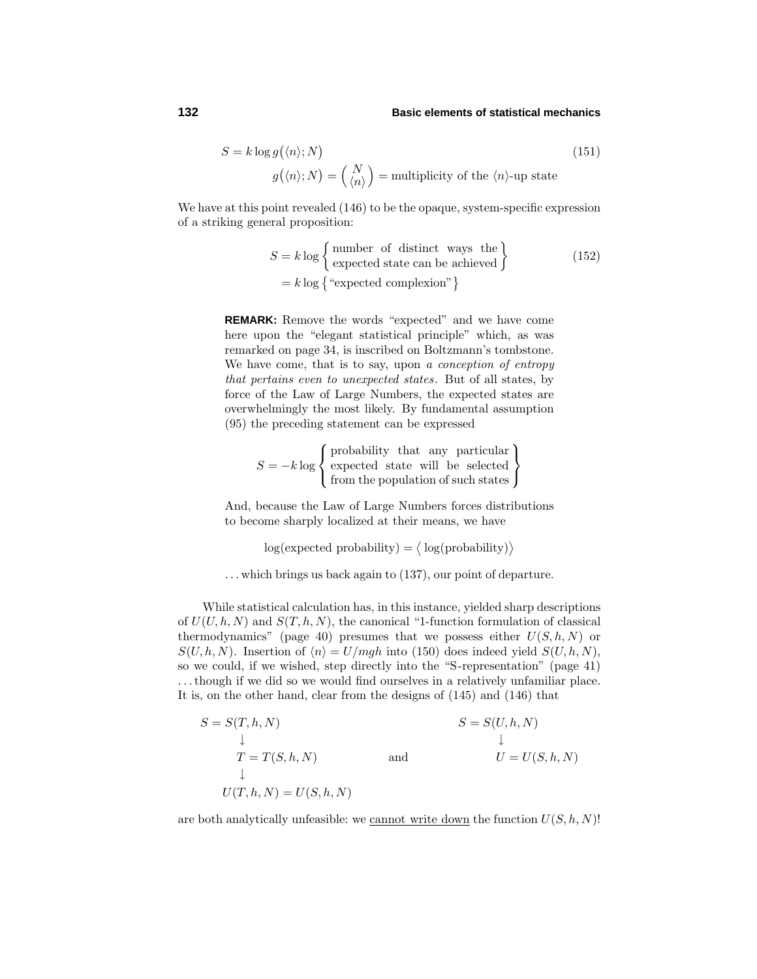$$
S = k \log g(\langle n \rangle; N)
$$
  
\n
$$
g(\langle n \rangle; N) = {N \choose \langle n \rangle} = \text{multiplicity of the } \langle n \rangle \text{-up state}
$$
\n(151)

We have at this point revealed  $(146)$  to be the opaque, system-specific expression of a striking general proposition:

$$
S = k \log \left\{ \begin{array}{l} \text{number of distinct ways the} \\ \text{expected state can be achieved} \end{array} \right\} \tag{152}
$$

$$
= k \log \left\{ \begin{array}{l} \text{expected completion} \\ \end{array} \right\}
$$

**REMARK:** Remove the words "expected" and we have come here upon the "elegant statistical principle" which, as was remarked on page 34, is inscribed on Boltzmann's tombstone. We have come, that is to say, upon a *conception* of entropy that pertains even to unexpected states. But of all states, by force of the Law of Large Numbers, the expected states are overwhelmingly the most likely. By fundamental assumption (95) the preceding statement can be expressed

$$
S = -k \log \left\{ \begin{array}{ll} \text{probability that any particular} \\ \text{expected state will be selected} \\ \text{from the population of such states} \end{array} \right\}
$$

And, because the Law of Large Numbers forces distributions to become sharply localized at their means, we have

 $log(expected probability) = \langle log(probability) \rangle$ 

*...* which brings us back again to (137), our point of departure.

While statistical calculation has, in this instance, yielded sharp descriptions of  $U(U, h, N)$  and  $S(T, h, N)$ , the canonical "1-function formulation of classical thermodynamics" (page 40) presumes that we possess either  $U(S, h, N)$  or  $S(U, h, N)$ . Insertion of  $\langle n \rangle = U/mgh$  into (150) does indeed yield  $S(U, h, N)$ , so we could, if we wished, step directly into the "S-representation" (page 41) *...*though if we did so we would find ourselves in a relatively unfamiliar place. It is, on the other hand, clear from the designs of (145) and (146) that

$$
S = S(T, h, N)
$$
  
\n
$$
\downarrow
$$
  
\n
$$
T = T(S, h, N)
$$
  
\n
$$
\downarrow
$$
  
\n
$$
U = U(S, h, N)
$$
  
\nand  
\n
$$
U = U(S, h, N)
$$

are both analytically unfeasible: we <u>cannot write down</u> the function  $U(S, h, N)$ !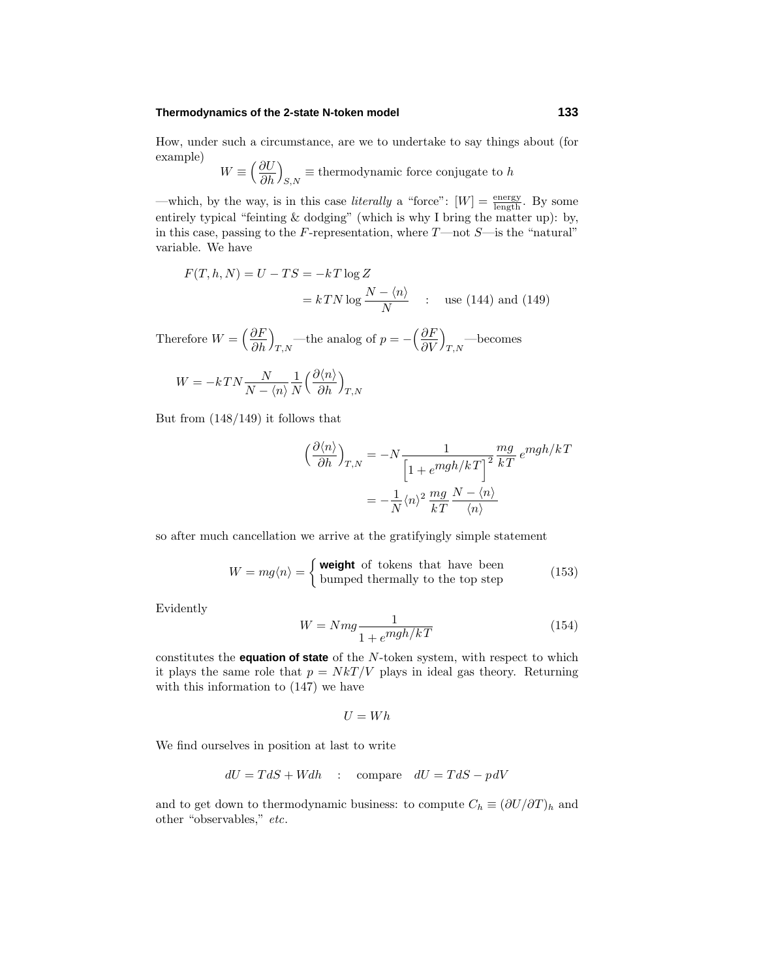# **Thermodynamics of the 2-state N-token model 133**

How, under such a circumstance, are we to undertake to say things about (for example)

$$
W \equiv \left(\frac{\partial U}{\partial h}\right)_{S,N} \equiv \text{thermodynamic force conjugate to } h
$$

—which, by the way, is in this case *literally* a "force":  $[W] = \frac{\text{energy}}{\text{length}}$ . By some entirely typical "feinting & dodging" (which is why I bring the matter up): by, in this case, passing to the *F*-representation, where *T*—not *S*—is the "natural" variable. We have

$$
F(T, h, N) = U - TS = -kT \log Z
$$
  
=  $kTN \log \frac{N - \langle n \rangle}{N}$  : use (144) and (149)

Therefore  $W = \left(\frac{\partial F}{\partial I}\right)$ *∂h*  $\setminus$ —the analog of  $p = -\left(\frac{\partial F}{\partial V}\right)$ *∂V*  $\setminus$  $T, N$ <sup>—becomes</sup>

$$
W = -kTN \frac{N}{N - \langle n \rangle} \frac{1}{N} \left( \frac{\partial \langle n \rangle}{\partial h} \right)_{T, N}
$$

But from (148/149) it follows that

$$
\left(\frac{\partial \langle n \rangle}{\partial h}\right)_{T,N} = -N \frac{1}{\left[1 + e^{mgh/k}T\right]^2} \frac{mg}{kT} e^{mgh/kT}
$$

$$
= -\frac{1}{N} \langle n \rangle^2 \frac{mg}{kT} \frac{N - \langle n \rangle}{\langle n \rangle}
$$

so after much cancellation we arrive at the gratifyingly simple statement

$$
W = mg\langle n \rangle = \begin{cases} \text{weight of tokens that have been} \\ \text{bumped thermally to the top step} \end{cases}
$$
 (153)

Evidently

$$
W = Nmg \frac{1}{1 + e^{mgh/kT}}
$$
\n(154)

constitutes the **equation of state** of the *N*-token system, with respect to which it plays the same role that  $p = NkT/V$  plays in ideal gas theory. Returning with this information to (147) we have

$$
U = Wh
$$

We find ourselves in position at last to write

$$
dU = TdS + Wdh \quad : \quad \text{compare} \quad dU = TdS - pdV
$$

and to get down to thermodynamic business: to compute  $C_h \equiv (\partial U/\partial T)_h$  and other "observables," etc.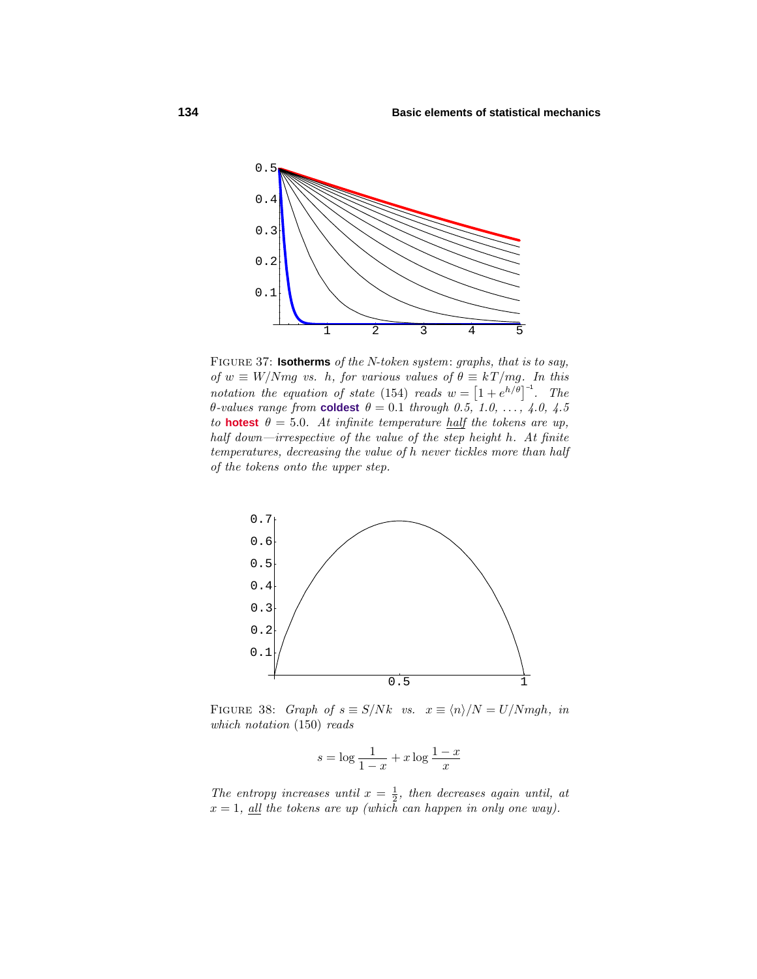

Figure 37: **Isotherms** of the *N*-token system: graphs, that is to say, of  $w \equiv W/Nmg$  vs. *h*, for various values of  $\theta \equiv kT/mg$ . In this notation the equation of state (154) reads  $w = \left[1 + e^{h/\theta}\right]^{-1}$ . The *θ*-values range from **coldest** *θ* = 0*.*1 through 0.5, 1.0, *...* , 4.0, 4.5 to **hotest**  $\theta = 5.0$ . At infinite temperature <u>half</u> the tokens are up, half down—irrespective of the value of the step height *h*. At finite temperatures, decreasing the value of *h* never tickles more than half of the tokens onto the upper step.



FIGURE 38: Graph of  $s \equiv S/Nk$  vs.  $x \equiv \langle n \rangle/N = U/Nmgh$ , in which notation (150) reads

$$
s = \log \frac{1}{1-x} + x \log \frac{1-x}{x}
$$

The entropy increases until  $x = \frac{1}{2}$ , then decreases again until, at  $x = 1$ , all the tokens are up (which can happen in only one way).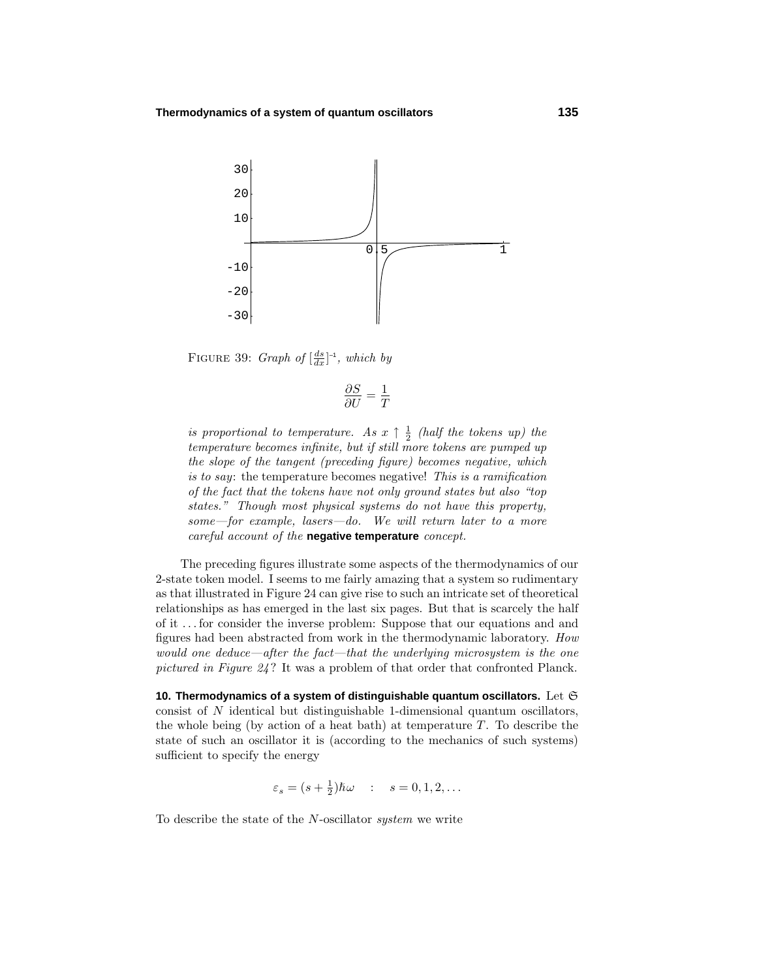

FIGURE 39: *Graph of*  $\left[\frac{ds}{dx}\right]^{-1}$ , which by

$$
\frac{\partial S}{\partial U}=\frac{1}{T}
$$

is proportional to temperature. As  $x \uparrow \frac{1}{2}$  (half the tokens up) the temperature becomes infinite, but if still more tokens are pumped up the slope of the tangent (preceding figure) becomes negative, which is to say: the temperature becomes negative! This is a ramification of the fact that the tokens have not only ground states but also "top states." Though most physical systems do not have this property, some—for example, lasers—do. We will return later to a more careful account of the **negative temperature** concept.

The preceding figures illustrate some aspects of the thermodynamics of our 2-state token model. I seems to me fairly amazing that a system so rudimentary as that illustrated in Figure 24 can give rise to such an intricate set of theoretical relationships as has emerged in the last six pages. But that is scarcely the half of it *...* for consider the inverse problem: Suppose that our equations and and figures had been abstracted from work in the thermodynamic laboratory. How would one deduce—after the fact—that the underlying microsystem is the one pictured in Figure  $24$ ? It was a problem of that order that confronted Planck.

**10. Thermodynamics of a system of distinguishable quantum oscillators.** Let S consist of *N* identical but distinguishable 1-dimensional quantum oscillators, the whole being (by action of a heat bath) at temperature *T*. To describe the state of such an oscillator it is (according to the mechanics of such systems) sufficient to specify the energy

$$
\varepsilon_s = (s + \frac{1}{2})\hbar\omega \quad : \quad s = 0, 1, 2, \dots
$$

To describe the state of the *N*-oscillator system we write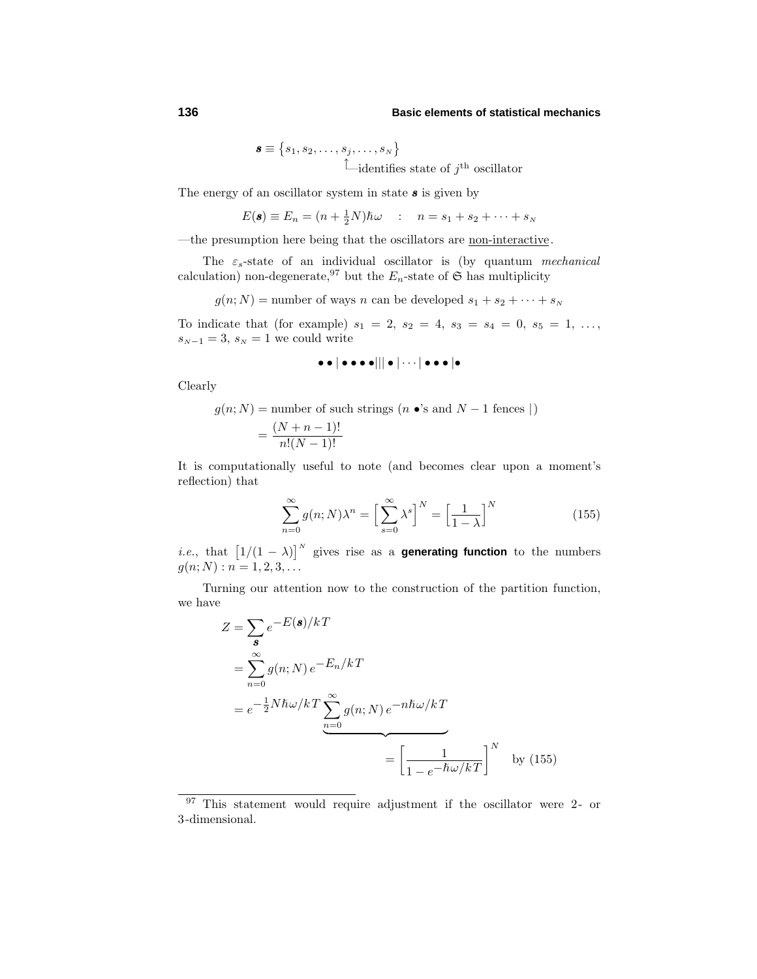$i<sup>th</sup>$  oscillator

$$
\mathbf{s} \equiv \{s_1, s_2, \dots, s_j, \dots, s_N\}
$$
  
~~
$$
\uparrow \text{identifies state of}
$$

The energy of an oscillator system in state *s* is given by

$$
E(\mathbf{s}) \equiv E_n = (n + \frac{1}{2}N)\hbar\omega \quad : \quad n = s_1 + s_2 + \dots + s_N
$$

—the presumption here being that the oscillators are non-interactive.

The  $\varepsilon_s$ -state of an individual oscillator is (by quantum mechanical calculation) non-degenerate, <sup>97</sup> but the  $E_n$ -state of  $\mathfrak{S}$  has multiplicity

$$
g(n; N)
$$
 = number of ways *n* can be developed  $s_1 + s_2 + \cdots + s_N$ 

To indicate that (for example)  $s_1 = 2$ ,  $s_2 = 4$ ,  $s_3 = s_4 = 0$ ,  $s_5 = 1$ , ...  $s_{N-1} = 3$ ,  $s_N = 1$  we could write

$$
\bullet \bullet | \bullet \bullet \bullet \bullet || | \bullet | \cdots | \bullet \bullet \bullet | \bullet
$$

Clearly

$$
g(n; N) = \text{number of such strings } (n \bullet \text{'s and } N - 1 \text{ fences } |)
$$

$$
= \frac{(N + n - 1)!}{n!(N - 1)!}
$$

It is computationally useful to note (and becomes clear upon a moment's reflection) that

$$
\sum_{n=0}^{\infty} g(n;N)\lambda^n = \left[\sum_{s=0}^{\infty} \lambda^s\right]^N = \left[\frac{1}{1-\lambda}\right]^N
$$
\n(155)

*i.e.*, that  $\left[1/(1-\lambda)\right]^N$  gives rise as a **generating function** to the numbers  $g(n; N) : n = 1, 2, 3, \ldots$ 

Turning our attention now to the construction of the partition function, we have

$$
Z = \sum_{\mathbf{s}} e^{-E(\mathbf{s})/kT}
$$
  
=  $\sum_{n=0}^{\infty} g(n;N) e^{-E_n/kT}$   
=  $e^{-\frac{1}{2}N\hbar\omega/kT} \sum_{n=0}^{\infty} g(n;N) e^{-n\hbar\omega/kT}$   
=  $\left[\frac{1}{1 - e^{-\hbar\omega/kT}}\right]^N$  by (155)

<sup>97</sup> This statement would require adjustment if the oscillator were 2- or 3-dimensional.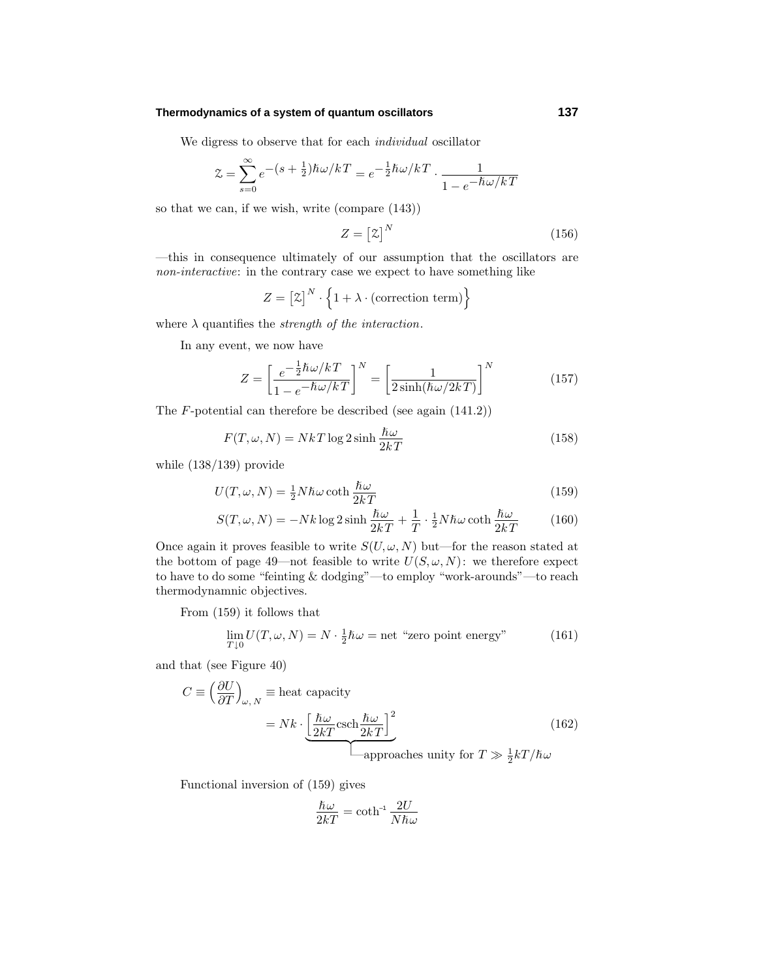## **Thermodynamics of a system of quantum oscillators 137**

We digress to observe that for each individual oscillator

$$
\mathcal{Z} = \sum_{s=0}^{\infty} e^{-(s+\frac{1}{2})\hbar\omega/k} = e^{-\frac{1}{2}\hbar\omega/k}.
$$
 
$$
\frac{1}{1 - e^{-\hbar\omega/k}}.
$$

so that we can, if we wish, write (compare (143))

$$
Z = \left[\mathcal{Z}\right]^N \tag{156}
$$

—this in consequence ultimately of our assumption that the oscillators are non-interactive: in the contrary case we expect to have something like

$$
Z = \left[\mathcal{Z}\right]^N \cdot \left\{1 + \lambda \cdot \text{(correction term)}\right\}
$$

where  $\lambda$  quantifies the *strength of the interaction*.

In any event, we now have

$$
Z = \left[\frac{e^{-\frac{1}{2}\hbar\omega/kT}}{1 - e^{-\hbar\omega/kT}}\right]^N = \left[\frac{1}{2\sinh(\hbar\omega/2kT)}\right]^N\tag{157}
$$

The *F*-potential can therefore be described (see again (141.2))

$$
F(T, \omega, N) = NkT \log 2 \sinh \frac{\hbar \omega}{2kT}
$$
\n(158)

while (138/139) provide

$$
U(T, \omega, N) = \frac{1}{2} N \hbar \omega \coth \frac{\hbar \omega}{2kT}
$$
\n(159)

$$
S(T, \omega, N) = -Nk \log 2 \sinh \frac{\hbar \omega}{2kT} + \frac{1}{T} \cdot \frac{1}{2} N \hbar \omega \coth \frac{\hbar \omega}{2kT}
$$
 (160)

Once again it proves feasible to write  $S(U, \omega, N)$  but—for the reason stated at the bottom of page 49—not feasible to write  $U(S, \omega, N)$ : we therefore expect to have to do some "feinting & dodging"—to employ "work-arounds"—to reach thermodynamnic objectives.

From (159) it follows that

$$
\lim_{T \downarrow 0} U(T, \omega, N) = N \cdot \frac{1}{2} \hbar \omega = \text{net} \text{ "zero point energy"}
$$
 (161)

and that (see Figure 40)

$$
C \equiv \left(\frac{\partial U}{\partial T}\right)_{\omega, N} \equiv \text{heat capacity}
$$

$$
= Nk \cdot \underbrace{\left[\frac{\hbar \omega}{2kT} \text{csch} \frac{\hbar \omega}{2kT}\right]^2}_{\text{approaches unity for } T \gg \frac{1}{2} kT/\hbar \omega}
$$
(162)

Functional inversion of (159) gives

$$
\frac{\hbar\omega}{2kT}=\coth^{-1}\frac{2U}{N\hbar\omega}
$$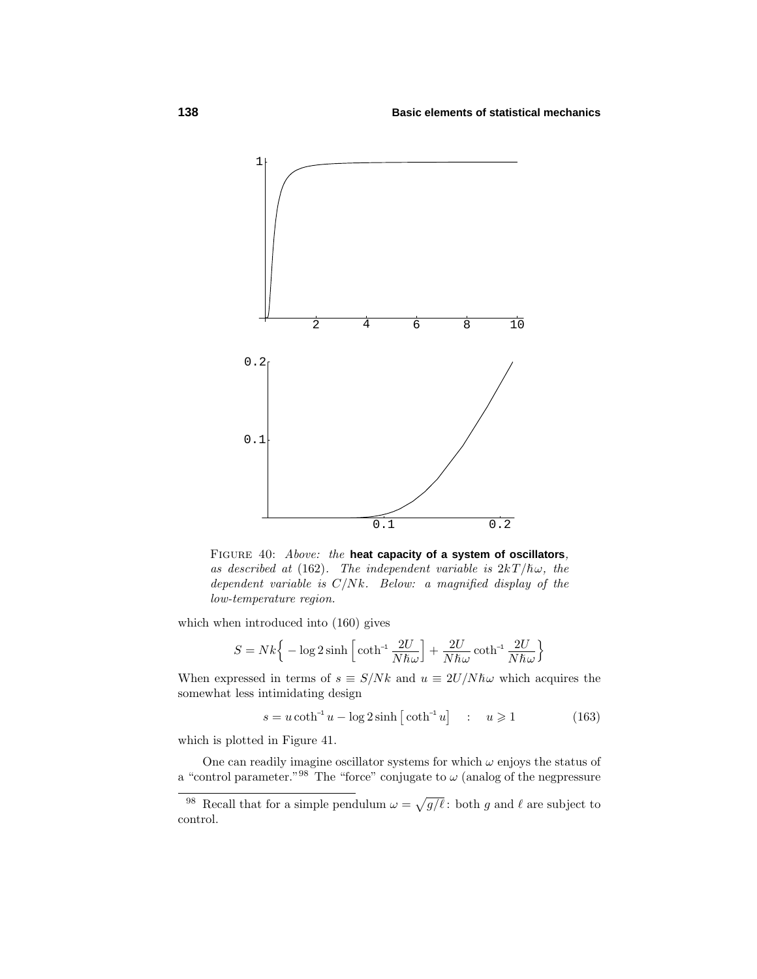

Figure 40: Above: the **heat capacity of a system of oscillators**, as described at (162). The independent variable is  $2k/\hslash\omega$ , the dependent variable is *C/N k*. Below: a magnified display of the low-temperature region.

which when introduced into (160) gives

$$
S = Nk \Big\{ -\log 2 \sinh \left[ \coth^{-1} \frac{2U}{N\hbar \omega} \right] + \frac{2U}{N\hbar \omega} \coth^{-1} \frac{2U}{N\hbar \omega} \Big\}
$$

When expressed in terms of  $s \equiv S/Nk$  and  $u \equiv 2U/N\hbar\omega$  which acquires the somewhat less intimidating design

$$
s = u \coth^{-1} u - \log 2 \sinh \left[ \coth^{-1} u \right] \quad : \quad u \geqslant 1 \tag{163}
$$

which is plotted in Figure 41.

One can readily imagine oscillator systems for which  $\omega$  enjoys the status of a "control parameter."<sup>98</sup> The "force" conjugate to *ω* (analog of the negpressure

<sup>&</sup>lt;sup>98</sup> Recall that for a simple pendulum  $\omega = \sqrt{g/\ell}$ : both *g* and  $\ell$  are subject to control.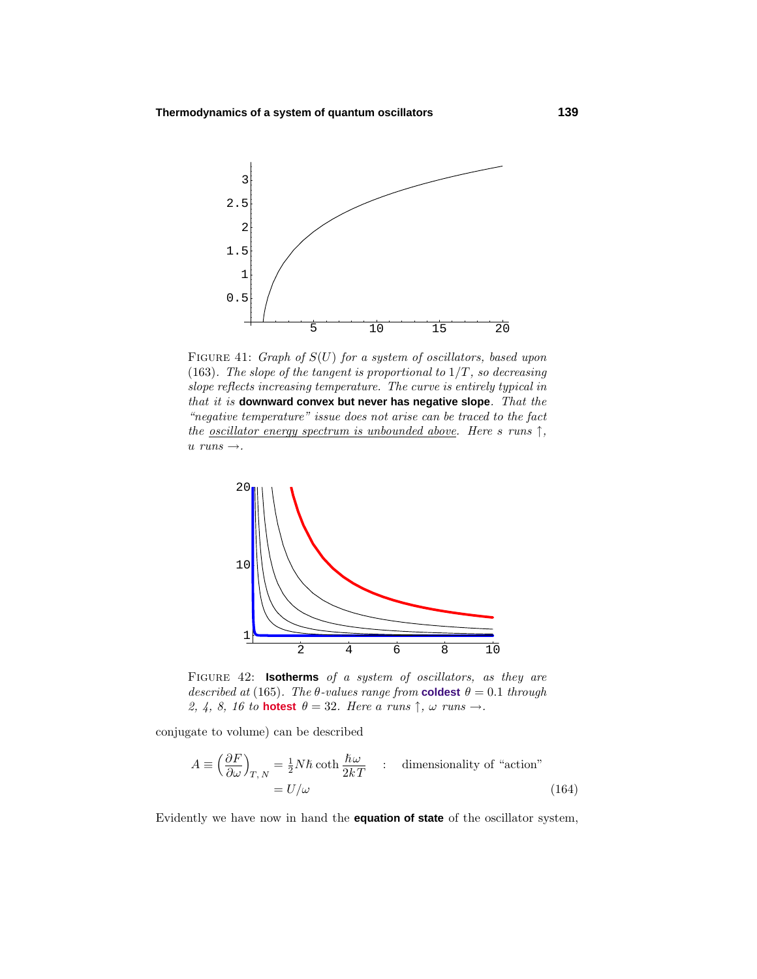

FIGURE 41: Graph of  $S(U)$  for a system of oscillators, based upon (163). The slope of the tangent is proportional to  $1/T$ , so decreasing slope reflects increasing temperature. The curve is entirely typical in that it is **downward convex but never has negative slope**. That the "negative temperature" issue does not arise can be traced to the fact the oscillator energy spectrum is unbounded above. Here *s* runs ↑,  $u$  runs  $\rightarrow$ .



Figure 42: **Isotherms** of a system of oscillators, as they are described at (165). The  $\theta$ -values range from **coldest**  $\theta = 0.1$  through 2, 4, 8, 16 to **hotest**  $\theta = 32$ . Here a runs  $\uparrow$ ,  $\omega$  runs  $\rightarrow$ .

conjugate to volume) can be described

$$
A \equiv \left(\frac{\partial F}{\partial \omega}\right)_{T,\,N} = \frac{1}{2}N\hbar \coth\frac{\hbar\omega}{2kT} \quad : \quad \text{dimensionality of "action"}
$$

$$
= U/\omega \tag{164}
$$

Evidently we have now in hand the **equation of state** of the oscillator system,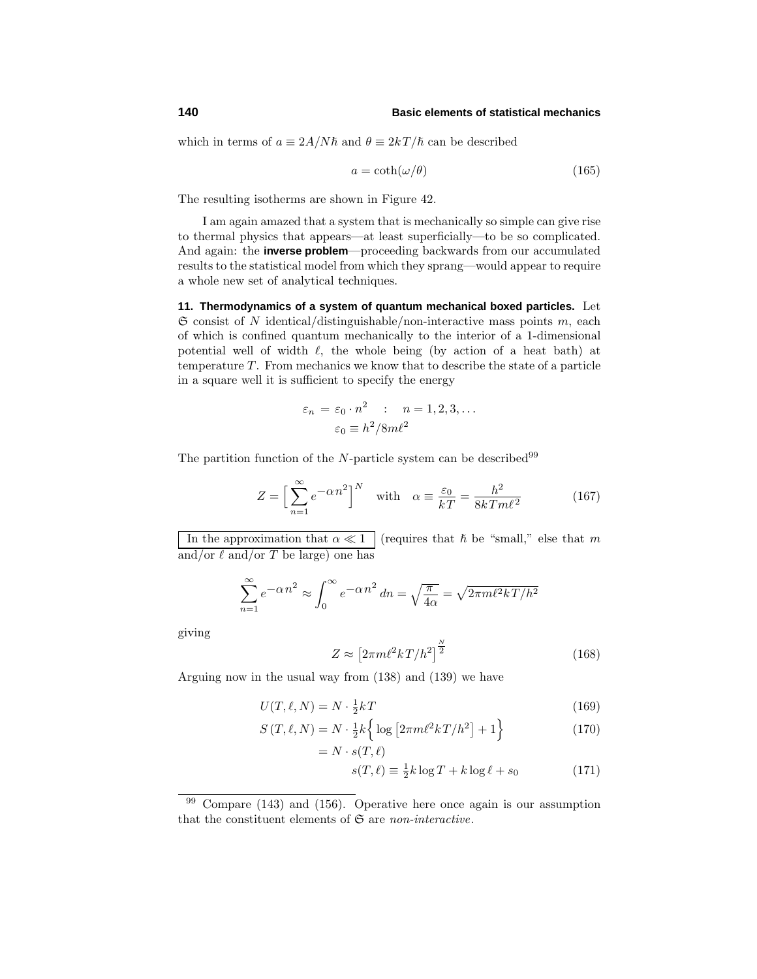which in terms of  $a \equiv 2A/N\hbar$  and  $\theta \equiv 2kT/\hbar$  can be described

$$
a = \coth(\omega/\theta) \tag{165}
$$

The resulting isotherms are shown in Figure 42.

I am again amazed that a system that is mechanically so simple can give rise to thermal physics that appears—at least superficially—to be so complicated. And again: the **inverse problem**—proceeding backwards from our accumulated results to the statistical model from which they sprang—would appear to require a whole new set of analytical techniques.

**11. Thermodynamics of a system of quantum mechanical boxed particles.** Let  $\mathfrak S$  consist of *N* identical/distinguishable/non-interactive mass points *m*, each of which is confined quantum mechanically to the interior of a 1-dimensional potential well of width  $\ell$ , the whole being (by action of a heat bath) at temperature *T*. From mechanics we know that to describe the state of a particle in a square well it is sufficient to specify the energy

$$
\varepsilon_n = \varepsilon_0 \cdot n^2 \quad : \quad n = 1, 2, 3, \dots
$$

$$
\varepsilon_0 \equiv h^2 / 8m\ell^2
$$

The partition function of the *N*-particle system can be described<sup>99</sup>

$$
Z = \left[\sum_{n=1}^{\infty} e^{-\alpha n^2}\right]^N \quad \text{with} \quad \alpha \equiv \frac{\varepsilon_0}{kT} = \frac{h^2}{8kTm\ell^2} \tag{167}
$$

In the approximation that  $\alpha \ll 1$  (requires that  $\hbar$  be "small," else that *m* and/or  $\ell$  and/or  $T$  be large) one has

$$
\sum_{n=1}^{\infty} e^{-\alpha n^2} \approx \int_0^{\infty} e^{-\alpha n^2} dn = \sqrt{\frac{\pi}{4\alpha}} = \sqrt{2\pi m \ell^2 k T/h^2}
$$

giving

$$
Z \approx \left[2\pi m\ell^2 kT/h^2\right]^{\frac{N}{2}}\tag{168}
$$

Arguing now in the usual way from (138) and (139) we have

$$
U(T, \ell, N) = N \cdot \frac{1}{2}kT \tag{169}
$$

$$
S(T, \ell, N) = N \cdot \frac{1}{2} k \left\{ \log \left[ 2\pi m \ell^2 k T / h^2 \right] + 1 \right\}
$$
\n
$$
= N \cdot s(T, \ell) \tag{170}
$$

$$
N \cdot s(1, \ell)
$$
  

$$
s(T, \ell) \equiv \frac{1}{2}k \log T + k \log \ell + s_0
$$
 (171)

<sup>99</sup> Compare (143) and (156). Operative here once again is our assumption that the constituent elements of  $\mathfrak S$  are *non-interactive*.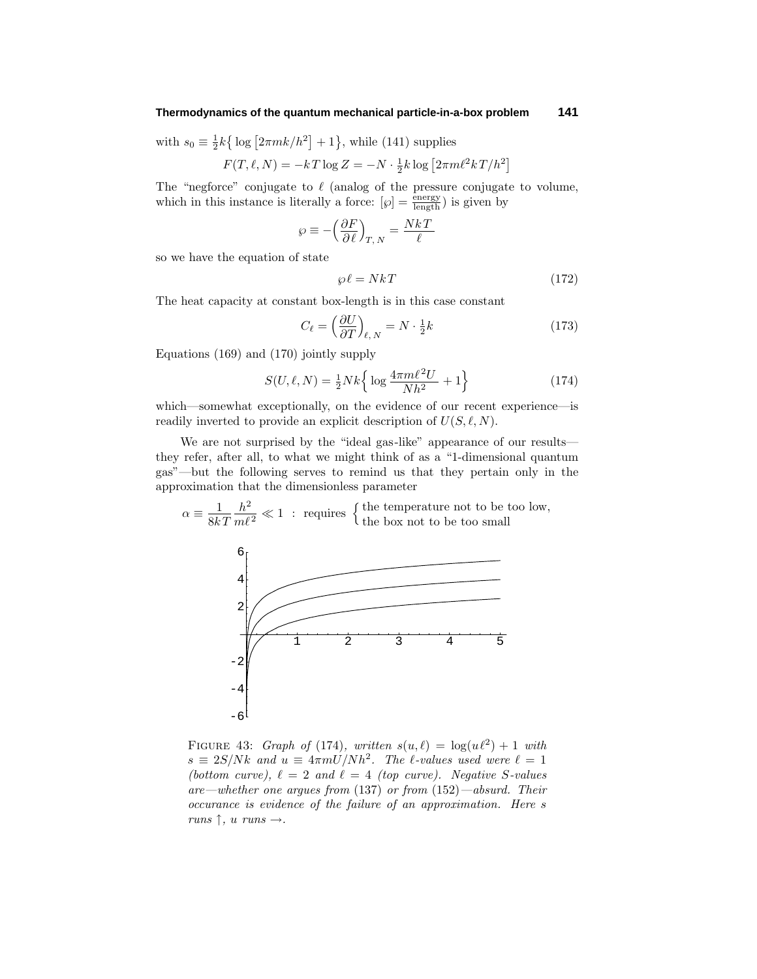## **Thermodynamics of the quantum mechanical particle-in-a-box problem 141**

with  $s_0 \equiv \frac{1}{2}k\left\{\log\left[2\pi mk/h^2\right]+1\right\}$ , while (141) supplies  $F(T, \ell, N) = -kT \log Z = -N \cdot \frac{1}{2}k \log [2\pi m \ell^2 k T/h^2]$ 

The "negforce" conjugate to  $\ell$  (analog of the pressure conjugate to volume, which in this instance is literally a force:  $[\wp] = \frac{\text{energy}}{\text{length}}$  is given by

$$
\wp\equiv -\Big(\frac{\partial F}{\partial \ell}\Big)_{T,\,N}=\frac{Nk\,T}{\ell}
$$

so we have the equation of state

$$
\wp \ell = NkT \tag{172}
$$

The heat capacity at constant box-length is in this case constant

$$
C_{\ell} = \left(\frac{\partial U}{\partial T}\right)_{\ell, N} = N \cdot \frac{1}{2}k \tag{173}
$$

Equations  $(169)$  and  $(170)$  jointly supply

$$
S(U, \ell, N) = \frac{1}{2} N k \left\{ \log \frac{4 \pi m \ell^2 U}{N h^2} + 1 \right\}
$$
 (174)

which—somewhat exceptionally, on the evidence of our recent experience—is readily inverted to provide an explicit description of  $U(S, \ell, N)$ .

We are not surprised by the "ideal gas-like" appearance of our results theyrefer, after all, to what we might think of as a "1-dimensional quantum gas"—but the following serves to remind us that theypertain onlyin the approximation that the dimensionless parameter

$$
\alpha \equiv \frac{1}{8kT} \frac{h^2}{m\ell^2} \ll 1
$$
: requires  $\begin{cases} \text{the temperature not to be too low,} \\ \text{the box not to be too small} \end{cases}$ 



FIGURE 43: *Graph of* (174), written  $s(u, \ell) = \log(u\ell^2) + 1$  with  $s \equiv 2S/Nk$  and  $u \equiv 4\pi mU/Nh^2$ . The *l*-values used were  $l = 1$ (bottom curve),  $\ell = 2$  and  $\ell = 4$  (top curve). Negative *S*-values are—whether one argues from  $(137)$  or from  $(152)$ —absurd. Their occurance is evidence of the failure of an approximation. Here *s* runs  $\uparrow$ , *u* runs  $\rightarrow$ .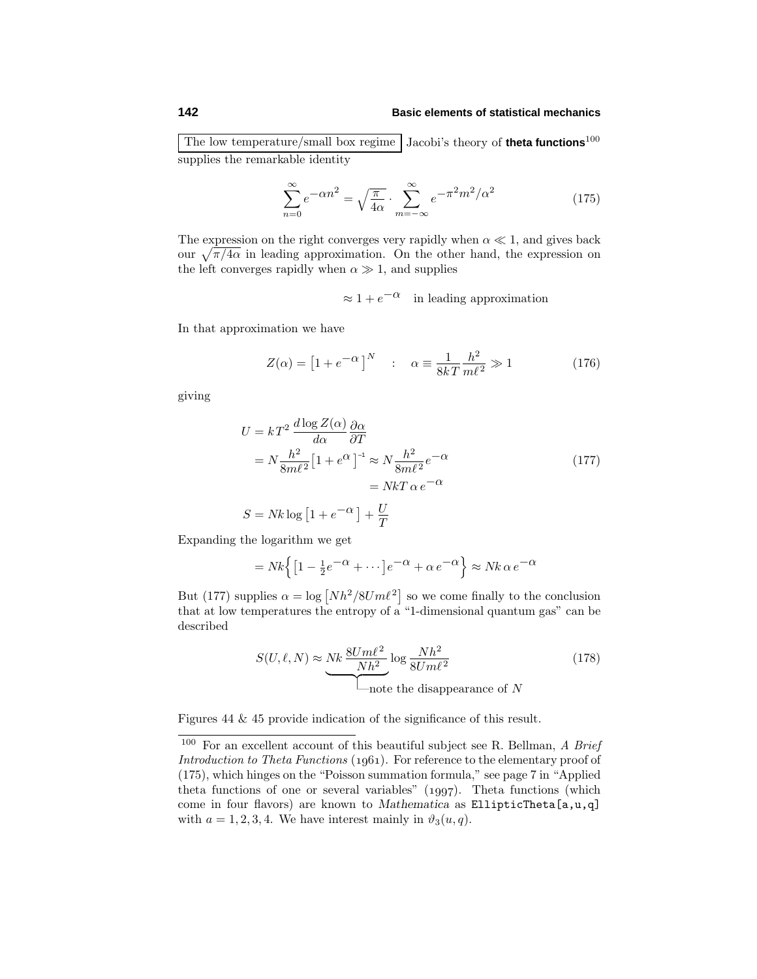The low temperature/small box regime Jacobi's theoryof **theta functions**<sup>100</sup> supplies the remarkable identity

$$
\sum_{n=0}^{\infty} e^{-\alpha n^2} = \sqrt{\frac{\pi}{4\alpha}} \cdot \sum_{m=-\infty}^{\infty} e^{-\pi^2 m^2/\alpha^2}
$$
 (175)

The expression on the right converges very rapidly when  $\alpha \ll 1$ , and gives back our  $\sqrt{\pi/4\alpha}$  in leading approximation. On the other hand, the expression on the left converges rapidly when  $\alpha \gg 1$ , and supplies

 $\approx 1 + e^{-\alpha}$  in leading approximation

In that approximation we have

$$
Z(\alpha) = \left[1 + e^{-\alpha}\right]^N \quad : \quad \alpha \equiv \frac{1}{8kT} \frac{h^2}{m\ell^2} \gg 1 \tag{176}
$$

giving

$$
U = kT^2 \frac{d \log Z(\alpha)}{d \alpha} \frac{\partial \alpha}{\partial T}
$$
  
=  $N \frac{h^2}{8m\ell^2} \left[ 1 + e^{\alpha} \right]^{-1} \approx N \frac{h^2}{8m\ell^2} e^{-\alpha}$   
=  $NkT \alpha e^{-\alpha}$   

$$
S = Nk \log \left[ 1 + e^{-\alpha} \right] + \frac{U}{T}
$$
 (177)

Expanding the logarithm we get

$$
= Nk \left\{ \left[ 1 - \frac{1}{2}e^{-\alpha} + \cdots \right] e^{-\alpha} + \alpha e^{-\alpha} \right\} \approx Nk \alpha e^{-\alpha}
$$

But (177) supplies  $\alpha = \log \left[ N h^2 / 8 U m \ell^2 \right]$  so we come finally to the conclusion that at low temperatures the entropy of a "1-dimensional quantum gas" can be described

$$
S(U,\ell,N) \approx \underbrace{Nk \frac{8Um\ell^2}{Nh^2}}_{\text{note the disappearance of } N} \log \frac{Nh^2}{8Um\ell^2}
$$
 (178)

Figures 44 & 45 provide indication of the significance of this result.

 $100\,$  For an excellent account of this beautiful subject see R. Bellman,  $A$   $Brief$ Introduction to Theta Functions  $(1961)$ . For reference to the elementary proof of (175), which hinges on the "Poisson summation formula," see page 7 in "Applied theta functions of one or several variables"  $(1997)$ . Theta functions (which come in four flavors) are known to *Mathematica* as EllipticTheta[a,u,q] with  $a = 1, 2, 3, 4$ . We have interest mainly in  $\vartheta_3(u, q)$ .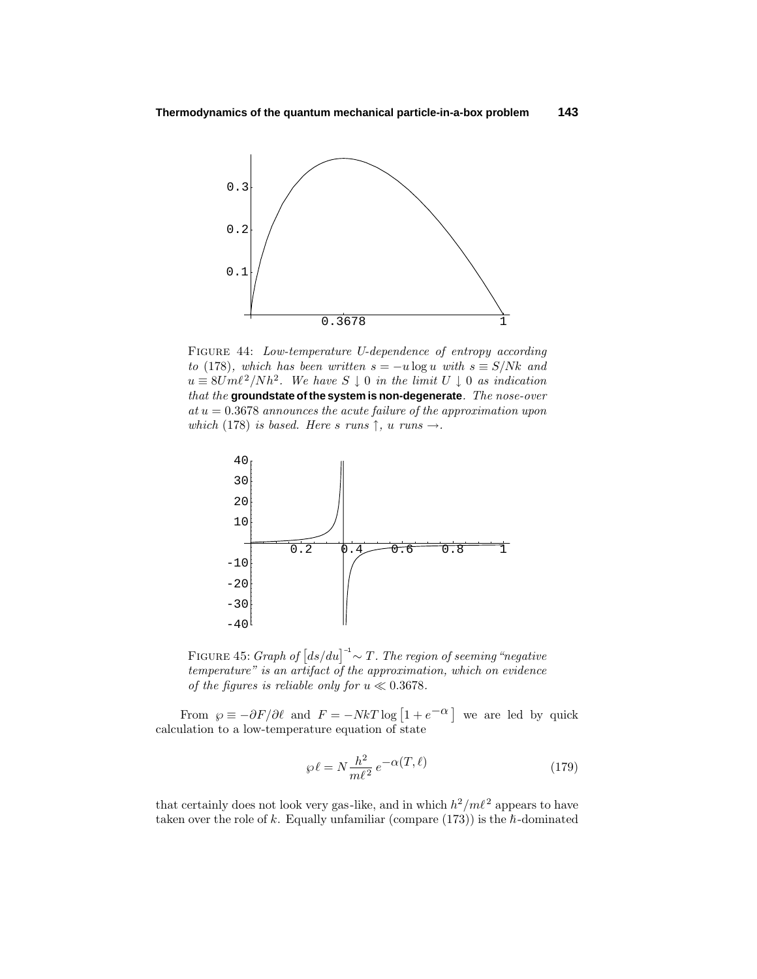

FIGURE 44: Low-temperature *U*-dependence of entropy according to (178), which has been written  $s = -u \log u$  with  $s ≡ S/Nk$  and  $u \equiv 8Um\ell^2/Nh^2$ . We have  $S \downarrow 0$  in the limit  $U \downarrow 0$  as indication that the **groundstate of the system is non-degenerate**. The nose-over  $at u = 0.3678$  announces the acute failure of the approximation upon which (178) is based. Here *s* runs  $\uparrow$ , *u* runs  $\rightarrow$ .



FIGURE 45: *Graph of*  $\left[ ds/du \right]^{-1} \sim T$ . The region of seeming "negative" temperature" is an artifact of the approximation, which on evidence of the figures is reliable only for  $u \ll 0.3678$ .

From  $\wp \equiv -\partial F/\partial \ell$  and  $F = -NkT \log [1 + e^{-\alpha}]$  we are led by quick calculation to a low-temperature equation of state

$$
\wp \ell = N \frac{h^2}{m\ell^2} e^{-\alpha(T,\ell)} \tag{179}
$$

that certainly does not look very gas-like, and in which  $h^2/m\ell^2$  appears to have taken over the role of  $k$ . Equally unfamiliar (compare  $(173)$ ) is the  $\hbar$ -dominated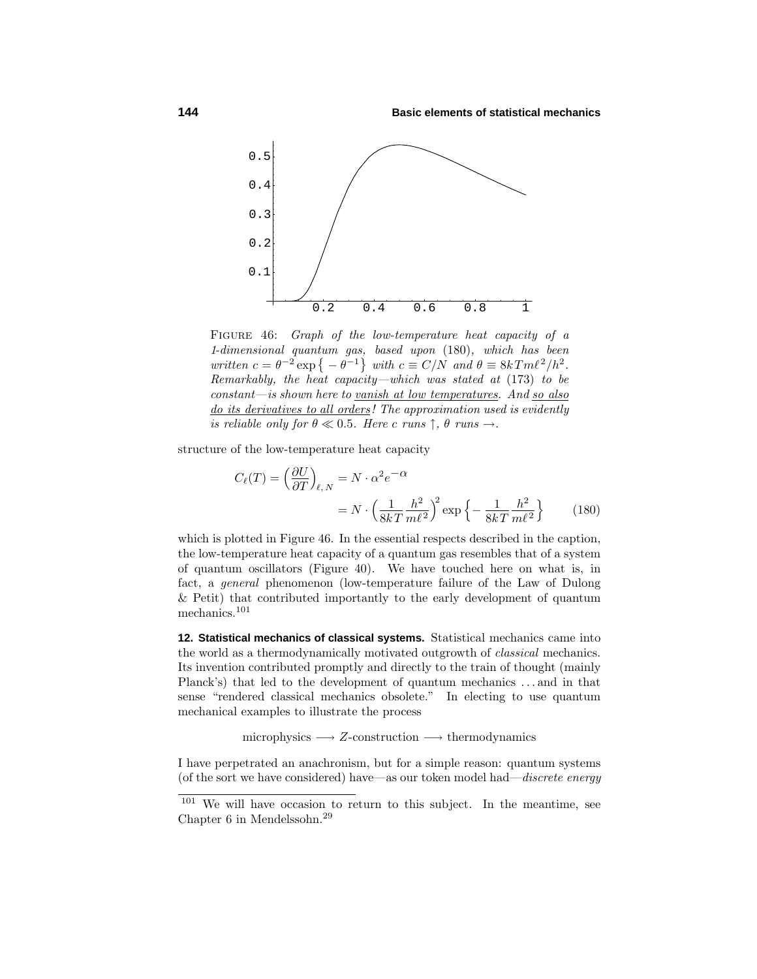

FIGURE 46: *Graph of the low-temperature heat capacity of a* 1-dimensional quantum gas, based upon (180), which has been written  $c = \theta^{-2} \exp\{-\theta^{-1}\}\$  with  $c \equiv C/N$  and  $\theta \equiv 8kTm\ell^2/h^2$ . Remarkably, the heat capacity—which was stated at (173) to be constant—is shown here to vanish at low temperatures. And so also do its derivatives to all orders! The approximation used is evidently is reliable only for  $\theta \ll 0.5$ . Here *c* runs  $\uparrow$ ,  $\theta$  runs  $\rightarrow$ .

structure of the low-temperature heat capacity

$$
C_{\ell}(T) = \left(\frac{\partial U}{\partial T}\right)_{\ell, N} = N \cdot \alpha^2 e^{-\alpha}
$$

$$
= N \cdot \left(\frac{1}{8kT} \frac{h^2}{m\ell^2}\right)^2 \exp\left\{-\frac{1}{8kT} \frac{h^2}{m\ell^2}\right\} \tag{180}
$$

which is plotted in Figure 46. In the essential respects described in the caption, the low-temperature heat capacityof a quantum gas resembles that of a system of quantum oscillators (Figure 40). We have touched here on what is, in fact, a general phenomenon (low-temperature failure of the Law of Dulong  $&$  Petit) that contributed importantly to the early development of quantum mechanics.<sup>101</sup>

**12. Statistical mechanics of classical systems.** Statistical mechanics came into the world as a thermodynamically motivated outgrowth of classical mechanics. Its invention contributed promptly and directly to the train of thought (mainly Planck's) that led to the development of quantum mechanics *...* and in that sense "rendered classical mechanics obsolete." In electing to use quantum mechanical examples to illustrate the process

microphysics −→ *Z*-construction −→ thermodynamics

I have perpetrated an anachronism, but for a simple reason: quantum systems (of the sort we have considered) have—as our token model had—discrete energy

<sup>101</sup> We will have occasion to return to this subject. In the meantime, see Chapter 6 in Mendelssohn.<sup>29</sup>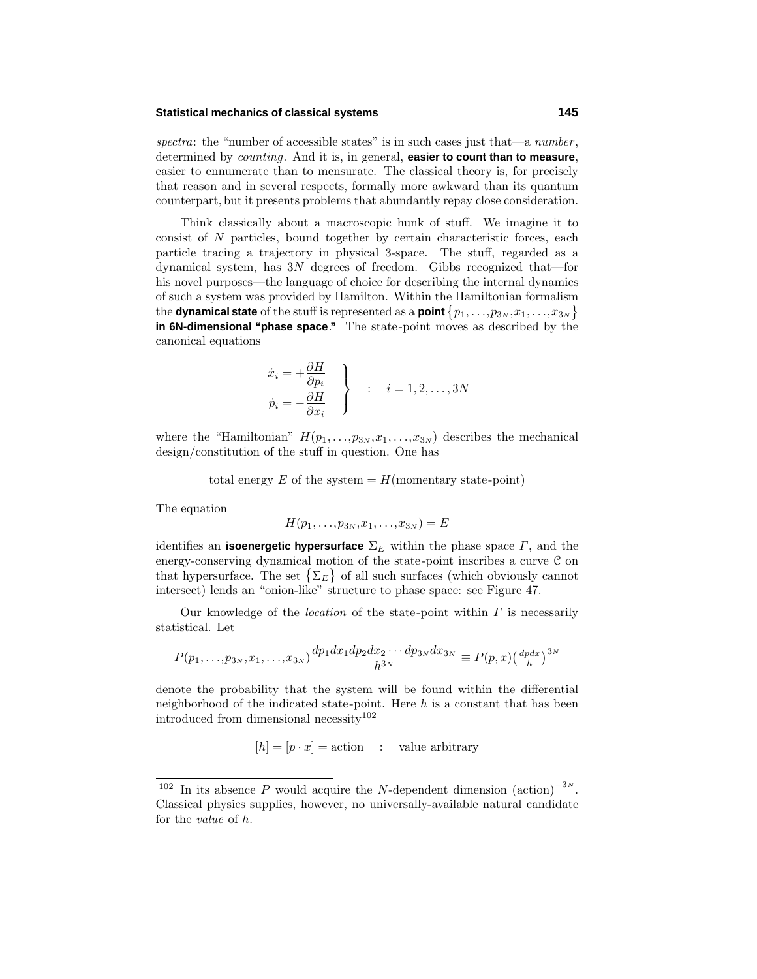# **Statistical mechanics of classical systems 145**

spectra: the "number of accessible states" is in such cases just that—a number, determined by counting. And it is, in general, **easier to count than to measure**, easier to ennumerate than to mensurate. The classical theory is, for precisely that reason and in several respects, formallymore awkward than its quantum counterpart,but it presents problems that abundantlyrepayclose consideration.

Think classically about a macroscopic hunk of stuff. We imagine it to consist of N particles, bound together by certain characteristic forces, each particle tracing a trajectory in physical 3-space. The stuff, regarded as a dynamical system, has 3*N* degrees of freedom. Gibbs recognized that—for his novel purposes—the language of choice for describing the internal dynamics of such a system was provided by Hamilton. Within the Hamiltonian formalism the **dynamical state** of the stuff is represented as a **point**  $\{p_1, \ldots, p_{3N}, x_1, \ldots, x_{3N}\}$ in 6N-dimensional "phase space." The state-point moves as described by the canonical equations

$$
\dot{x}_i = +\frac{\partial H}{\partial p_i}
$$
\n
$$
\dot{p}_i = -\frac{\partial H}{\partial x_i}
$$
\n
$$
\begin{cases}\n\vdots & i = 1, 2, \dots, 3N\n\end{cases}
$$

where the "Hamiltonian"  $H(p_1, \ldots, p_{3N}, x_1, \ldots, x_{3N})$  describes the mechanical design/constitution of the stuff in question. One has

total energy 
$$
E
$$
 of the system =  $H$ (momentary state-point)

The equation

$$
H(p_1,\ldots,p_{3N},x_1,\ldots,x_{3N})=E
$$

identifies an **isoenergetic hypersurface**  $\Sigma_E$  within the phase space  $\Gamma$ , and the energy-conserving dynamical motion of the state-point inscribes a curve C on that hypersurface. The set  $\{\Sigma_E\}$  of all such surfaces (which obviously cannot intersect) lends an "onion-like" structure to phase space: see Figure 47.

Our knowledge of the location of the state-point within *Γ* is necessarily statistical. Let

$$
P(p_1, \ldots, p_{3N}, x_1, \ldots, x_{3N}) \frac{dp_1 dx_1 dp_2 dx_2 \cdots dp_{3N} dx_{3N}}{h^{3N}} \equiv P(p, x) \left(\frac{dp dx}{h}\right)^{3N}
$$

denote the probability that the system will be found within the differential neighborhood of the indicated state-point. Here *h* is a constant that has been introduced from dimensional necessity<sup>102</sup>

$$
[h] = [p \cdot x] = \text{action} \quad : \quad \text{value arbitrary}
$$

<sup>&</sup>lt;sup>102</sup> In its absence *P* would acquire the *N*-dependent dimension (action)<sup> $-3*N*$ .</sup> Classical physics supplies, however, no universally-available natural candidate for the value of *h*.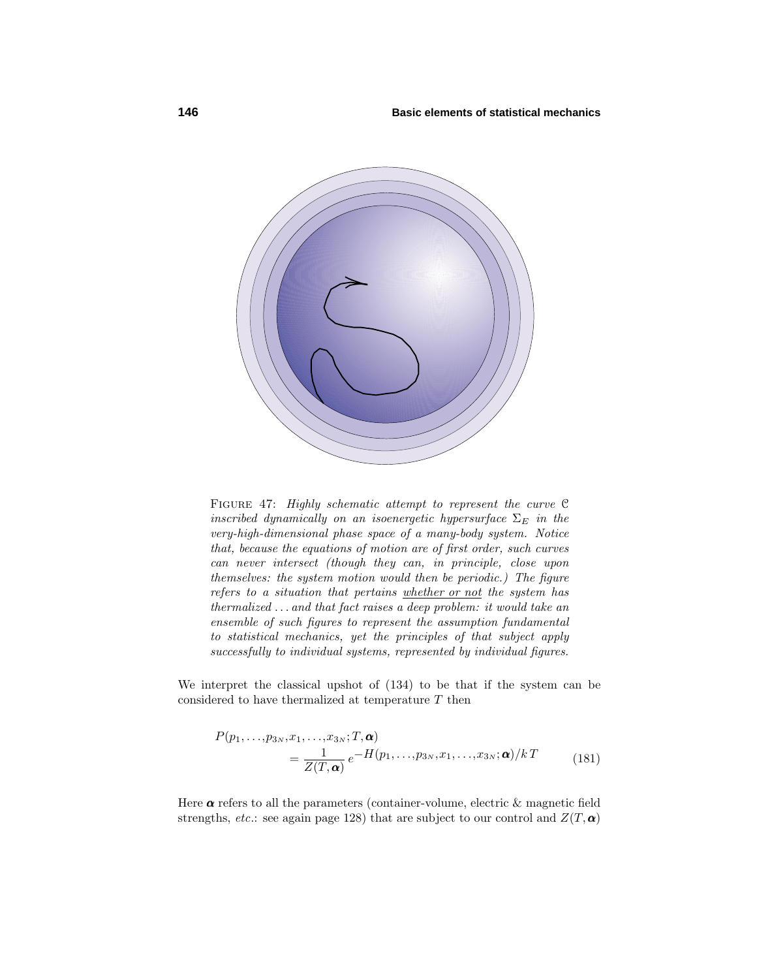

FIGURE 47: Highly schematic attempt to represent the curve C inscribed dynamically on an isoenergetic hypersurface  $\Sigma_E$  in the very-high-dimensional phase space of a many-body system. Notice that, because the equations of motion are of first order, such curves can never intersect (though they can, in principle, close upon themselves: the system motion would then be periodic.) The figure refers to a situation that pertains whether or not the system has thermalized *...* and that fact raises a deep problem: it would take an ensemble of such figures to represent the assumption fundamental to statistical mechanics, yet the principles of that subject apply successfully to individual systems, represented by individual figures.

We interpret the classical upshot of (134) to be that if the system can be considered to have thermalized at temperature *T* then

$$
P(p_1, \ldots, p_{3N}, x_1, \ldots, x_{3N}; T, \boldsymbol{\alpha})
$$
  
= 
$$
\frac{1}{Z(T, \boldsymbol{\alpha})} e^{-H(p_1, \ldots, p_{3N}, x_1, \ldots, x_{3N}; \boldsymbol{\alpha})/kT}
$$
(181)

Here  $\alpha$  refers to all the parameters (container-volume, electric  $\&$  magnetic field strengths, *etc.*: see again page 128) that are subject to our control and  $Z(T, \alpha)$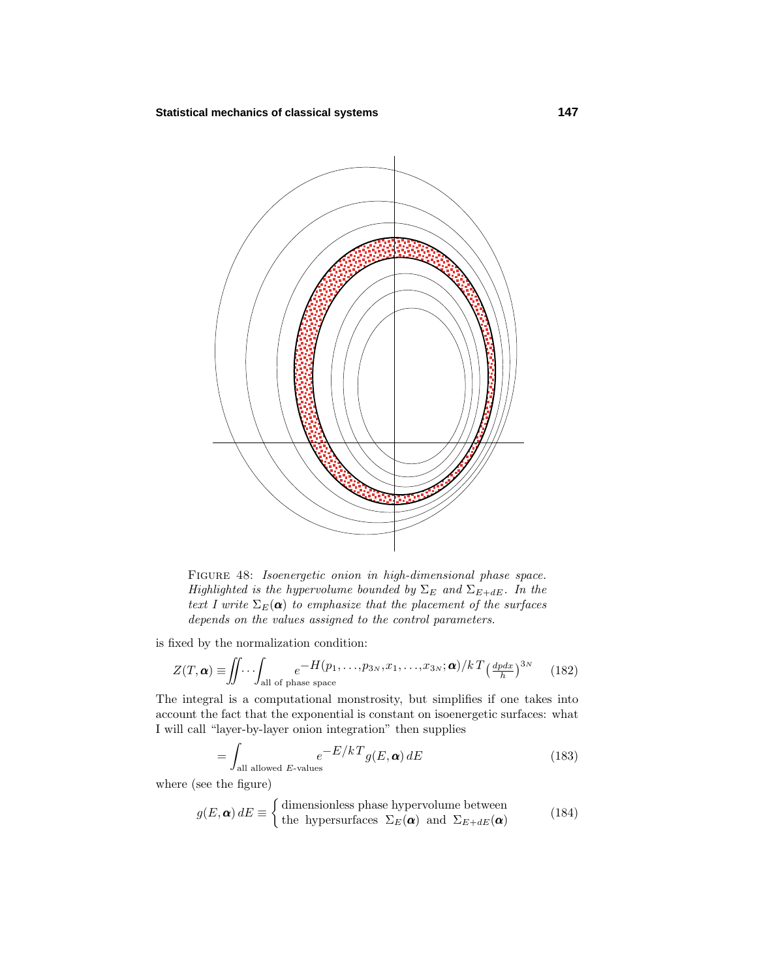

Figure 48: Isoenergetic onion in high-dimensional phase space. *Highlighted is the hypervolume bounded by*  $\Sigma_E$  and  $\Sigma_{E+dE}$ . In the text I write  $\Sigma_E(\alpha)$  to emphasize that the placement of the surfaces depends on the values assigned to the control parameters.

is fixed by the normalization condition:

$$
Z(T, \alpha) \equiv \iint \cdots \int_{\text{all of phase space}} e^{-H(p_1, \ldots, p_{3N}, x_1, \ldots, x_{3N}; \alpha)/k} T(\frac{dpdx}{h})^{3N} \qquad (182)
$$

The integral is a computational monstrosity, but simplifies if one takes into account the fact that the exponential is constant on isoenergetic surfaces: what I will call "layer-by-layer onion integration" then supplies

$$
= \int_{\text{all allowed } E \text{-values}} e^{-E/kT} g(E, \alpha) dE \tag{183}
$$

where (see the figure)

$$
g(E, \alpha) dE \equiv \begin{cases} \text{dimensionless phase hypervolume between} \\ \text{the hypersurfaces } \Sigma_E(\alpha) \text{ and } \Sigma_{E+dE}(\alpha) \end{cases} \tag{184}
$$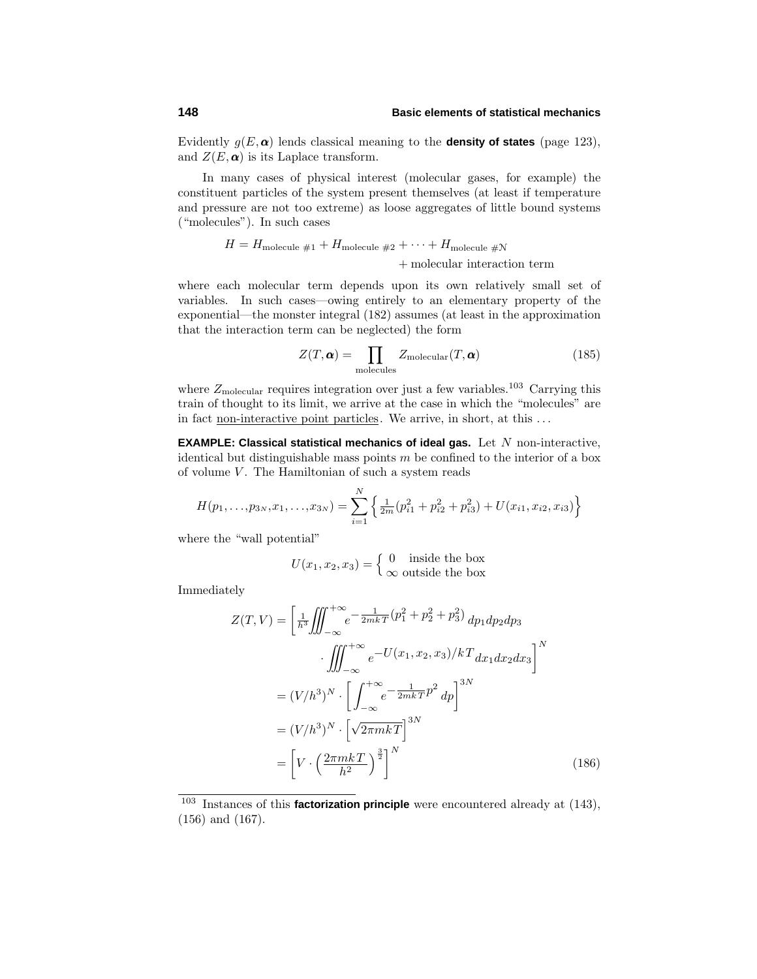Evidently  $g(E, \alpha)$  lends classical meaning to the **density of states** (page 123), and  $Z(E, \alpha)$  is its Laplace transform.

In many cases of physical interest (molecular gases, for example) the constituent particles of the system present themselves (at least if temperature and pressure are not too extreme) as loose aggregates of little bound systems ("molecules"). In such cases

> $H = H_{\text{molecule } \#1} + H_{\text{molecule } \#2} + \cdots + H_{\text{molecule } \#N}$ + molecular interaction term

where each molecular term depends upon its own relatively small set of variables. In such cases—owing entirely to an elementary property of the exponential—the monster integral (182) assumes (at least in the approximation that the interaction term can be neglected) the form

$$
Z(T, \alpha) = \prod_{\text{molecules}} Z_{\text{molecular}}(T, \alpha) \tag{185}
$$

where  $Z_{\text{molecular}}$  requires integration over just a few variables.<sup>103</sup> Carrying this train of thought to its limit, we arrive at the case in which the "molecules" are in fact non-interactive point particles. We arrive, in short, at this *...*

**EXAMPLE: Classical statistical mechanics of ideal gas.** Let *N* non-interactive, identical but distinguishable mass points *m* be confined to the interior of a box of volume *V* . The Hamiltonian of such a system reads

$$
H(p_1,...,p_{3N},x_1,...,x_{3N}) = \sum_{i=1}^N \left\{ \frac{1}{2m}(p_{i1}^2 + p_{i2}^2 + p_{i3}^2) + U(x_{i1},x_{i2},x_{i3}) \right\}
$$

where the "wall potential"

$$
U(x_1, x_2, x_3) = \begin{cases} 0 & \text{inside the box} \\ \infty & \text{outside the box} \end{cases}
$$

Immediately

$$
Z(T,V) = \left[\frac{1}{h^3} \iiint_{-\infty}^{+\infty} e^{-\frac{1}{2mkT}(p_1^2 + p_2^2 + p_3^2)} dp_1 dp_2 dp_3
$$

$$
\iiint_{-\infty}^{+\infty} e^{-U(x_1, x_2, x_3)/kT} dx_1 dx_2 dx_3\right]^N
$$

$$
= (V/h^3)^N \cdot \left[\int_{-\infty}^{+\infty} e^{-\frac{1}{2mkT}p^2} dp\right]^{3N}
$$

$$
= (V/h^3)^N \cdot \left[\sqrt{2\pi mkT}\right]^{3N}
$$

$$
= \left[V \cdot \left(\frac{2\pi mkT}{h^2}\right)^{\frac{3}{2}}\right]^N
$$
(186)

<sup>&</sup>lt;sup>103</sup> Instances of this **factorization principle** were encountered already at (143), (156) and (167).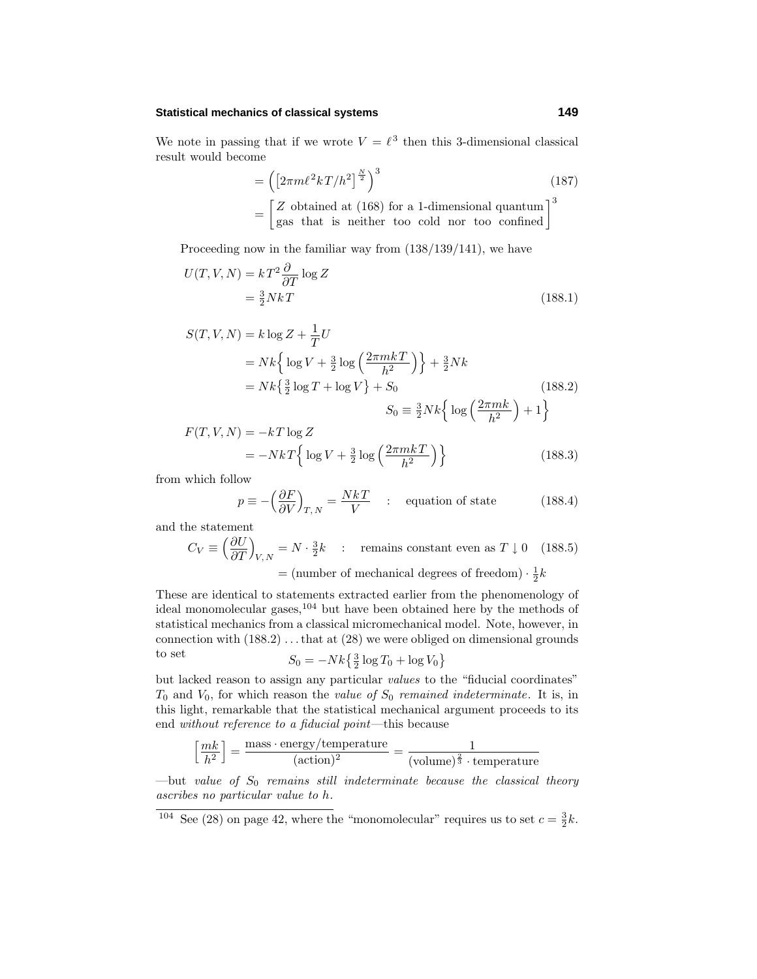# **Statistical mechanics of classical systems 149**

We note in passing that if we wrote  $V = \ell^3$  then this 3-dimensional classical result would become

$$
= \left( \left[ 2\pi m \ell^2 k T / h^2 \right]^{\frac{N}{2}} \right)^3
$$
\n(187)

 $=\begin{bmatrix} Z \text{ obtained at (168) for a 1-dimensional quantum} \\ \text{gas that is neither too cold nor too confined} \end{bmatrix}^3$ 

Proceeding now in the familiar way from  $(138/139/141)$ , we have

$$
U(T, V, N) = kT^2 \frac{\partial}{\partial T} \log Z
$$
  
=  $\frac{3}{2} NkT$  (188.1)

$$
S(T, V, N) = k \log Z + \frac{1}{T}U
$$
  
= Nk \left\{ \log V + \frac{3}{2} \log \left( \frac{2\pi mkT}{h^2} \right) \right\} + \frac{3}{2} Nk  
= Nk \left\{ \frac{3}{2} \log T + \log V \right\} + S\_0 \tag{188.2}  

$$
S_0 \equiv \frac{3}{2} Nk \left\{ \log \left( \frac{2\pi mk}{h^2} \right) + 1 \right\}
$$

$$
F(T, V, N) = -kT \log Z
$$
  
= 
$$
-NkT \left\{ \log V + \frac{3}{2} \log \left( \frac{2\pi mk}{h^2} \right) \right\}
$$
 (188.3)

from which follow

$$
p \equiv -\left(\frac{\partial F}{\partial V}\right)_{T,N} = \frac{NkT}{V} \qquad : \quad \text{equation of state} \tag{188.4}
$$

and the statement

$$
C_V \equiv \left(\frac{\partial U}{\partial T}\right)_{V,N} = N \cdot \frac{3}{2}k \quad : \quad \text{remains constant even as } T \downarrow 0 \quad (188.5)
$$

 $=$  (number of mechanical degrees of freedom)  $\cdot \frac{1}{2}k$ 

These are identical to statements extracted earlier from the phenomenologyof ideal monomolecular gases, $104$  but have been obtained here by the methods of statistical mechanics from a classical micromechanical model. Note, however, in connection with (188.2) *...*that at (28) we were obliged on dimensional grounds to set  $S_0 = -Nk$ {

$$
S_0 = -Nk\left\{\frac{3}{2}\log T_0 + \log V_0\right\}
$$

but lacked reason to assign anyparticular values to the "fiducial coordinates" *T*<sup>0</sup> and *V*0, for which reason the value of *S*<sup>0</sup> remained indeterminate. It is, in this light, remarkable that the statistical mechanical argument proceeds to its end without reference to a fiducial point—this because

$$
\left[\frac{mk}{h^2}\right] = \frac{\text{mass} \cdot \text{energy/temperature}}{(\text{action})^2} = \frac{1}{(\text{volume})^{\frac{2}{3}} \cdot \text{temperature}}
$$

 $-\text{but value of } S_0$  remains still indeterminate because the classical theory ascribes no particular value to *h*.

<sup>104</sup> See (28) on page 42, where the "monomolecular" requires us to set  $c = \frac{3}{2}k$ .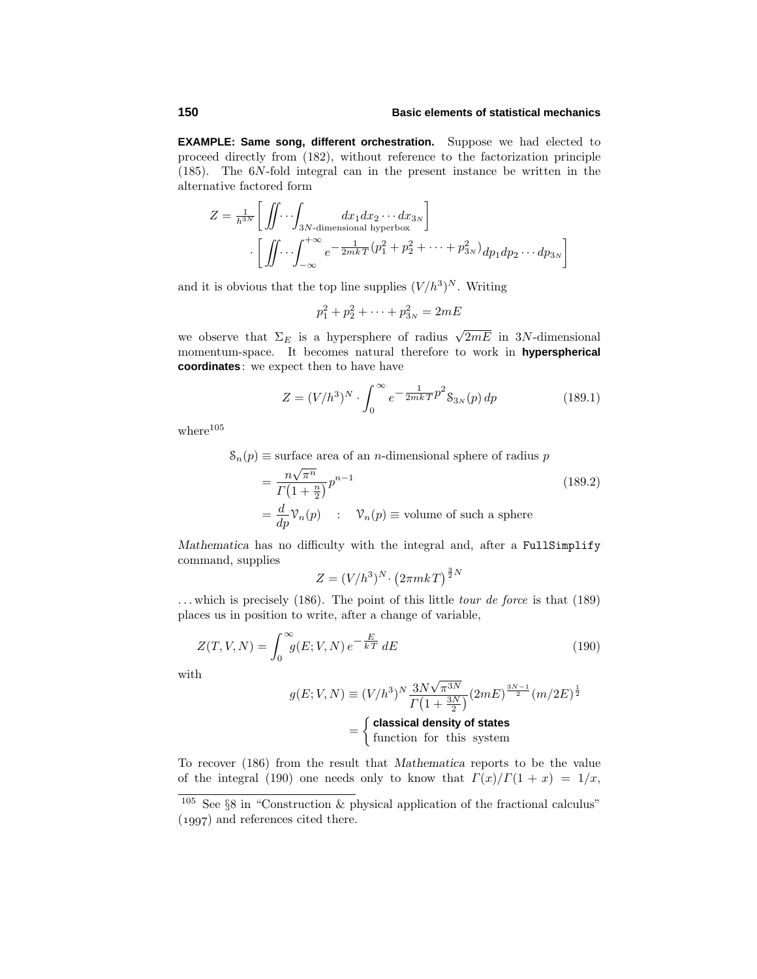**EXAMPLE: Same song, different orchestration.** Suppose we had elected to proceed directly from  $(182)$ , without reference to the factorization principle (185). The 6*N*-fold integral can in the present instance be written in the alternative factored form

$$
Z = \frac{1}{h^{3N}} \left[ \iint \cdots \int_{3N-\text{dimensional hyperbox}} dx_1 dx_2 \cdots dx_{3N} \right]
$$

$$
\cdot \left[ \iint \cdots \int_{-\infty}^{+\infty} e^{-\frac{1}{2mk} \overline{T}} (p_1^2 + p_2^2 + \cdots + p_{3N}^2) dp_1 dp_2 \cdots dp_{3N} \right]
$$

and it is obvious that the top line supplies  $(V/h^3)^N$ . Writing

$$
p_1^2 + p_2^2 + \dots + p_{3N}^2 = 2mE
$$

we observe that  $\Sigma_E$  is a hypersphere of radius  $\sqrt{2mE}$  in 3*N*-dimensional momentum-space. It becomes natural therefore to work in **hyperspherical coordinates**: we expect then to have have

$$
Z = (V/h^3)^N \cdot \int_0^\infty e^{-\frac{1}{2mkT}p^2} \mathcal{S}_{3N}(p) \, dp \tag{189.1}
$$

where $105$ 

$$
\begin{aligned} \mathcal{S}_n(p) &\equiv \text{surface area of an } n\text{-dimensional sphere of radius } p \\ &= \frac{n\sqrt{\pi^n}}{\Gamma\left(1 + \frac{n}{2}\right)} p^{n-1} \\ &= \frac{d}{dp} \mathcal{V}_n(p) \quad : \quad \mathcal{V}_n(p) \equiv \text{volume of such a sphere} \end{aligned} \tag{189.2}
$$

*Mathematica* has no difficulty with the integral and, after a FullSimplify command, supplies

 $Z = (V/h^3)^N \cdot (2\pi mkT)^{\frac{3}{2}N}$ 

 $\dots$  which is precisely (186). The point of this little *tour de force* is that (189) places us in position to write, after a change of variable,

$$
Z(T, V, N) = \int_0^\infty g(E; V, N) e^{-\frac{E}{kT}} dE
$$
\n(190)

with

$$
g(E;V,N) \equiv (V/h^3)^N \frac{3N\sqrt{\pi^{3N}}}{\Gamma(1+\frac{3N}{2})} (2mE)^{\frac{3N-1}{2}} (m/2E)^{\frac{1}{2}}
$$

$$
= \begin{cases} \text{classical density of states} \\ \text{function for this system} \end{cases}
$$

To recover (186) from the result that *Mathematica* reports to be the value of the integral (190) one needs only to know that  $\Gamma(x)/\Gamma(1+x)=1/x$ ,

<sup>&</sup>lt;sup>105</sup> See  $\S 8$  in "Construction & physical application of the fractional calculus"  $(1997)$  and references cited there.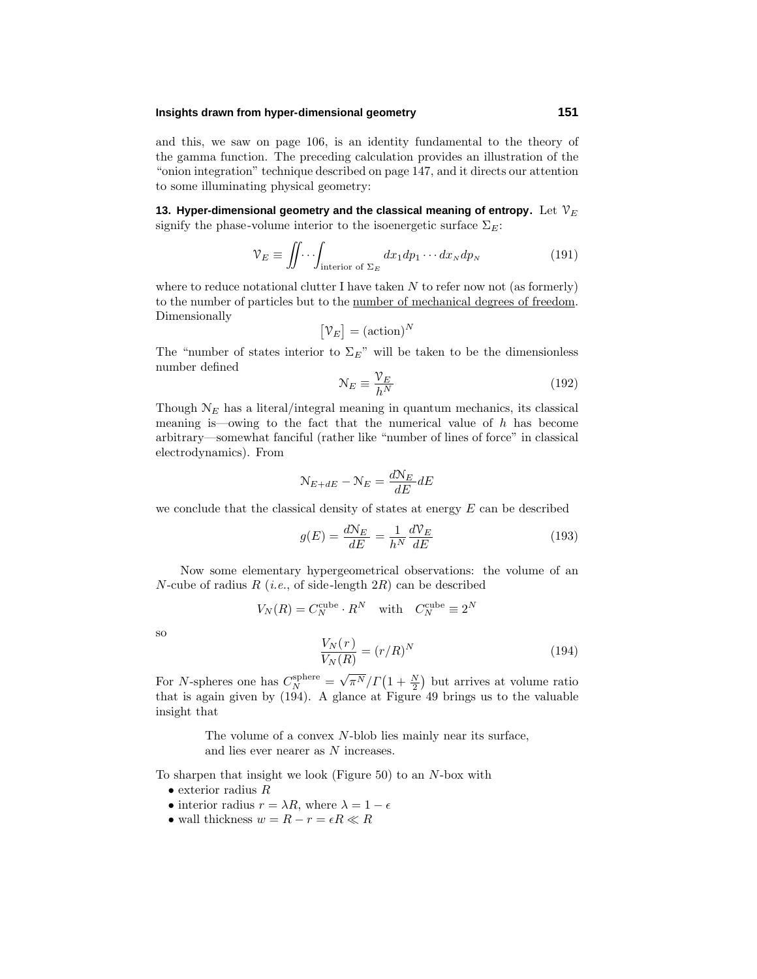# **Insights drawn from hyper-dimensional geometry 151**

and this, we saw on page 106, is an identity fundamental to the theory of the gamma function. The preceding calculation provides an illustration of the "onion integration" technique described on page 147, and it directs our attention to some illuminating physical geometry:

**13. Hyper-dimensional geometry and the classical meaning of entropy.** Let V*<sup>E</sup>* signify the phase-volume interior to the isoenergetic surface  $\Sigma_E$ :

$$
\mathcal{V}_E \equiv \iint \cdots \int_{\text{interior of } \Sigma_E} dx_1 dp_1 \cdots dx_N dp_N \tag{191}
$$

where to reduce notational clutter I have taken N to refer now not (as formerly) to the number of particles but to the number of mechanical degrees of freedom. Dimensionally

$$
[\mathcal{V}_E] = (\text{action})^N
$$

The "number of states interior to  $\Sigma_E$ " will be taken to be the dimensionless number defined

$$
\mathcal{N}_E \equiv \frac{\mathcal{V}_E}{h^N} \tag{192}
$$

Though  $N_E$  has a literal/integral meaning in quantum mechanics, its classical meaning is—owing to the fact that the numerical value of *h* has become arbitrary—somewhat fanciful (rather like "number of lines of force" in classical electrodynamics). From

$$
N_{E+dE} - N_E = \frac{dN_E}{dE} dE
$$

we conclude that the classical densityof states at energy *E* can be described

$$
g(E) = \frac{dN_E}{dE} = \frac{1}{h^N} \frac{dV_E}{dE}
$$
\n(193)

Now some elementary hypergeometrical observations: the volume of an *N*-cube of radius  $R$  (*i.e.*, of side-length  $2R$ ) can be described

$$
V_N(R) = C_N^{\text{cube}} \cdot R^N \quad \text{with} \quad C_N^{\text{cube}} \equiv 2^N
$$

so

$$
\frac{V_N(r)}{V_N(R)} = (r/R)^N \tag{194}
$$

For *N*-spheres one has  $C_N^{\text{sphere}} = \sqrt{\pi^N}/\Gamma(1+\frac{N}{2})$  but arrives at volume ratio that is again given by  $(194)$ . A glance at Figure 49 brings us to the valuable insight that

> The volume of a convex *N*-blob lies mainly near its surface, and lies ever nearer as *N* increases.

To sharpen that insight we look (Figure 50) to an *N*-box with

- exterior radius *R*
- interior radius  $r = \lambda R$ , where  $\lambda = 1 \epsilon$
- wall thickness  $w = R r = \epsilon R \ll R$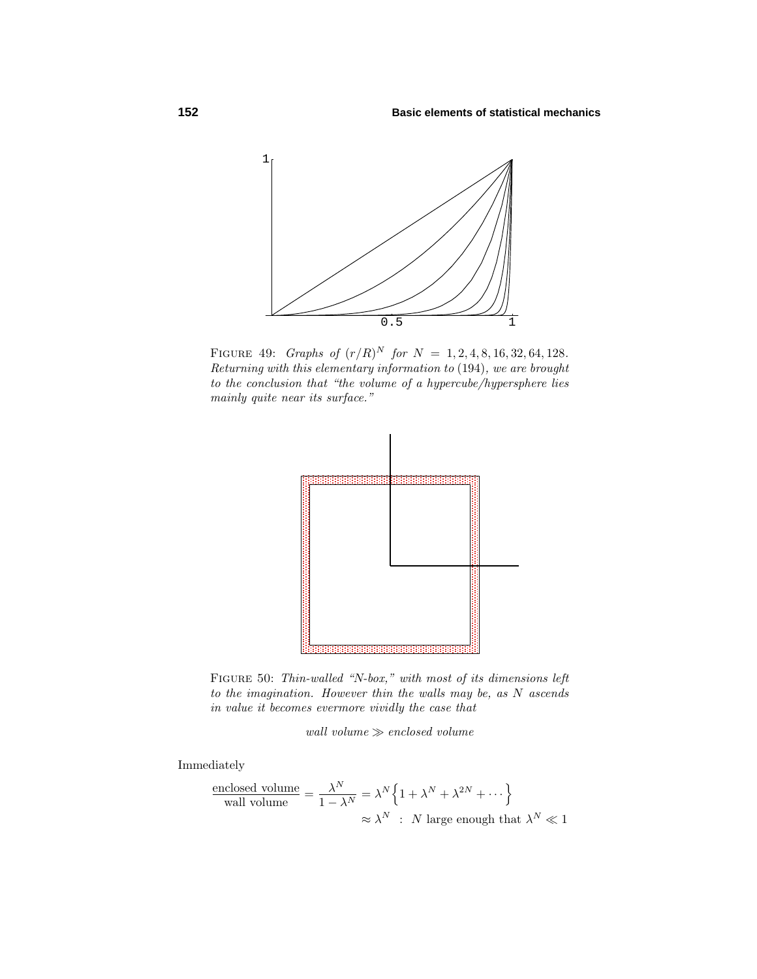

FIGURE 49: Graphs of  $(r/R)^N$  for  $N = 1, 2, 4, 8, 16, 32, 64, 128$ . Returning with this elementary information to (194), we are brought to the conclusion that "the volume of a hypercube/hypersphere lies mainly quite near its surface."



Figure 50: Thin-walled "*N*-box," with most of its dimensions left to the imagination. However thin the walls may be, as *N* ascends in value it becomes evermore vividly the case that

 $wall\ volume \gg enclosed\ volume$ 

Immediately

$$
\frac{\text{enclosed volume}}{\text{wall volume}} = \frac{\lambda^N}{1 - \lambda^N} = \lambda^N \left\{ 1 + \lambda^N + \lambda^{2N} + \dots \right\}
$$

$$
\approx \lambda^N \quad \text{: } N \text{ large enough that } \lambda^N \ll 1
$$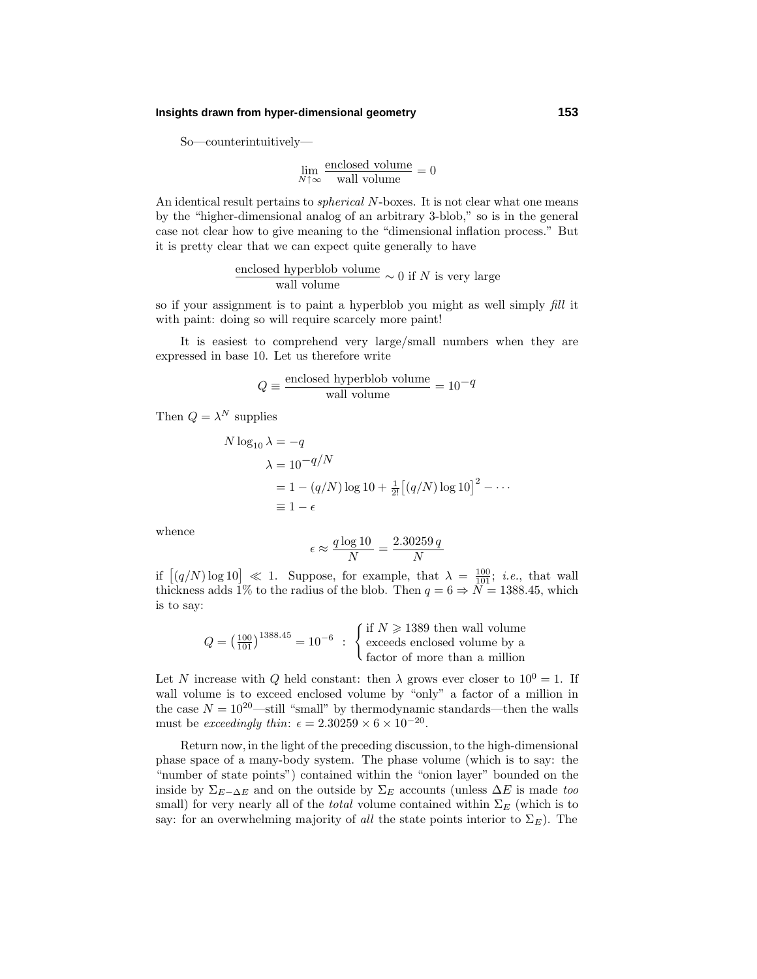## **Insights drawn from hyper-dimensional geometry 153**

So—counterintuitively—

$$
\lim_{N \uparrow \infty} \frac{\text{enclosed volume}}{\text{wall volume}} = 0
$$

An identical result pertains to spherical *N*-boxes. It is not clear what one means bythe "higher-dimensional analog of an arbitrary3-blob," so is in the general case not clear how to give meaning to the "dimensional inflation process." But it is pretty clear that we can expect quite generally to have

enclosed hyperblob volume 
$$
\sim 0
$$
 if  $N$  is very large wall volume

so if your assignment is to paint a hyperblob you might as well simply fill it with paint: doing so will require scarcely more paint!

It is easiest to comprehend very large/small numbers when they are expressed in base 10. Let us therefore write

$$
Q \equiv \frac{\text{enclosed hyperblob volume}}{\text{wall volume}} = 10^{-q}
$$

Then  $Q = \lambda^N$  supplies

$$
N \log_{10} \lambda = -q
$$
  
\n
$$
\lambda = 10^{-q/N}
$$
  
\n
$$
= 1 - (q/N) \log 10 + \frac{1}{2!} [(q/N) \log 10]^2 - \cdots
$$
  
\n
$$
\equiv 1 - \epsilon
$$

whence

$$
\epsilon \approx \frac{q\log 10}{N} = \frac{2.30259\,q}{N}
$$

if  $[(q/N)\log 10] \ll 1$ . Suppose, for example, that  $\lambda = \frac{100}{101}$ ; *i.e.*, that wall thickness adds 1% to the radius of the blob. Then  $q = 6 \Rightarrow N = 1388.45$ , which is to say:

$$
Q = \left(\frac{100}{101}\right)^{1388.45} = 10^{-6}
$$
 : 
$$
\begin{cases} \text{if } N \geqslant 1389 \text{ then wall volume} \\ \text{exceeds enclosed volume by a factor of more than a million} \end{cases}
$$

Let *N* increase with *Q* held constant: then  $\lambda$  grows ever closer to  $10^0 = 1$ . If wall volume is to exceed enclosed volume by "only" a factor of a million in the case  $N = 10^{20}$ —still "small" by thermodynamic standards—then the walls must be *exceedingly thin*:  $\epsilon = 2.30259 \times 6 \times 10^{-20}$ .

Return now, in the light of the preceding discussion, to the high-dimensional phase space of a many-body system. The phase volume (which is to say: the "number of state points") contained within the "onion layer" bounded on the inside by  $\Sigma_{E-\Delta E}$  and on the outside by  $\Sigma_E$  accounts (unless  $\Delta E$  is made too small) for very nearly all of the *total* volume contained within  $\Sigma_E$  (which is to say: for an overwhelming majority of all the state points interior to  $\Sigma_E$ ). The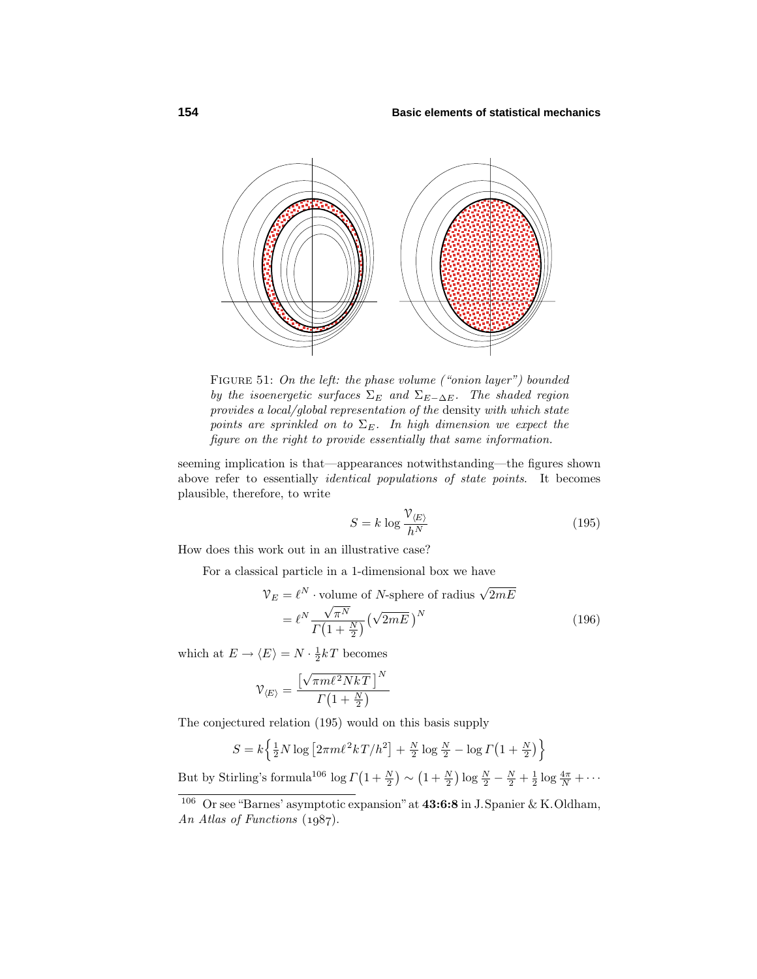

FIGURE 51: On the left: the phase volume ("onion layer") bounded by the isoenergetic surfaces Σ*<sup>E</sup>* and Σ*E*−∆*E*. The shaded region provides a local/global representation of the density with which state points are sprinkled on to  $\Sigma_E$ . In high dimension we expect the figure on the right to provide essentially that same information.

seeming implication is that—appearances notwithstanding—the figures shown above refer to essentially identical populations of state points. It becomes plausible, therefore, to write

$$
S = k \log \frac{\mathcal{V}_{\langle E \rangle}}{h^N} \tag{195}
$$

How does this work out in an illustrative case?

For a classical particle in a 1-dimensional box we have

$$
\mathcal{V}_E = \ell^N \cdot \text{volume of } N \text{-sphere of radius } \sqrt{2mE}
$$

$$
= \ell^N \frac{\sqrt{\pi^N}}{\Gamma(1 + \frac{N}{2})} \left(\sqrt{2mE}\right)^N \tag{196}
$$

which at  $E \to \langle E \rangle = N \cdot \frac{1}{2}kT$  becomes

$$
\mathcal{V}_{\langle E \rangle} = \frac{\left[\sqrt{\pi m \ell^2 N k T}\,\right]^N}{\Gamma\!\left(1 + \frac{N}{2}\right)}
$$

The conjectured relation (195) would on this basis supply

$$
S = k \left\{ \frac{1}{2} N \log \left[ 2\pi m \ell^2 k T / h^2 \right] + \frac{N}{2} \log \frac{N}{2} - \log \Gamma \left( 1 + \frac{N}{2} \right) \right\}
$$

But by Stirling's formula<sup>106</sup> log  $\Gamma\left(1+\frac{N}{2}\right) \sim \left(1+\frac{N}{2}\right) \log \frac{N}{2} - \frac{N}{2} + \frac{1}{2} \log \frac{4\pi}{N} + \cdots$ 

<sup>106</sup> Or see"Barnes' asymptotic expansion"at **43:6:8** in J.Spanier & K.Oldham, An Atlas of Functions  $(1987)$ .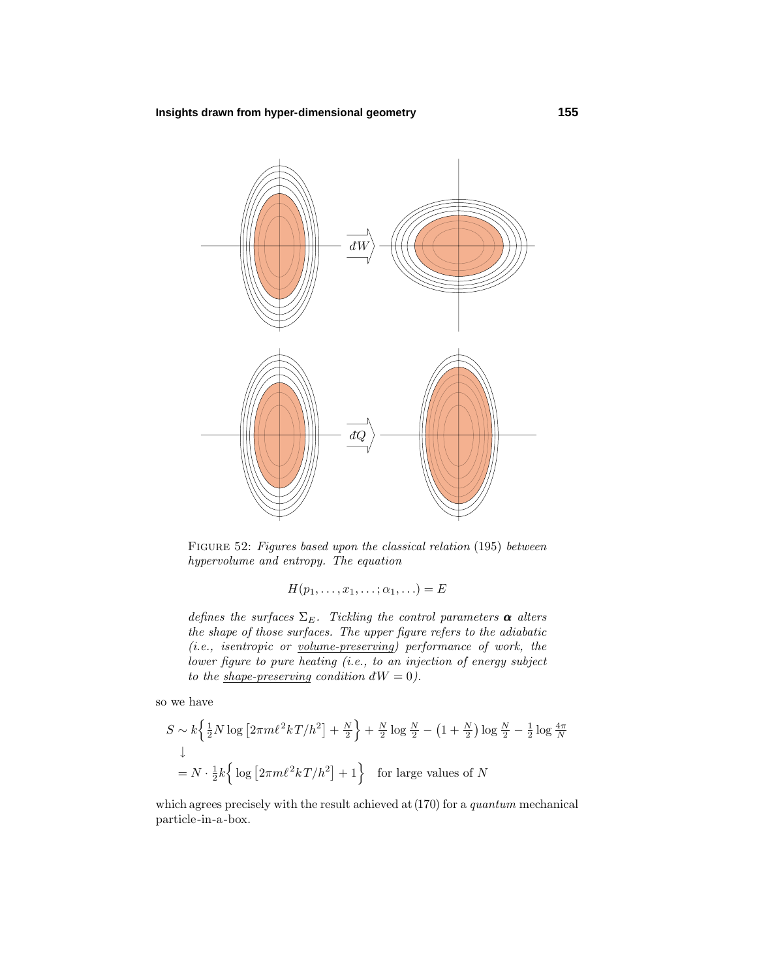

Figure 52: Figures based upon the classical relation (195) between hypervolume and entropy. The equation

$$
H(p_1,\ldots,x_1,\ldots;\alpha_1,\ldots)=E
$$

defines the surfaces  $\Sigma_E$ . Tickling the control parameters  $\alpha$  alters the shape of those surfaces. The upper figure refers to the adiabatic  $(i.e.,$  isentropic or volume-preserving) performance of work, the lower figure to pure heating (i.e., to an injection of energy subject to the <u>shape-preserving</u> condition  $dW = 0$ ).

so we have

$$
S \sim k \left\{ \frac{1}{2} N \log \left[ 2\pi m \ell^2 k T / h^2 \right] + \frac{N}{2} \right\} + \frac{N}{2} \log \frac{N}{2} - \left( 1 + \frac{N}{2} \right) \log \frac{N}{2} - \frac{1}{2} \log \frac{4\pi}{N}
$$
  
=  $N \cdot \frac{1}{2} k \left\{ \log \left[ 2\pi m \ell^2 k T / h^2 \right] + 1 \right\}$  for large values of N

which agrees precisely with the result achieved at  $(170)$  for a *quantum* mechanical particle-in-a-box.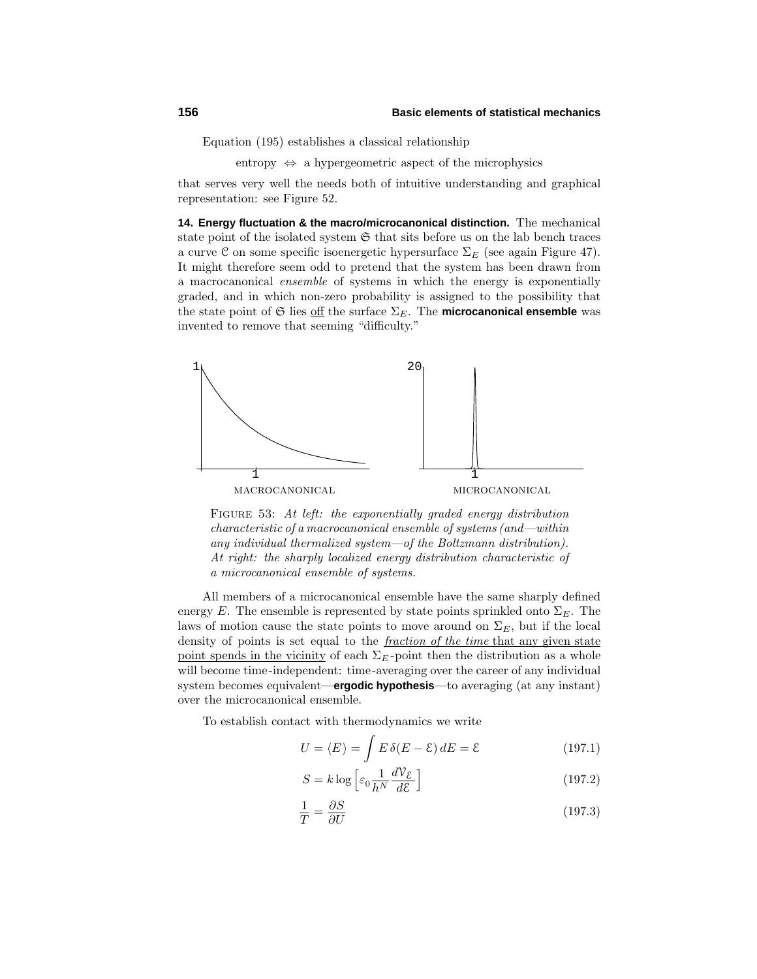Equation (195) establishes a classical relationship

entropy 
$$
\Leftrightarrow
$$
 a hypergeometric aspect of the microphysics

that serves verywell the needs both of intuitive understanding and graphical representation: see Figure 52.

**14. Energy fluctuation & the macro/microcanonical distinction.** The mechanical state point of the isolated system  $\mathfrak S$  that sits before us on the lab bench traces a curve C on some specific isoenergetic hypersurface  $\Sigma_E$  (see again Figure 47). It might therefore seem odd to pretend that the system has been drawn from a macrocanonical ensemble of systems in which the energy is exponentially graded, and in which non-zero probability is assigned to the possibility that the state point of  $G$  lies of the surface  $\Sigma_E$ . The **microcanonical ensemble** was invented to remove that seeming "difficulty."



FIGURE 53: At left: the exponentially graded energy distribution characteristic of a macrocanonical ensemble of systems (and—within any individual thermalized system—of the Boltzmann distribution). At right: the sharply localized energy distribution characteristic of a microcanonical ensemble of systems.

All members of a microcanonical ensemble have the same sharply defined energy *E*. The ensemble is represented by state points sprinkled onto  $\Sigma_E$ . The laws of motion cause the state points to move around on  $\Sigma_E$ , but if the local density of points is set equal to the *fraction of the time* that any given state point spends in the vicinity of each  $\Sigma_E$ -point then the distribution as a whole will become time-independent: time-averaging over the career of any individual system becomes equivalent—**ergodic hypothesis**—to averaging (at any instant) over the microcanonical ensemble.

To establish contact with thermodynamics we write

$$
U = \langle E \rangle = \int E \,\delta(E - \mathcal{E}) \, dE = \mathcal{E} \tag{197.1}
$$

$$
S = k \log \left[ \varepsilon_0 \frac{1}{h^N} \frac{d\mathcal{V}_{\mathcal{E}}}{d\mathcal{E}} \right]
$$
 (197.2)

$$
\frac{1}{T} = \frac{\partial S}{\partial U} \tag{197.3}
$$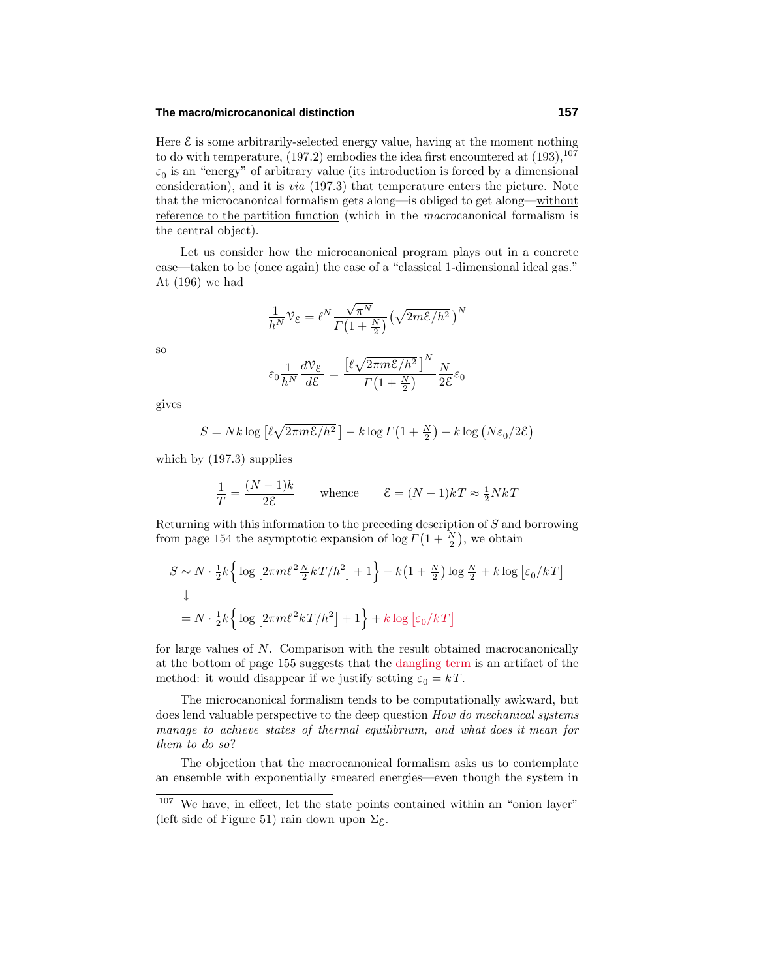# **The macro/microcanonical distinction 157**

Here  $\mathcal E$  is some arbitrarily-selected energy value, having at the moment nothing to do with temperature,  $(197.2)$  embodies the idea first encountered at  $(193)$ ,  $^{107}$  $\varepsilon_0$  is an "energy" of arbitrary value (its introduction is forced by a dimensional consideration), and it is via (197.3) that temperature enters the picture. Note that the microcanonical formalism gets along—is obliged to get along—without reference to the partition function (which in the *macrocanonical* formalism is the central object).

Let us consider how the microcanonical program plays out in a concrete case—taken to be (once again) the case of a "classical 1-dimensional ideal gas." At (196) we had

$$
\frac{1}{h^N}\mathcal{V}_{\mathcal{E}} = \ell^N \frac{\sqrt{\pi^N}}{\varGamma\left(1+\frac{N}{2}\right)} \left(\sqrt{2m\mathcal{E}/h^2}\,\right)^N
$$

so

$$
\varepsilon_0 \frac{1}{h^N} \frac{dV_{\mathcal{E}}}{d\mathcal{E}} = \frac{\left[\ell \sqrt{2\pi m \mathcal{E}/h^2}\,\right]^N}{\Gamma\left(1 + \frac{N}{2}\right)} \frac{N}{2\mathcal{E}} \varepsilon_0
$$

gives

$$
S = Nk \log \left[ \ell \sqrt{2\pi m \mathcal{E}/h^2} \right] - k \log \Gamma \left( 1 + \frac{N}{2} \right) + k \log \left( N \varepsilon_0 / 2 \mathcal{E} \right)
$$

which by (197.3) supplies

$$
\frac{1}{T} = \frac{(N-1)k}{2\mathcal{E}}
$$
 whence  $\mathcal{E} = (N-1)kT \approx \frac{1}{2}NkT$ 

Returning with this information to the preceding description of *S* and borrowing from page 154 the asymptotic expansion of  $\log \Gamma(1 + \frac{N}{2})$ , we obtain

$$
S \sim N \cdot \frac{1}{2} k \left\{ \log \left[ 2\pi m \ell^2 \frac{N}{2} kT/h^2 \right] + 1 \right\} - k \left( 1 + \frac{N}{2} \right) \log \frac{N}{2} + k \log \left[ \varepsilon_0 / kT \right]
$$
  

$$
= N \cdot \frac{1}{2} k \left\{ \log \left[ 2\pi m \ell^2 kT/h^2 \right] + 1 \right\} + k \log \left[ \varepsilon_0 / kT \right]
$$

for large values of *N*. Comparison with the result obtained macrocanonically at the bottom of page 155 suggests that the dangling term is an artifact of the method: it would disappear if we justify setting  $\varepsilon_0 = kT$ .

The microcanonical formalism tends to be computationally awkward, but does lend valuable perspective to the deep question How do mechanical systems manage to achieve states of thermal equilibrium, and what does it mean for them to do so?

The objection that the macrocanonical formalism asks us to contemplate an ensemble with exponentially smeared energies—even though the system in

<sup>107</sup> We have, in effect, let the state points contained within an "onion layer" (left side of Figure 51) rain down upon  $\Sigma_{\mathcal{E}}$ .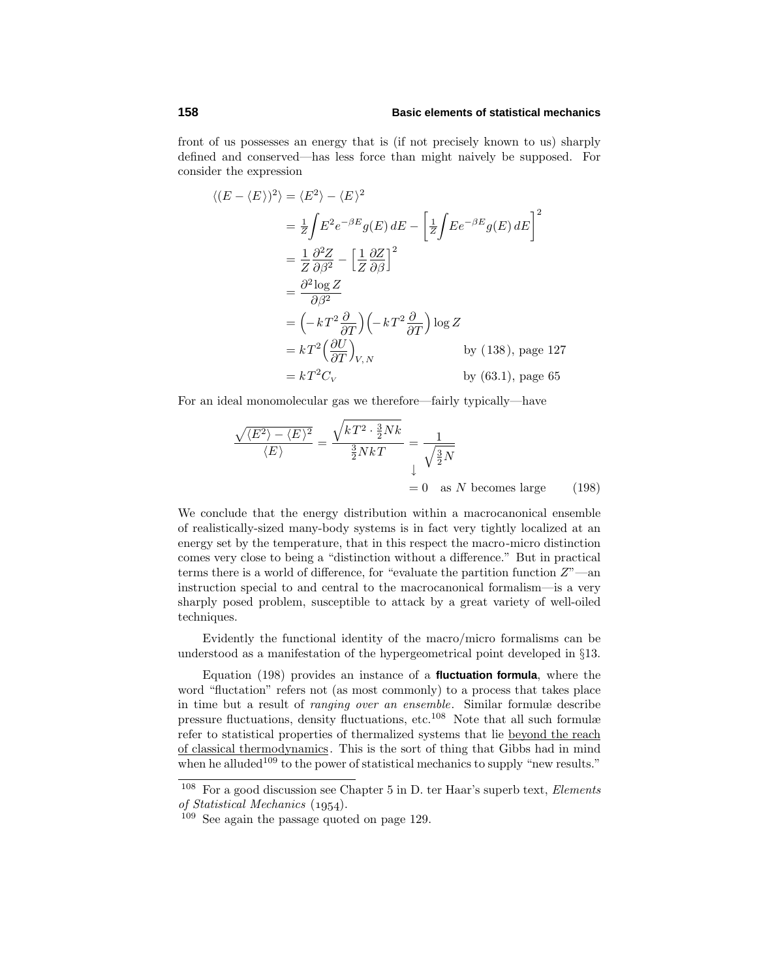front of us possesses an energy that is (if not precisely known to us) sharply defined and conserved—has less force than might naively be supposed. For consider the expression

$$
\langle (E - \langle E \rangle)^2 \rangle = \langle E^2 \rangle - \langle E \rangle^2
$$
  
=  $\frac{1}{Z} \int E^2 e^{-\beta E} g(E) dE - \left[ \frac{1}{Z} \int E e^{-\beta E} g(E) dE \right]^2$   
=  $\frac{1}{Z} \frac{\partial^2 Z}{\partial \beta^2} - \left[ \frac{1}{Z} \frac{\partial Z}{\partial \beta} \right]^2$   
=  $\frac{\partial^2 \log Z}{\partial \beta^2}$   
=  $\left( -kT^2 \frac{\partial}{\partial T} \right) \left( -kT^2 \frac{\partial}{\partial T} \right) \log Z$   
=  $kT^2 \left( \frac{\partial U}{\partial T} \right)_{V,N}$  by (138), page 127  
=  $kT^2 C_V$  by (63.1), page 65

For an ideal monomolecular gas we therefore—fairly typically—have

$$
\frac{\sqrt{\langle E^2 \rangle - \langle E \rangle^2}}{\langle E \rangle} = \frac{\sqrt{kT^2 \cdot \frac{3}{2}Nk}}{\frac{3}{2}NkT} = \frac{1}{\sqrt{\frac{3}{2}N}}
$$
  
= 0 as *N* becomes large (198)

We conclude that the energy distribution within a macrocanonical ensemble of realistically-sized many-body systems is in fact very tightly localized at an energy set by the temperature, that in this respect the macro-micro distinction comes very close to being a "distinction without a difference." But in practical terms there is a world of difference, for "evaluate the partition function *Z*"—an instruction special to and central to the macrocanonical formalism—is a very sharply posed problem, susceptible to attack by a great variety of well-oiled techniques.

Evidently the functional identity of the macro/micro formalisms can be understood as a manifestation of the hypergeometrical point developed in §13.

Equation (198) provides an instance of a **fluctuation formula**, where the word "fluctation" refers not (as most commonly) to a process that takes place in time but a result of ranging over an ensemble. Similar formulæ describe pressure fluctuations, density fluctuations, etc.<sup>108</sup> Note that all such formulæ refer to statistical properties of thermalized systems that lie beyond the reach of classical thermodynamics. This is the sort of thing that Gibbs had in mind when he alluded<sup>109</sup> to the power of statistical mechanics to supply "new results."

<sup>108</sup> For a good discussion see Chapter 5 in D. ter Haar's superb text, Elements of Statistical Mechanics  $(1954)$ .

<sup>109</sup> See again the passage quoted on page 129.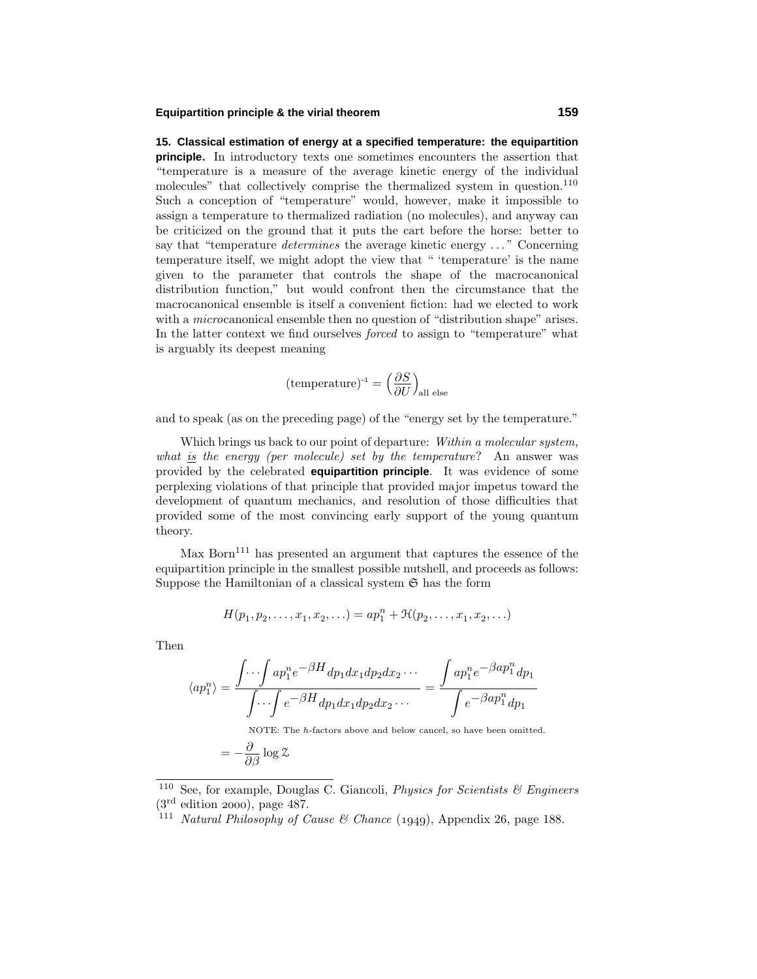## **Equipartition principle & the virial theorem 159**

**15. Classical estimation of energy at a specified temperature: the equipartition principle.** In introductory texts one sometimes encounters the assertion that "temperature is a measure of the average kinetic energy of the individual molecules" that collectively comprise the thermalized system in question.<sup>110</sup> Such a conception of "temperature" would, however, make it impossible to assign a temperature to thermalized radiation (no molecules), and anyway can be criticized on the ground that it puts the cart before the horse: better to say that "temperature determines the average kinetic energy *...* " Concerning temperature itself, we might adopt the view that " 'temperature' is the name given to the parameter that controls the shape of the macrocanonical distribution function," but would confront then the circumstance that the macrocanonical ensemble is itself a convenient fiction: had we elected to work with a *microcanonical* ensemble then no question of "distribution shape" arises. In the latter context we find ourselves forced to assign to "temperature" what is arguably its deepest meaning

$$
(\text{temperature})^{-1} = \left(\frac{\partial S}{\partial U}\right)_{\text{all else}}
$$

and to speak (as on the preceding page) of the "energy set by the temperature."

Which brings us back to our point of departure: Within a molecular system, what is the energy (per molecule) set by the temperature? An answer was provided by the celebrated **equipartition principle**. It was evidence of some perplexing violations of that principle that provided major impetus toward the development of quantum mechanics, and resolution of those difficulties that provided some of the most convincing early support of the young quantum theory.

Max Born<sup>111</sup> has presented an argument that captures the essence of the equipartition principle in the smallest possible nutshell, and proceeds as follows: Suppose the Hamiltonian of a classical system  $\mathfrak S$  has the form

$$
H(p_1, p_2, \dots, x_1, x_2, \dots) = ap_1^n + \mathcal{H}(p_2, \dots, x_1, x_2, \dots)
$$

Then

$$
\langle ap_1^n \rangle = \frac{\int \cdots \int ap_1^n e^{-\beta H} dp_1 dx_1 dp_2 dx_2 \cdots}{\int \cdots \int e^{-\beta H} dp_1 dx_1 dp_2 dx_2 \cdots} = \frac{\int ap_1^n e^{-\beta ap_1^n} dp_1}{\int e^{-\beta ap_1^n} dp_1}
$$

NOTE: The *h*-factors above and below cancel, so have been omitted.

$$
= -\frac{\partial}{\partial \beta} \log \mathcal{Z}
$$

 $110$  See, for example, Douglas C. Giancoli, *Physics for Scientists & Engineers*  $(3<sup>rd</sup>$  edition 2000), page 487.

<sup>&</sup>lt;sup>111</sup> Natural Philosophy of Cause & Chance (1949), Appendix 26, page 188.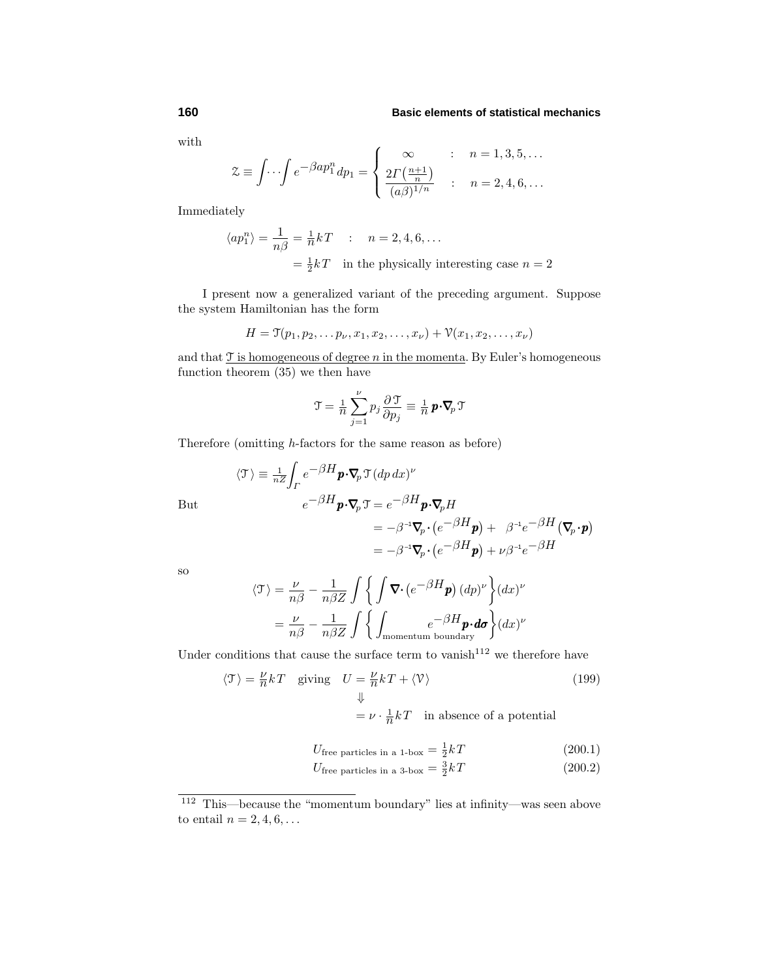with

$$
\mathcal{Z} \equiv \int \cdots \int e^{-\beta a p_1^n} dp_1 = \begin{cases} \infty & : n = 1, 3, 5, \dots \\ \frac{2\Gamma(\frac{n+1}{n})}{(a\beta)^{1/n}} & : n = 2, 4, 6, \dots \end{cases}
$$

Immediately

$$
\langle ap_1^n \rangle = \frac{1}{n\beta} = \frac{1}{n}kT \quad : \quad n = 2, 4, 6, \dots
$$

$$
= \frac{1}{2}kT \quad \text{in the physically interesting case } n = 2
$$

I present now a generalized variant of the preceding argument. Suppose the system Hamiltonian has the form

$$
H = \mathcal{T}(p_1, p_2, \dots, p_{\nu}, x_1, x_2, \dots, x_{\nu}) + \mathcal{V}(x_1, x_2, \dots, x_{\nu})
$$

and that  $\mathcal T$  is homogeneous of degree  $n$  in the momenta. By Euler's homogeneous function theorem (35) we then have

$$
\mathfrak{T} = \tfrac{1}{n} \sum_{j=1}^{\nu} p_j \frac{\partial \mathfrak{T}}{\partial p_j} \equiv \tfrac{1}{n} \mathbf{p} \cdot \! \nabla_{\!p} \mathfrak{T}
$$

Therefore (omitting *h*-factors for the same reason as before)

$$
\langle \mathcal{T} \rangle \equiv \frac{1}{nZ} \int_{\Gamma} e^{-\beta H} \mathbf{p} \cdot \nabla_{p} \mathcal{T} (dp \, dx)^{\nu}
$$
  
But  

$$
e^{-\beta H} \mathbf{p} \cdot \nabla_{p} \mathcal{T} = e^{-\beta H} \mathbf{p} \cdot \nabla_{p} H
$$

$$
= -\beta^{-1} \nabla_{p} \cdot (e^{-\beta H} \mathbf{p}) + \beta^{-1} e^{-\beta H} (\nabla_{p} \cdot \mathbf{p})
$$

$$
= -\beta^{-1} \nabla_{p} \cdot (e^{-\beta H} \mathbf{p}) + \nu \beta^{-1} e^{-\beta H}
$$

so

$$
\langle \mathcal{T} \rangle = \frac{\nu}{n\beta} - \frac{1}{n\beta Z} \int \left\{ \int \mathbf{\nabla} \cdot (e^{-\beta H} \mathbf{p}) (dp)^{\nu} \right\} (dx)^{\nu}
$$

$$
= \frac{\nu}{n\beta} - \frac{1}{n\beta Z} \int \left\{ \int_{\text{momentum boundary}} e^{-\beta H} \mathbf{p} \cdot d\mathbf{\sigma} \right\} (dx)^{\nu}
$$

Under conditions that cause the surface term to vanish<sup>112</sup> we therefore have

$$
\langle \mathcal{T} \rangle = \frac{\nu}{n} kT \quad \text{giving} \quad U = \frac{\nu}{n} kT + \langle \mathcal{V} \rangle \tag{199}
$$
\n
$$
\downarrow
$$
\n
$$
= \nu \cdot \frac{1}{n} kT \quad \text{in absence of a potential}
$$

$$
U_{\text{free particles in a 1-box}} = \frac{1}{2}kT\tag{200.1}
$$

$$
U_{\text{free particles in a 3-box}} = \frac{3}{2}kT \tag{200.2}
$$

<sup>112</sup> This—because the "momentum boundary" lies at infinity—was seen above to entail  $n = 2, 4, 6, ...$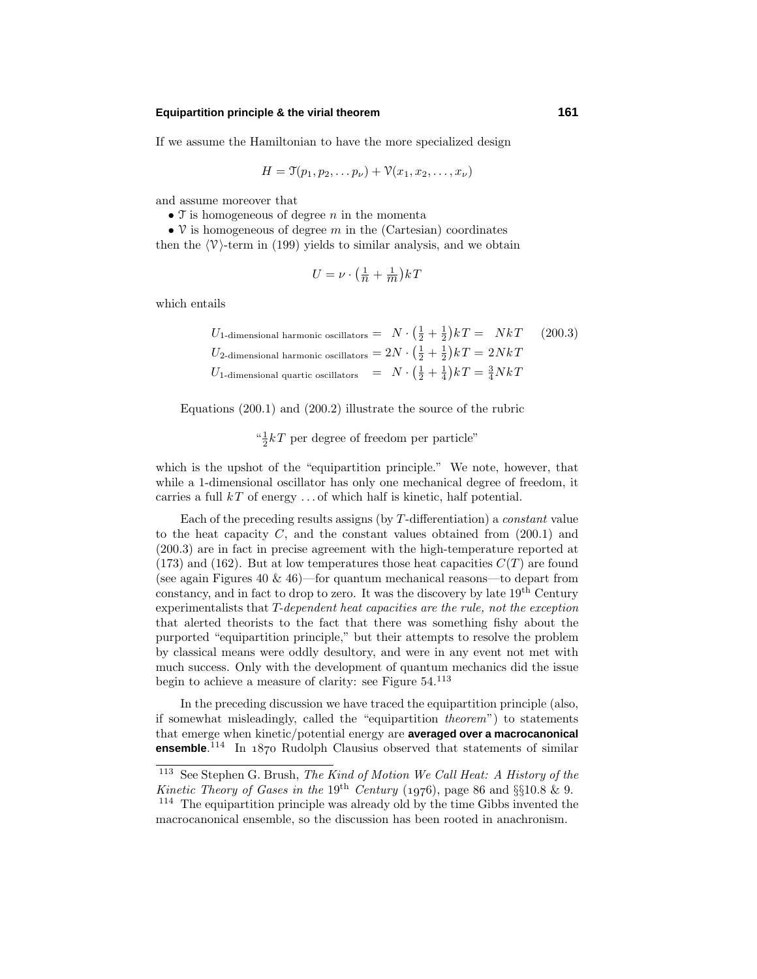# **Equipartition principle & the virial theorem 161**

If we assume the Hamiltonian to have the more specialized design

$$
H = \mathfrak{T}(p_1, p_2, \dots p_\nu) + \mathfrak{V}(x_1, x_2, \dots, x_\nu)
$$

and assume moreover that

• T is homogeneous of degree *n* in the momenta

 $\bullet$  V is homogeneous of degree *m* in the (Cartesian) coordinates then the  $\langle \mathcal{V} \rangle$ -term in (199) yields to similar analysis, and we obtain

$$
U=\nu\cdot\big(\tfrac{1}{n}+\tfrac{1}{m}\big)k\,T
$$

which entails

$$
U_{1\text{-dimensional harmonic oscillators}} = N \cdot \left(\frac{1}{2} + \frac{1}{2}\right)kT = NkT \qquad (200.3)
$$
  
\n
$$
U_{2\text{-dimensional harmonic oscillators}} = 2N \cdot \left(\frac{1}{2} + \frac{1}{2}\right)kT = 2NkT
$$
  
\n
$$
U_{1\text{-dimensional quartic oscillators}} = N \cdot \left(\frac{1}{2} + \frac{1}{4}\right)kT = \frac{3}{4}NkT
$$

Equations (200.1) and (200.2) illustrate the source of the rubric

# $\frac{u}{2}kT$  per degree of freedom per particle"

which is the upshot of the "equipartition principle." We note, however, that while a 1-dimensional oscillator has only one mechanical degree of freedom, it carries a full *k T* of energy *...* of which half is kinetic, half potential.

Each of the preceding results assigns (by *T*-differentiation) a constant value to the heat capacity  $C$ , and the constant values obtained from  $(200.1)$  and (200.3) are in fact in precise agreement with the high-temperature reported at (173) and (162). But at low temperatures those heat capacities  $C(T)$  are found (see again Figures 40 & 46)—for quantum mechanical reasons—to depart from constancy, and in fact to drop to zero. It was the discovery by late  $19<sup>th</sup>$  Century experimentalists that *T*-dependent heat capacities are the rule, not the exception that alerted theorists to the fact that there was something fishy about the purported "equipartition principle," but their attempts to resolve the problem by classical means were oddly desultory, and were in any event not met with much success. Only with the development of quantum mechanics did the issue begin to achieve a measure of clarity: see Figure  $54^{113}$ 

In the preceding discussion we have traced the equipartition principle (also, if somewhat misleadingly, called the "equipartition theorem") to statements that emerge when kinetic/potential energy are **averaged over a macrocanonical ensemble**.<sup>114</sup> In 1870 Rudolph Clausius observed that statements of similar

<sup>113</sup> See Stephen G. Brush, The Kind of Motion We Call Heat: A History of the Kinetic Theory of Gases in the 19<sup>th</sup> Century (1976), page 86 and  $\S 10.8 \& 9$ .

<sup>&</sup>lt;sup>114</sup> The equipartition principle was already old by the time Gibbs invented the macrocanonical ensemble, so the discussion has been rooted in anachronism.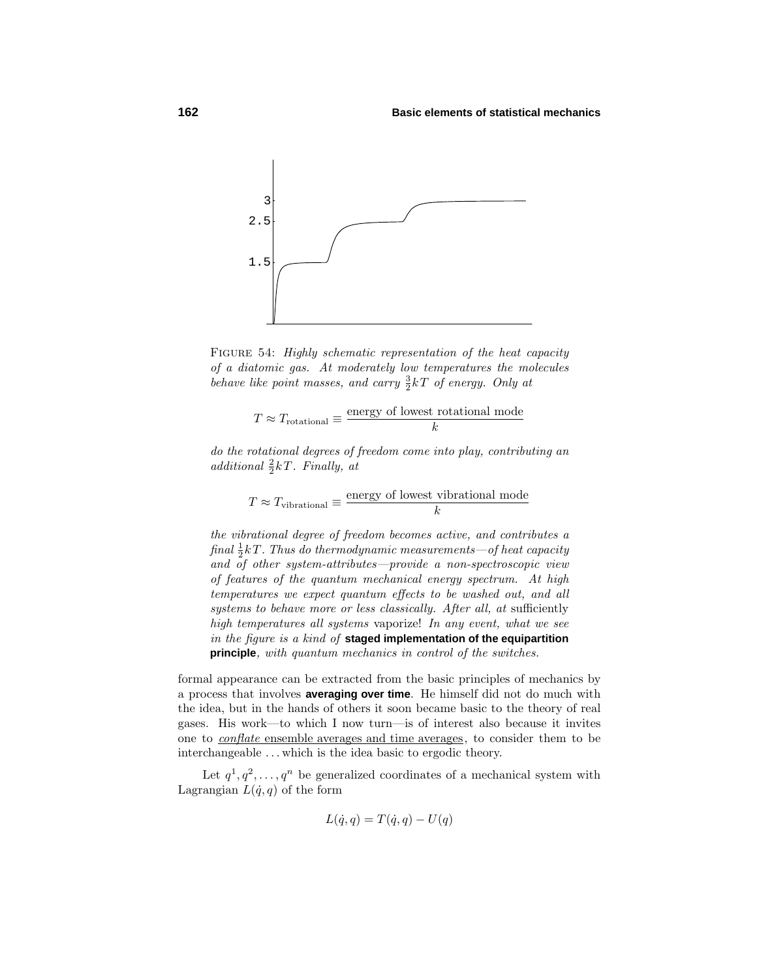

FIGURE 54: Highly schematic representation of the heat capacity of a diatomic gas. At moderately low temperatures the molecules behave like point masses, and carry  $\frac{3}{2}kT$  of energy. Only at

$$
T \approx T_{\text{rotational}} \equiv \frac{\text{energy of lowest rotational mode}}{k}
$$

do the rotational degrees of freedom come into play, contributing an additional  $\frac{2}{2}kT$ . Finally, at

$$
T \approx T_{\text{vibrational}} \equiv \frac{\text{energy of lowest vibrational mode}}{k}
$$

the vibrational degree of freedom becomes active, and contributes a final  $\frac{1}{2}kT$ . Thus do thermodynamic measurements—of heat capacity and of other system-attributes—provide a non-spectroscopic view of features of the quantum mechanical energy spectrum. At high temperatures we expect quantum effects to be washed out, and all systems to behave more or less classically. After all, at sufficiently high temperatures all systems vaporize! In any event, what we see in the figure is a kind of **staged implementation of the equipartition principle**, with quantum mechanics in control of the switches.

formal appearance can be extracted from the basic principles of mechanics by a process that involves **averaging over time**. He himself did not do much with the idea, but in the hands of others it soon became basic to the theory of real gases. His work—to which I now turn—is of interest also because it invites one to conflate ensemble averages and time averages, to consider them to be interchangeable *...* which is the idea basic to ergodic theory.

Let  $q^1, q^2, \ldots, q^n$  be generalized coordinates of a mechanical system with Lagrangian  $L(\dot{q}, q)$  of the form

$$
L(\dot{q}, q) = T(\dot{q}, q) - U(q)
$$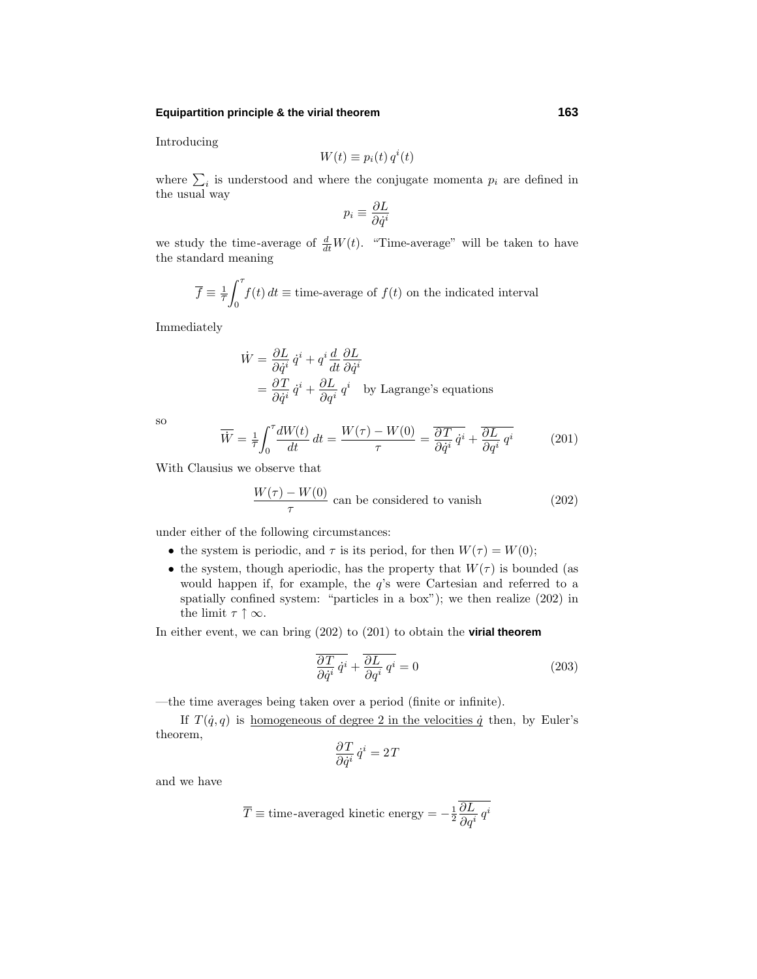# **Equipartition principle & the virial theorem 163**

Introducing

$$
W(t) \equiv p_i(t) q^i(t)
$$

where  $\sum_i$  is understood and where the conjugate momenta  $p_i$  are defined in the usual way

$$
p_i \equiv \frac{\partial L}{\partial \dot{q}^i}
$$

we study the time-average of  $\frac{d}{dt}W(t)$ . "Time-average" will be taken to have the standard meaning

$$
\overline{f} \equiv \frac{1}{\tau} \int_0^{\tau} f(t) dt \equiv \text{time-average of } f(t) \text{ on the indicated interval}
$$

Immediately

$$
\dot{W} = \frac{\partial L}{\partial \dot{q}^i} \dot{q}^i + q^i \frac{d}{dt} \frac{\partial L}{\partial \dot{q}^i}
$$
  
=  $\frac{\partial T}{\partial \dot{q}^i} \dot{q}^i + \frac{\partial L}{\partial q^i} q^i$  by Lagrange's equations

so

$$
\overline{\dot{W}} = \frac{1}{\tau} \int_0^\tau \frac{dW(t)}{dt} dt = \frac{W(\tau) - W(0)}{\tau} = \frac{\overline{\partial T}}{\partial \dot{q}^i} \dot{q}^i + \frac{\overline{\partial L}}{\partial q^i} q^i \tag{201}
$$

With Clausius we observe that

$$
\frac{W(\tau) - W(0)}{\tau}
$$
 can be considered to vanish (202)

under either of the following circumstances:

- the system is periodic, and  $\tau$  is its period, for then  $W(\tau) = W(0);$
- the system, though aperiodic, has the property that  $W(\tau)$  is bounded (as would happen if, for example, the *q*'s were Cartesian and referred to a spatially confined system: "particles in a box"); we then realize (202) in the limit  $\tau \uparrow \infty$ .

In either event, we can bring (202) to (201) to obtain the **virial theorem**

$$
\frac{\overline{\partial T}}{\partial \dot{q}^i} \dot{q}^i + \frac{\overline{\partial L}}{\partial q^i} q^i = 0
$$
\n(203)

—the time averages being taken over a period (finite or infinite).

If  $T(\dot{q}, q)$  is homogeneous of degree 2 in the velocities  $\dot{q}$  then, by Euler's theorem,

$$
\frac{\partial T}{\partial \dot{q}^i}\,\dot{q}^i=2\,T
$$

and we have

$$
\overline{T} \equiv \text{time-averaged kinetic energy} = -\frac{1}{2} \frac{\partial L}{\partial q^i} q^i
$$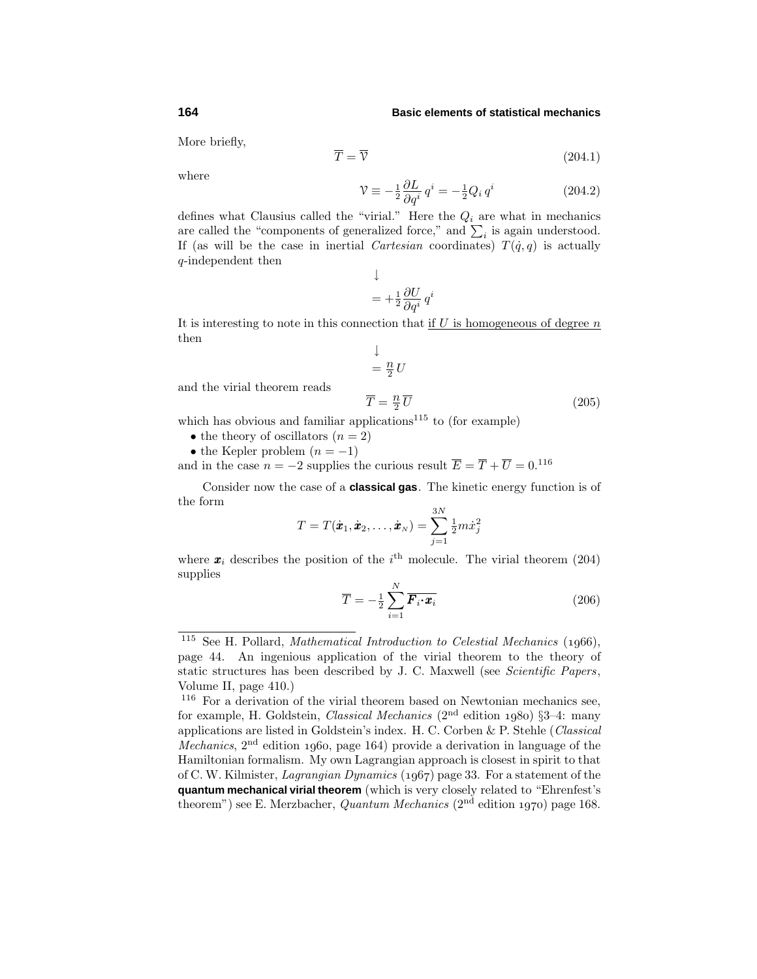More briefly,

$$
\overline{T} = \overline{V} \tag{204.1}
$$

where

$$
\mathcal{V} \equiv -\frac{1}{2} \frac{\partial L}{\partial q^i} q^i = -\frac{1}{2} Q_i q^i \tag{204.2}
$$

defines what Clausius called the "virial." Here the  $Q_i$  are what in mechanics are called the "components of generalized force," and  $\sum_i$  is again understood. If (as will be the case in inertial *Cartesian* coordinates)  $T(\dot{q}, q)$  is actually *q*-independent then

↓

$$
= +\frac{1}{2}\frac{\partial U}{\partial q^i}q^i
$$

It is interesting to note in this connection that if  $U$  is homogeneous of degree  $n$ then

$$
= \frac{n}{2} U
$$
  
and the virial theorem reads  

$$
\overline{T} = \frac{n}{2} \overline{U}
$$
 (205)

- which has obvious and familiar applications<sup>115</sup> to (for example) • the theory of oscillators  $(n = 2)$ 
	-
	- the Kepler problem  $(n = -1)$
- and in the case  $n = -2$  supplies the curious result  $\overline{E} = \overline{T} + \overline{U} = 0.116$

Consider now the case of a **classical gas**. The kinetic energy function is of the form

$$
T = T(\dot{\boldsymbol{x}}_1, \dot{\boldsymbol{x}}_2, \dots, \dot{\boldsymbol{x}}_N) = \sum_{j=1}^{3N} \frac{1}{2} m \dot{x}_j^2
$$

where  $\mathbf{x}_i$  describes the position of the  $i^{\text{th}}$  molecule. The virial theorem (204) supplies

$$
\overline{T} = -\frac{1}{2} \sum_{i=1}^{N} \overline{F_i \cdot x_i} \tag{206}
$$

 $115$  See H. Pollard, *Mathematical Introduction to Celestial Mechanics* (1966), page 44. An ingenious application of the virial theorem to the theory of static structures has been described by J. C. Maxwell (see Scientific Papers, Volume II, page 410.)

<sup>116</sup> For a derivation of the virial theorem based on Newtonian mechanics see, for example, H. Goldstein, *Classical Mechanics* ( $2<sup>nd</sup>$  edition 1980) §3–4: many applications are listed in Goldstein's index. H. C. Corben & P. Stehle (Classical *Mechanics*,  $2<sup>nd</sup>$  edition 1960, page 164) provide a derivation in language of the Hamiltonian formalism. My own Lagrangian approach is closest in spirit to that of C. W. Kilmister, *Lagrangian Dynamics* (1967) page 33. For a statement of the **quantum mechanical virial theorem** (which is very closely related to "Ehrenfest's theorem") see E. Merzbacher, Quantum Mechanics ( $2<sup>nd</sup>$  edition 1970) page 168.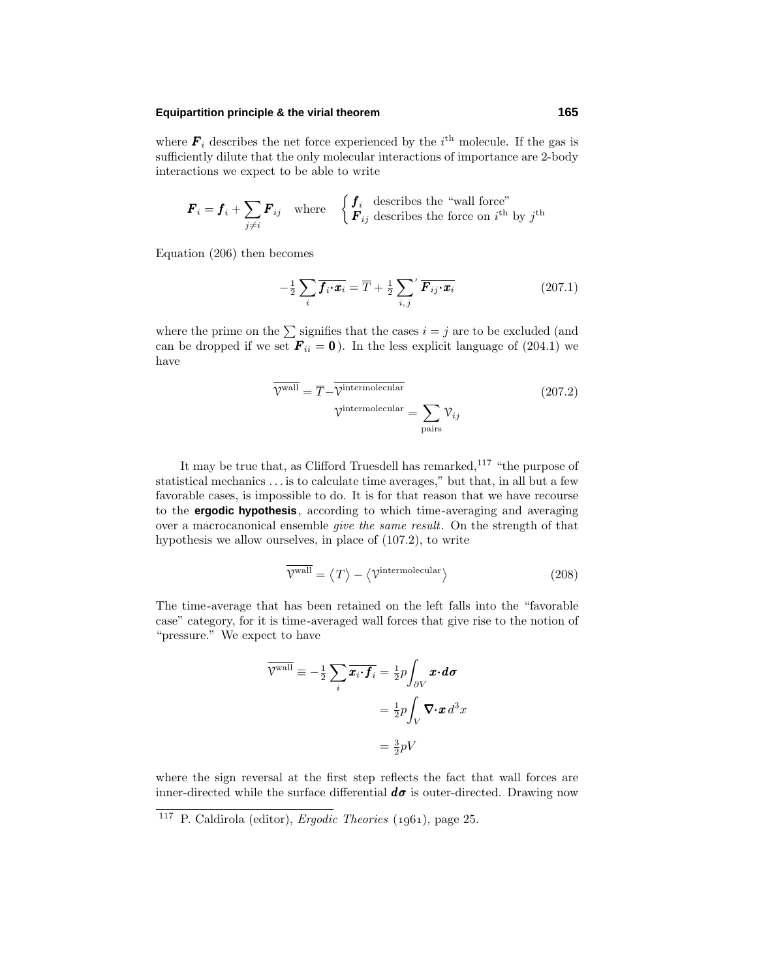## **Equipartition principle & the virial theorem 165**

where  $\mathbf{F}_i$  describes the net force experienced by the  $i^{\text{th}}$  molecule. If the gas is sufficiently dilute that the only molecular interactions of importance are 2-body interactions we expect to be able to write

$$
\boldsymbol{F}_i = \boldsymbol{f}_i + \sum_{j \neq i} \boldsymbol{F}_{ij} \quad \text{where} \quad \begin{cases} \boldsymbol{f}_i & \text{describes the "wall force"} \\ \boldsymbol{F}_{ij} & \text{describes the force on } i^{\text{th}} \text{ by } j^{\text{th}} \end{cases}
$$

Equation (206) then becomes

$$
-\frac{1}{2}\sum_{i}\overline{f_{i}\cdot x_{i}} = \overline{T} + \frac{1}{2}\sum_{i,j}\overline{F_{ij}\cdot x_{i}} \qquad (207.1)
$$

where the prime on the  $\sum$  signifies that the cases  $i = j$  are to be excluded (and can be dropped if we set  $\mathbf{F}_{ii} = \mathbf{0}$ ). In the less explicit language of (204.1) we have

$$
\overline{\mathcal{V}^{\text{wall}}} = \overline{T} - \overline{\mathcal{V}^{\text{intermolecular}}}
$$
\n
$$
\mathcal{V}^{\text{intermolecular}} = \sum_{\text{pairs}} \mathcal{V}_{ij}
$$
\n(207.2)

It may be true that, as Clifford Truesdell has remarked,<sup>117</sup> "the purpose of statistical mechanics *...* is to calculate time averages," but that, in all but a few favorable cases, is impossible to do. It is for that reason that we have recourse to the **ergodic hypothesis**, according to which time-averaging and averaging over a macrocanonical ensemble give the same result. On the strength of that hypothesis we allow ourselves, in place of (107.2), to write

$$
\overline{\mathcal{V}^{\text{wall}}} = \langle T \rangle - \langle \mathcal{V}^{\text{intermolecular}} \rangle \tag{208}
$$

The time-average that has been retained on the left falls into the "favorable case" category, for it is time-averaged wall forces that give rise to the notion of "pressure." We expect to have

$$
\overline{\mathcal{V}^{\text{wall}}} \equiv -\frac{1}{2} \sum_{i} \overline{\boldsymbol{x}_{i} \cdot \boldsymbol{f}_{i}} = \frac{1}{2} p \int_{\partial V} \boldsymbol{x} \cdot d\boldsymbol{\sigma}
$$

$$
= \frac{1}{2} p \int_{V} \nabla \cdot \boldsymbol{x} d^{3} x
$$

$$
= \frac{3}{2} pV
$$

where the sign reversal at the first step reflects the fact that wall forces are inner-directed while the surface differential  $d\sigma$  is outer-directed. Drawing now

 $117$  P. Caldirola (editor), *Ergodic Theories* (1961), page 25.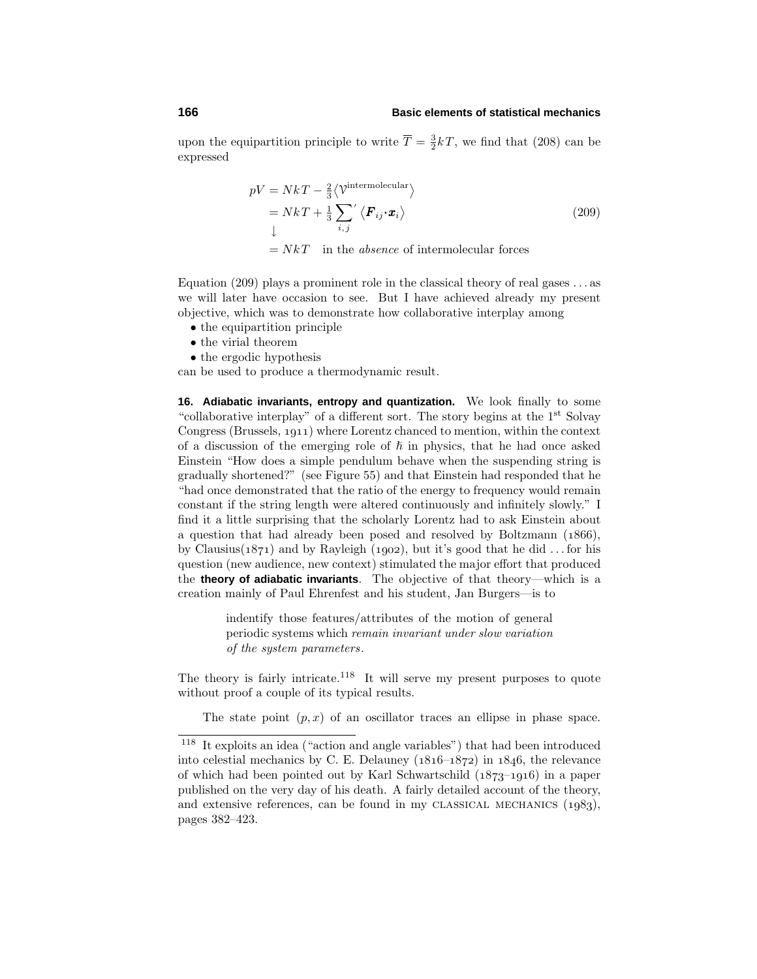## **166 Basic elements of statistical mechanics**

upon the equipartition principle to write  $\overline{T} = \frac{3}{2}kT$ , we find that (208) can be expressed

$$
pV = NkT - \frac{2}{3} \langle \mathcal{V}^{\text{intermolecular}} \rangle
$$
  
= NkT + \frac{1}{3} \sum\_{i,j} \langle \mathbf{F}\_{ij} \cdot \mathbf{x}\_i \rangle (209)

 $NkT$  in the *absence* of intermolecular forces

Equation (209) plays a prominent role in the classical theory of real gases *...* as we will later have occasion to see. But I have achieved already my present objective, which was to demonstrate how collaborative interplay among

- the equipartition principle
- the virial theorem
- the ergodic hypothesis

can be used to produce a thermodynamic result.

**16. Adiabatic invariants, entropy and quantization.** We look finally to some "collaborative interplay" of a different sort. The story begins at the  $1<sup>st</sup>$  Solvay Congress (Brussels,  $1911$ ) where Lorentz chanced to mention, within the context of a discussion of the emerging role of  $\hbar$  in physics, that he had once asked Einstein "How does a simple pendulum behave when the suspending string is gradually shortened?" (see Figure 55) and that Einstein had responded that he "had once demonstrated that the ratio of the energy to frequency would remain constant if the string length were altered continuously and infinitely slowly." I find it a little surprising that the scholarly Lorentz had to ask Einstein about a question that had already been posed and resolved by Boltzmann  $(1866)$ , by Clausius( $1871$ ) and by Rayleigh ( $1902$ ), but it's good that he did ... for his question (new audience, new context) stimulated the major effort that produced the **theory of adiabatic invariants**. The objective of that theory—which is a creation mainly of Paul Ehrenfest and his student, Jan Burgers—is to

> indentify those features/attributes of the motion of general periodic systems which remain invariant under slow variation of the system parameters.

The theory is fairly intricate.<sup>118</sup> It will serve my present purposes to quote without proof a couple of its typical results.

The state point  $(p, x)$  of an oscillator traces an ellipse in phase space.

<sup>118</sup> It exploits an idea ("action and angle variables") that had been introduced into celestial mechanics by C. E. Delauney  $(1816-1872)$  in  $1846$ , the relevance of which had been pointed out by Karl Schwartschild  $(1873-1916)$  in a paper published on the very day of his death. A fairly detailed account of the theory, and extensive references, can be found in my CLASSICAL MECHANICS  $(1983)$ , pages 382–423.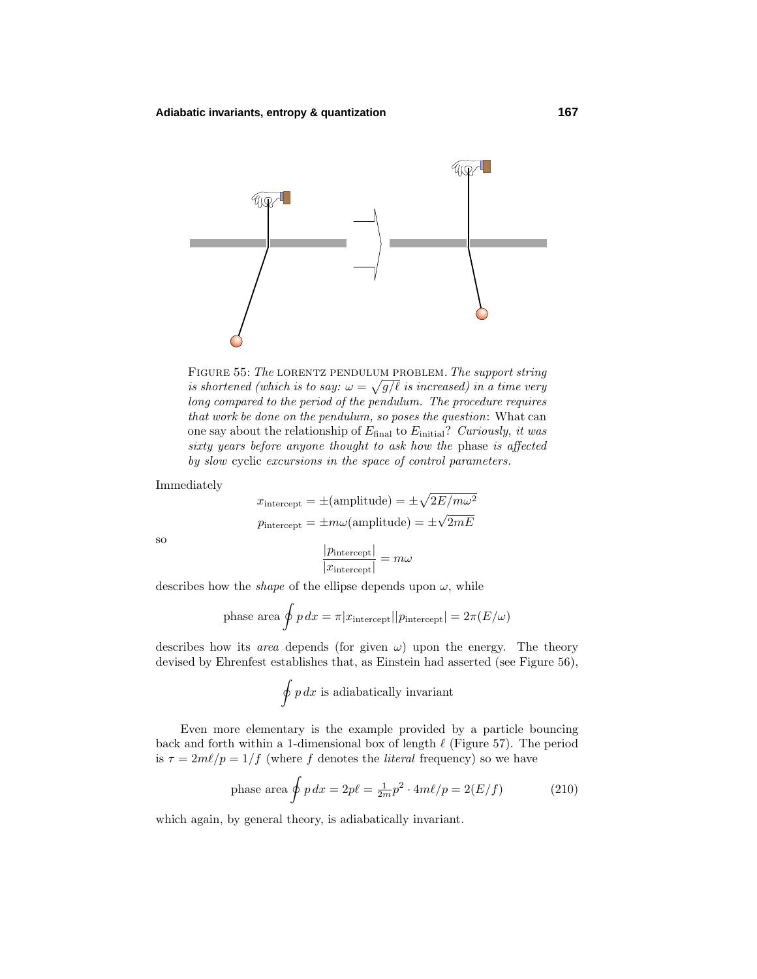

Figure 55: The lorentz pendulum problem. The support string is shortened (which is to say:  $\omega = \sqrt{g/\ell}$  is increased) in a time very long compared to the period of the pendulum. The procedure requires that work be done on the pendulum, so poses the question: What can one say about the relationship of  $E_{\text{final}}$  to  $E_{\text{initial}}$ ? Curiously, it was sixty years before anyone thought to ask how the phase is affected by slow cyclic excursions in the space of control parameters.

Immediately

$$
x_{\text{intercept}} = \pm(\text{amplitude}) = \pm \sqrt{2E/m\omega^2}
$$

$$
p_{\text{intercept}} = \pm m\omega(\text{amplitude}) = \pm \sqrt{2mE}
$$

so

$$
\frac{|p_{\text{intercept}}|}{|x_{\text{intercept}}|} = m\omega
$$

describes how the *shape* of the ellipse depends upon  $\omega$ , while

phase area 
$$
\oint p \, dx = \pi |x_{\text{intercept}}| |p_{\text{intercept}}| = 2\pi (E/\omega)
$$

describes how its *area* depends (for given  $\omega$ ) upon the energy. The theory devised by Ehrenfest establishes that, as Einstein had asserted (see Figure 56),

$$
\oint p\,dx
$$
 is adiabatically invariant

Even more elementary is the example provided by a particle bouncing back and forth within a 1-dimensional box of length  $\ell$  (Figure 57). The period is  $\tau = 2m\ell/p = 1/f$  (where f denotes the *literal* frequency) so we have

phase area 
$$
\oint p \, dx = 2p\ell = \frac{1}{2m}p^2 \cdot 4m\ell/p = 2(E/f)
$$
 (210)

which again, by general theory, is adiabatically invariant.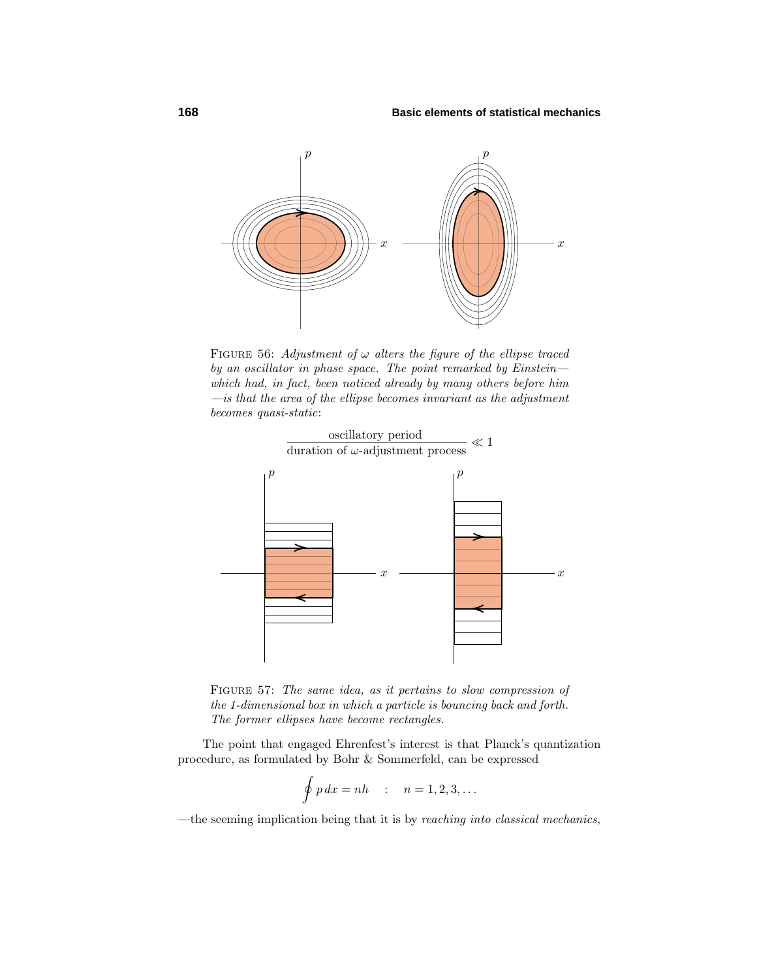

FIGURE 56: Adjustment of  $\omega$  alters the figure of the ellipse traced by an oscillator in phase space. The point remarked by Einstein which had, in fact, been noticed already by many others before him  $-i$ s that the area of the ellipse becomes invariant as the adjustment becomes quasi-static:



FIGURE 57: The same idea, as it pertains to slow compression of the 1-dimensional box in which a particle is bouncing back and forth. The former ellipses have become rectangles.

The point that engaged Ehrenfest's interest is that Planck's quantization procedure, as formulated by Bohr & Sommerfeld, can be expressed

$$
\oint p\,dx = nh \quad : \quad n = 1, 2, 3, \dots
$$

—the seeming implication being that it is by reaching into classical mechanics,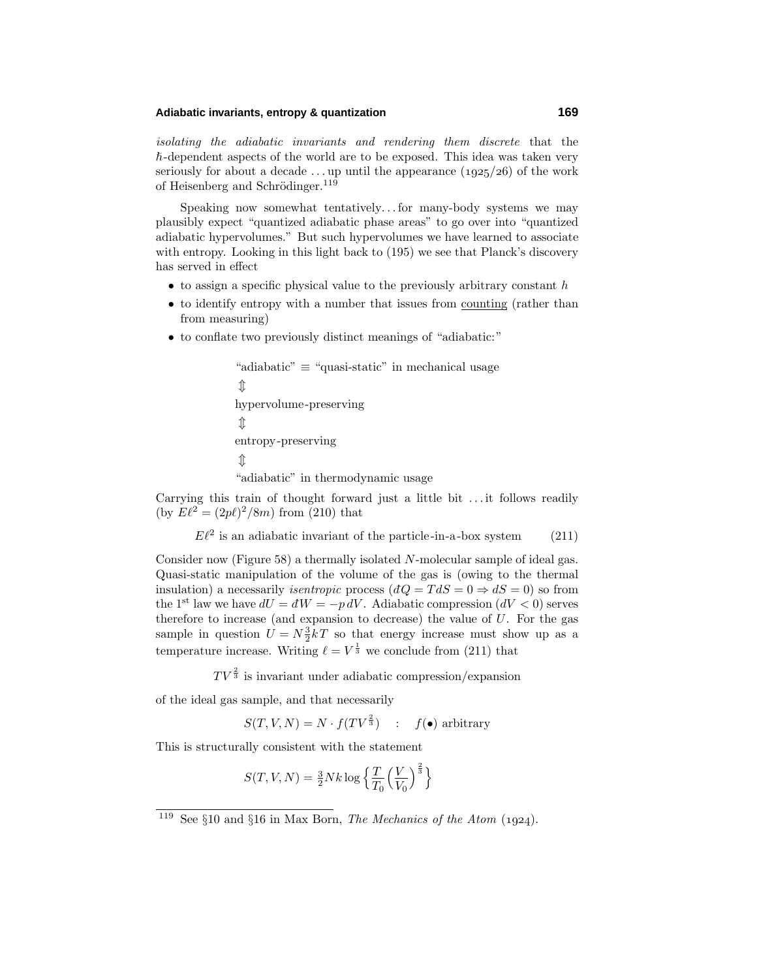## **Adiabatic invariants, entropy & quantization 169**

isolating the adiabatic invariants and rendering them discrete that the  $\hbar$ -dependent aspects of the world are to be exposed. This idea was taken very seriously for about a decade  $\dots$  up until the appearance  $(1925/26)$  of the work of Heisenberg and Schrödinger.<sup>119</sup>

Speaking now somewhat tentatively*...* for many-body systems we may plausibly expect "quantized adiabatic phase areas" to go over into "quantized adiabatic hypervolumes." But such hypervolumes we have learned to associate with entropy. Looking in this light back to  $(195)$  we see that Planck's discovery has served in effect

- to assign a specific physical value to the previously arbitrary constant *h*
- to identify entropy with a number that issues from counting (rather than from measuring)
- to conflate two previously distinct meanings of "adiabatic:"

```
"adiabatic" \equiv "quasi-static" in mechanical usage
\hat{\mathbb{I}}hypervolume-preserving
\hat{\mathbb{I}}entropy-preserving
⇑
"adiabatic" in thermodynamic usage
```
Carrying this train of thought forward just a little bit *...* it follows readily (by  $E\ell^2 = (2p\ell)^2/8m$ ) from (210) that

 $E\ell^2$  is an adiabatic invariant of the particle-in-a-box system (211)

Consider now (Figure 58) a thermally isolated *N*-molecular sample of ideal gas. Quasi-static manipulation of the volume of the gas is (owing to the thermal insulation) a necessarily *isentropic* process  $(dQ = T dS = 0 \Rightarrow dS = 0)$  so from the 1<sup>st</sup> law we have  $dU = dW = -p dV$ . Adiabatic compression  $(dV < 0)$  serves therefore to increase (and expansion to decrease) the value of *U*. For the gas sample in question  $U = N^3 \frac{1}{2} kT$  so that energy increase must show up as a temperature increase. Writing  $\ell = V^{\frac{1}{3}}$  we conclude from (211) that

 $TV^{\frac{2}{3}}$  is invariant under adiabatic compression/expansion

of the ideal gas sample, and that necessarily

 $S(T, V, N) = N \cdot f(TV^{\frac{2}{3}})$  :  $f(\bullet)$  arbitrary

This is structurally consistent with the statement

$$
S(T, V, N) = \frac{3}{2} Nk \log \left\{ \frac{T}{T_0} \left( \frac{V}{V_0} \right)^{\frac{2}{3}} \right\}
$$

<sup>&</sup>lt;sup>119</sup> See §10 and §16 in Max Born, *The Mechanics of the Atom* (1924).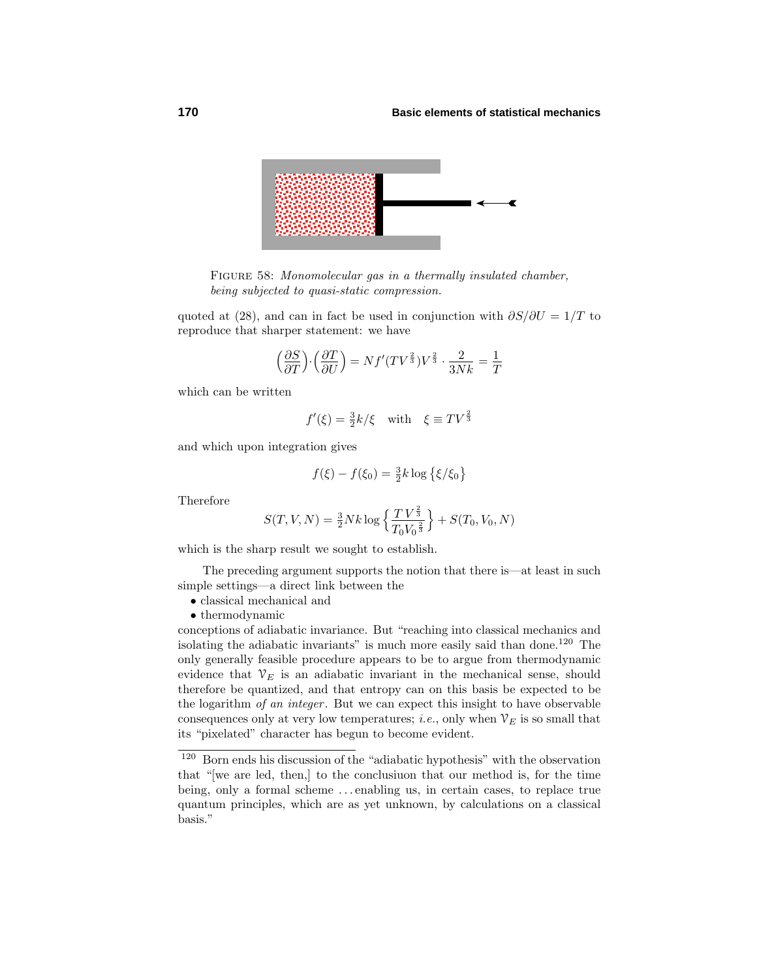

FIGURE 58: Monomolecular gas in a thermally insulated chamber, being subjected to quasi-static compression.

quoted at (28), and can in fact be used in conjunction with  $\partial S/\partial U = 1/T$  to reproduce that sharper statement: we have

$$
\left(\frac{\partial S}{\partial T}\right) \cdot \left(\frac{\partial T}{\partial U}\right) = Nf'(TV^{\frac{2}{3}})V^{\frac{2}{3}} \cdot \frac{2}{3Nk} = \frac{1}{T}
$$

which can be written

$$
f'(\xi) = \frac{3}{2}k/\xi
$$
 with  $\xi \equiv TV^{\frac{2}{3}}$ 

and which upon integration gives

$$
f(\xi) - f(\xi_0) = \frac{3}{2}k \log \{ \xi / \xi_0 \}
$$

Therefore

$$
S(T, V, N) = \frac{3}{2} Nk \log \left\{ \frac{T V^{\frac{2}{3}}}{T_0 V_0^{\frac{2}{3}}} \right\} + S(T_0, V_0, N)
$$

which is the sharp result we sought to establish.

The preceding argument supports the notion that there is—at least in such simple settings—a direct link between the

- classical mechanical and
- thermodynamic

conceptions of adiabatic invariance. But "reaching into classical mechanics and isolating the adiabatic invariants" is much more easily said than done.<sup>120</sup> The only generally feasible procedure appears to be to argue from thermodynamic evidence that  $V_E$  is an adiabatic invariant in the mechanical sense, should therefore be quantized, and that entropy can on this basis be expected to be the logarithm of an integer. But we can expect this insight to have observable consequences only at very low temperatures; *i.e.*, only when  $V_E$  is so small that its "pixelated" character has begun to become evident.

<sup>120</sup> Born ends his discussion of the "adiabatic hypothesis" with the observation that "[we are led, then,] to the conclusiuon that our method is, for the time being, only a formal scheme *...* enabling us, in certain cases, to replace true quantum principles, which are as yet unknown, by calculations on a classical basis."